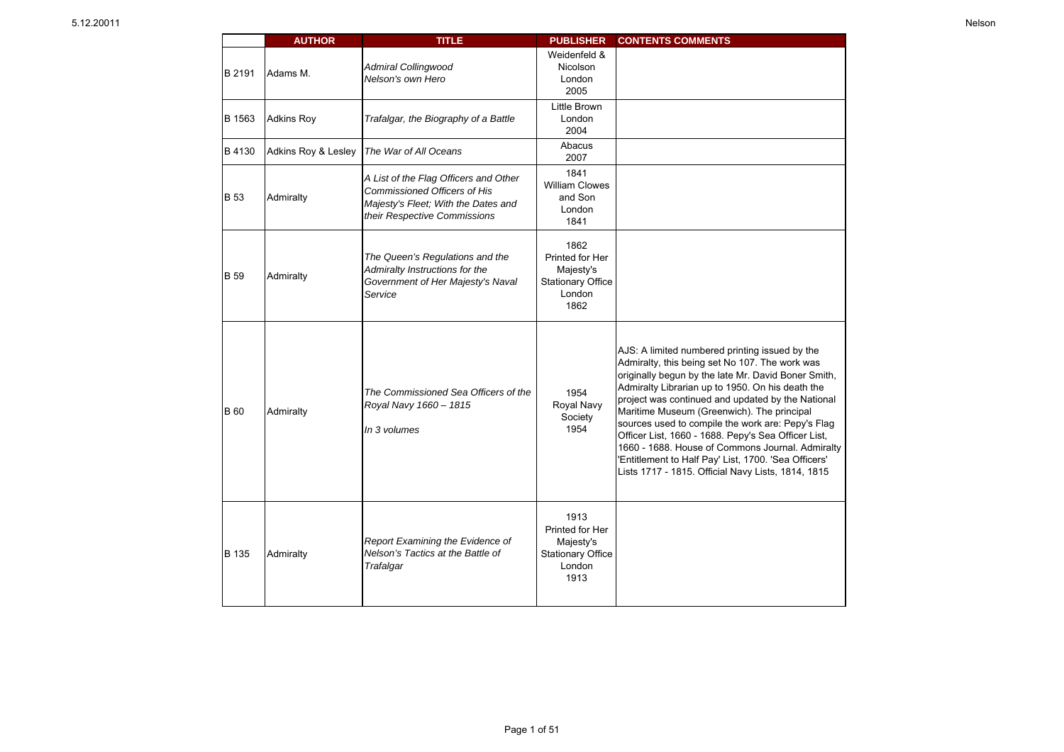|             | <b>AUTHOR</b>       | TITLE                                                                                                                                               | PUBLISHER                                                                          | <b>CONTENTS COMMENTS</b>                                                                                                                                                                                                                                                                                                                                                                                                                                                                                                                                                                     |
|-------------|---------------------|-----------------------------------------------------------------------------------------------------------------------------------------------------|------------------------------------------------------------------------------------|----------------------------------------------------------------------------------------------------------------------------------------------------------------------------------------------------------------------------------------------------------------------------------------------------------------------------------------------------------------------------------------------------------------------------------------------------------------------------------------------------------------------------------------------------------------------------------------------|
| B 2191      | Adams M.            | <b>Admiral Collingwood</b><br>Nelson's own Hero                                                                                                     | Weidenfeld &<br>Nicolson<br>London<br>2005                                         |                                                                                                                                                                                                                                                                                                                                                                                                                                                                                                                                                                                              |
| B 1563      | <b>Adkins Roy</b>   | Trafalgar, the Biography of a Battle                                                                                                                | Little Brown<br>London<br>2004                                                     |                                                                                                                                                                                                                                                                                                                                                                                                                                                                                                                                                                                              |
| B 4130      | Adkins Roy & Lesley | The War of All Oceans                                                                                                                               | Abacus<br>2007                                                                     |                                                                                                                                                                                                                                                                                                                                                                                                                                                                                                                                                                                              |
| <b>B</b> 53 | Admiralty           | A List of the Flag Officers and Other<br><b>Commissioned Officers of His</b><br>Majesty's Fleet; With the Dates and<br>their Respective Commissions | 1841<br><b>William Clowes</b><br>and Son<br>London<br>1841                         |                                                                                                                                                                                                                                                                                                                                                                                                                                                                                                                                                                                              |
| <b>B</b> 59 | Admiralty           | The Queen's Regulations and the<br>Admiralty Instructions for the<br>Government of Her Majesty's Naval<br>Service                                   | 1862<br>Printed for Her<br>Majesty's<br><b>Stationary Office</b><br>London<br>1862 |                                                                                                                                                                                                                                                                                                                                                                                                                                                                                                                                                                                              |
| <b>B</b> 60 | Admiralty           | The Commissioned Sea Officers of the<br>Royal Navy 1660 - 1815<br>In 3 volumes                                                                      | 1954<br>Royal Navy<br>Society<br>1954                                              | AJS: A limited numbered printing issued by the<br>Admiralty, this being set No 107. The work was<br>originally begun by the late Mr. David Boner Smith,<br>Admiralty Librarian up to 1950. On his death the<br>project was continued and updated by the National<br>Maritime Museum (Greenwich). The principal<br>sources used to compile the work are: Pepy's Flag<br>Officer List, 1660 - 1688. Pepy's Sea Officer List,<br>1660 - 1688. House of Commons Journal. Admiralty<br>'Entitlement to Half Pay' List, 1700. 'Sea Officers'<br>Lists 1717 - 1815. Official Navy Lists, 1814, 1815 |
| B 135       | Admiralty           | Report Examining the Evidence of<br>Nelson's Tactics at the Battle of<br>Trafalgar                                                                  | 1913<br>Printed for Her<br>Majesty's<br><b>Stationary Office</b><br>London<br>1913 |                                                                                                                                                                                                                                                                                                                                                                                                                                                                                                                                                                                              |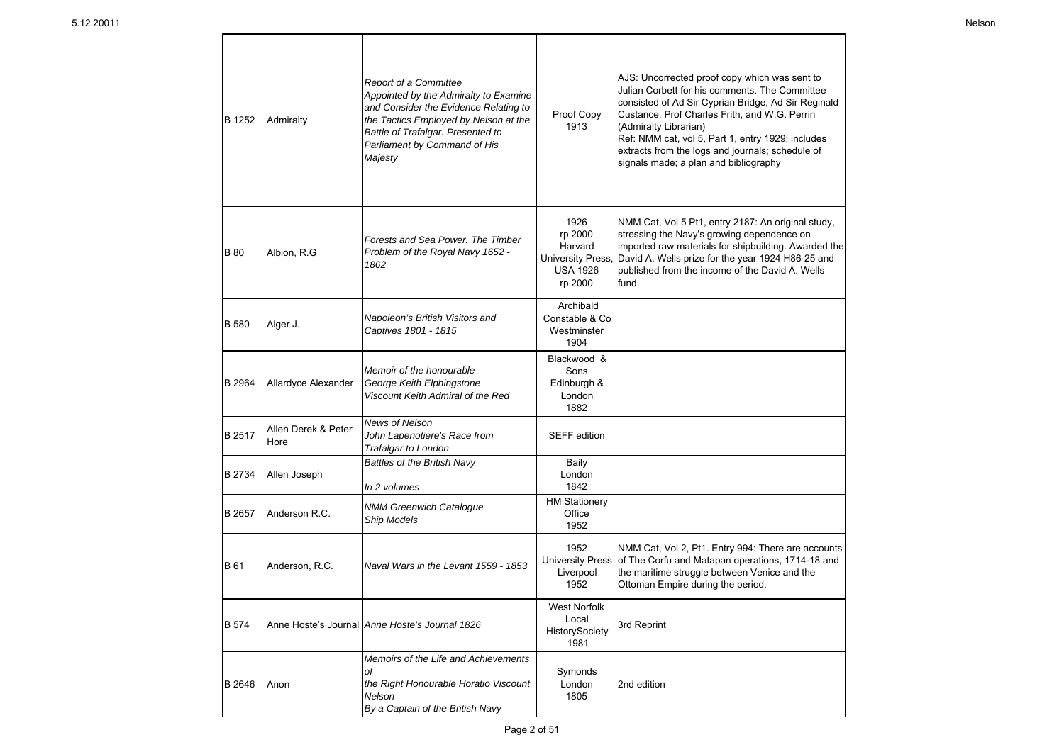| <b>B</b> 1252 | Admiralty                   | <b>Report of a Committee</b><br>Appointed by the Admiralty to Examine<br>and Consider the Evidence Relating to<br>the Tactics Employed by Nelson at the<br>Battle of Trafalgar. Presented to<br>Parliament by Command of His<br>Majesty | Proof Copy<br>1913                                                                  | AJS: Uncorrected proof copy which was sent to<br>Julian Corbett for his comments. The Committee<br>consisted of Ad Sir Cyprian Bridge, Ad Sir Reginald<br>Custance, Prof Charles Frith, and W.G. Perrin<br>(Admiralty Librarian)<br>Ref: NMM cat, vol 5, Part 1, entry 1929; includes<br>extracts from the logs and journals; schedule of<br>signals made; a plan and bibliography |
|---------------|-----------------------------|-----------------------------------------------------------------------------------------------------------------------------------------------------------------------------------------------------------------------------------------|-------------------------------------------------------------------------------------|------------------------------------------------------------------------------------------------------------------------------------------------------------------------------------------------------------------------------------------------------------------------------------------------------------------------------------------------------------------------------------|
| <b>B</b> 80   | Albion, R.G                 | Forests and Sea Power. The Timber<br>Problem of the Royal Navy 1652 -<br>1862                                                                                                                                                           | 1926<br>rp 2000<br>Harvard<br><b>University Press</b><br><b>USA 1926</b><br>rp 2000 | NMM Cat, Vol 5 Pt1, entry 2187: An original study,<br>stressing the Navy's growing dependence on<br>imported raw materials for shipbuilding. Awarded the<br>David A. Wells prize for the year 1924 H86-25 and<br>published from the income of the David A. Wells<br>fund.                                                                                                          |
| <b>B</b> 580  | Alger J.                    | Napoleon's British Visitors and<br>Captives 1801 - 1815                                                                                                                                                                                 | Archibald<br>Constable & Co<br>Westminster<br>1904                                  |                                                                                                                                                                                                                                                                                                                                                                                    |
| B 2964        | Allardyce Alexander         | Memoir of the honourable<br>George Keith Elphingstone<br>Viscount Keith Admiral of the Red                                                                                                                                              | Blackwood &<br>Sons<br>Edinburgh &<br>London<br>1882                                |                                                                                                                                                                                                                                                                                                                                                                                    |
| B 2517        | Allen Derek & Peter<br>Hore | News of Nelson<br>John Lapenotiere's Race from<br>Trafalgar to London                                                                                                                                                                   | <b>SEFF</b> edition                                                                 |                                                                                                                                                                                                                                                                                                                                                                                    |
| B 2734        | Allen Joseph                | Battles of the British Navy<br>In 2 volumes                                                                                                                                                                                             | Baily<br>London<br>1842                                                             |                                                                                                                                                                                                                                                                                                                                                                                    |
| B 2657        | Anderson R.C.               | <b>NMM Greenwich Catalogue</b><br>Ship Models                                                                                                                                                                                           | <b>HM Stationery</b><br>Office<br>1952                                              |                                                                                                                                                                                                                                                                                                                                                                                    |
| B 61          | Anderson, R.C.              | Naval Wars in the Levant 1559 - 1853                                                                                                                                                                                                    | 1952<br><b>University Press</b><br>Liverpool<br>1952                                | NMM Cat, Vol 2, Pt1. Entry 994: There are accounts<br>of The Corfu and Matapan operations, 1714-18 and<br>the maritime struggle between Venice and the<br>Ottoman Empire during the period.                                                                                                                                                                                        |
| <b>B</b> 574  |                             | Anne Hoste's Journal Anne Hoste's Journal 1826                                                                                                                                                                                          | <b>West Norfolk</b><br>Local<br>HistorySociety<br>1981                              | 3rd Reprint                                                                                                                                                                                                                                                                                                                                                                        |
| B 2646        | Anon                        | Memoirs of the Life and Achievements<br>оf<br>the Right Honourable Horatio Viscount<br>Nelson<br>By a Captain of the British Navy                                                                                                       | Symonds<br>London<br>1805                                                           | 2nd edition                                                                                                                                                                                                                                                                                                                                                                        |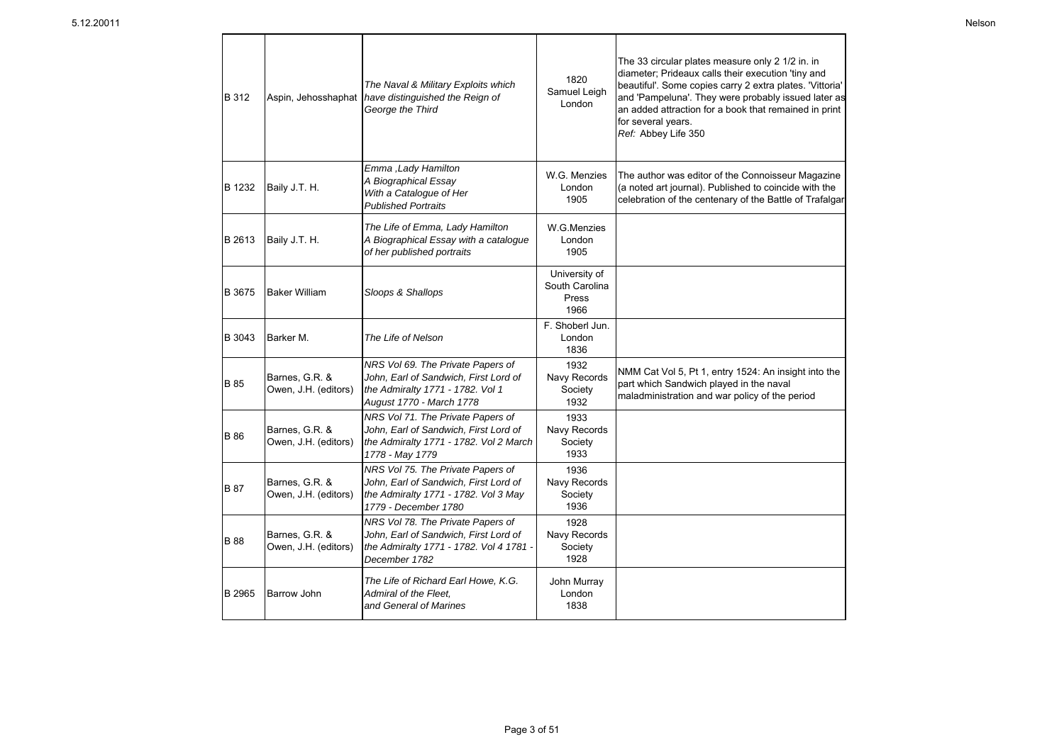| B 312         | Aspin, Jehosshaphat                    | The Naval & Military Exploits which<br>have distinguished the Reign of<br>George the Third                                                 | 1820<br>Samuel Leigh<br>London                   | The 33 circular plates measure only 2 1/2 in. in<br>diameter; Prideaux calls their execution 'tiny and<br>beautiful'. Some copies carry 2 extra plates. 'Vittoria'<br>and 'Pampeluna'. They were probably issued later as<br>an added attraction for a book that remained in print<br>for several years.<br>Ref: Abbey Life 350 |
|---------------|----------------------------------------|--------------------------------------------------------------------------------------------------------------------------------------------|--------------------------------------------------|---------------------------------------------------------------------------------------------------------------------------------------------------------------------------------------------------------------------------------------------------------------------------------------------------------------------------------|
| B 1232        | Baily J.T. H.                          | Emma , Lady Hamilton<br>A Biographical Essay<br>With a Catalogue of Her<br><b>Published Portraits</b>                                      | W.G. Menzies<br>London<br>1905                   | The author was editor of the Connoisseur Magazine<br>(a noted art journal). Published to coincide with the<br>celebration of the centenary of the Battle of Trafalgar                                                                                                                                                           |
| B 2613        | Baily J.T. H.                          | The Life of Emma, Lady Hamilton<br>A Biographical Essay with a catalogue<br>of her published portraits                                     | W.G.Menzies<br>London<br>1905                    |                                                                                                                                                                                                                                                                                                                                 |
| <b>B</b> 3675 | <b>Baker William</b>                   | Sloops & Shallops                                                                                                                          | University of<br>South Carolina<br>Press<br>1966 |                                                                                                                                                                                                                                                                                                                                 |
| B 3043        | Barker M.                              | The Life of Nelson                                                                                                                         | F. Shoberl Jun.<br>London<br>1836                |                                                                                                                                                                                                                                                                                                                                 |
| B 85          | Barnes, G.R. &<br>Owen, J.H. (editors) | NRS Vol 69. The Private Papers of<br>John, Earl of Sandwich, First Lord of<br>the Admiralty 1771 - 1782. Vol 1<br>August 1770 - March 1778 | 1932<br>Navy Records<br>Society<br>1932          | NMM Cat Vol 5, Pt 1, entry 1524: An insight into the<br>part which Sandwich played in the naval<br>maladministration and war policy of the period                                                                                                                                                                               |
| <b>B</b> 86   | Barnes, G.R. &<br>Owen, J.H. (editors) | NRS Vol 71. The Private Papers of<br>John, Earl of Sandwich, First Lord of<br>the Admiralty 1771 - 1782. Vol 2 March<br>1778 - May 1779    | 1933<br>Navy Records<br>Society<br>1933          |                                                                                                                                                                                                                                                                                                                                 |
| <b>B</b> 87   | Barnes, G.R. &<br>Owen, J.H. (editors) | NRS Vol 75. The Private Papers of<br>John, Earl of Sandwich, First Lord of<br>the Admiralty 1771 - 1782. Vol 3 May<br>1779 - December 1780 | 1936<br>Navy Records<br>Society<br>1936          |                                                                                                                                                                                                                                                                                                                                 |
| <b>B</b> 88   | Barnes, G.R. &<br>Owen, J.H. (editors) | NRS Vol 78. The Private Papers of<br>John, Earl of Sandwich, First Lord of<br>the Admiralty 1771 - 1782. Vol 4 1781 -<br>December 1782     | 1928<br>Navy Records<br>Society<br>1928          |                                                                                                                                                                                                                                                                                                                                 |
| B 2965        | <b>Barrow John</b>                     | The Life of Richard Earl Howe, K.G.<br>Admiral of the Fleet,<br>and General of Marines                                                     | John Murray<br>London<br>1838                    |                                                                                                                                                                                                                                                                                                                                 |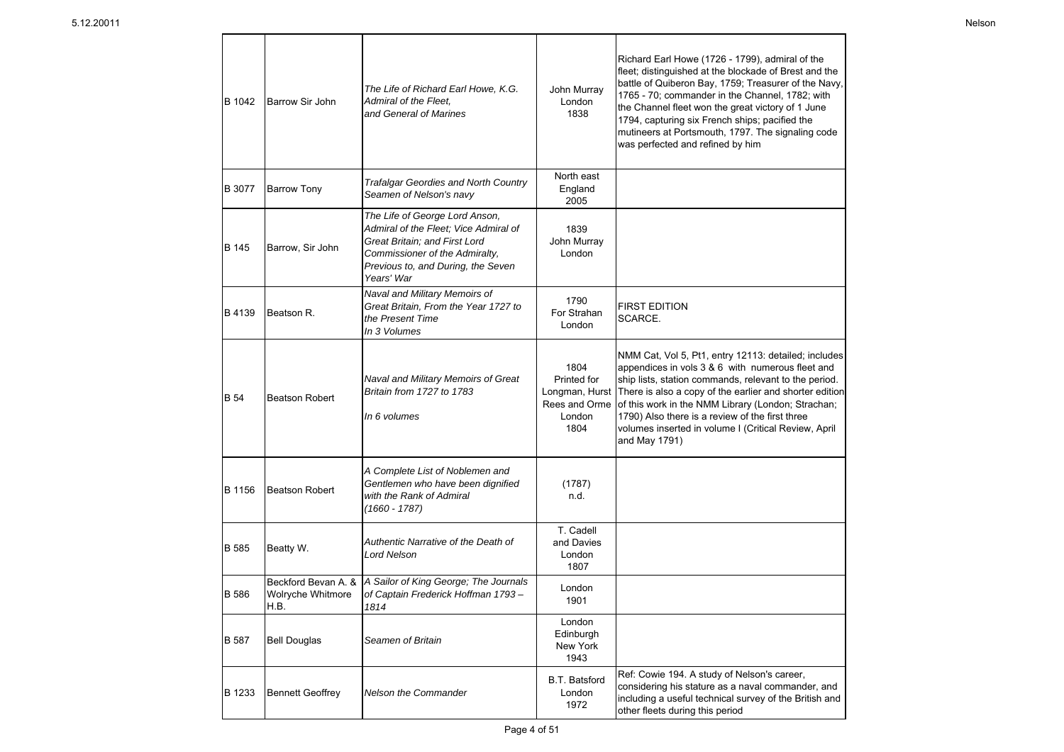| B 1042       | Barrow Sir John         | The Life of Richard Earl Howe, K.G.<br>Admiral of the Fleet.<br>and General of Marines                                                                                                         | John Murray<br>London<br>1838                          | Richard Earl Howe (1726 - 1799), admiral of the<br>fleet; distinguished at the blockade of Brest and the<br>battle of Quiberon Bay, 1759; Treasurer of the Navy,<br>1765 - 70; commander in the Channel, 1782; with<br>the Channel fleet won the great victory of 1 June<br>1794, capturing six French ships; pacified the<br>mutineers at Portsmouth, 1797. The signaling code<br>was perfected and refined by him             |
|--------------|-------------------------|------------------------------------------------------------------------------------------------------------------------------------------------------------------------------------------------|--------------------------------------------------------|---------------------------------------------------------------------------------------------------------------------------------------------------------------------------------------------------------------------------------------------------------------------------------------------------------------------------------------------------------------------------------------------------------------------------------|
| B 3077       | <b>Barrow Tony</b>      | <b>Trafalgar Geordies and North Country</b><br>Seamen of Nelson's navy                                                                                                                         | North east<br>England<br>2005                          |                                                                                                                                                                                                                                                                                                                                                                                                                                 |
| B 145        | Barrow, Sir John        | The Life of George Lord Anson,<br>Admiral of the Fleet; Vice Admiral of<br>Great Britain; and First Lord<br>Commissioner of the Admiralty,<br>Previous to, and During, the Seven<br>Years' War | 1839<br>John Murray<br>London                          |                                                                                                                                                                                                                                                                                                                                                                                                                                 |
| B 4139       | Beatson R.              | Naval and Military Memoirs of<br>Great Britain, From the Year 1727 to<br>the Present Time<br>In 3 Volumes                                                                                      | 1790<br>For Strahan<br>London                          | <b>FIRST EDITION</b><br>SCARCE.                                                                                                                                                                                                                                                                                                                                                                                                 |
| <b>B</b> 54  | <b>Beatson Robert</b>   | Naval and Military Memoirs of Great<br>Britain from 1727 to 1783<br>In 6 volumes                                                                                                               | 1804<br>Printed for<br>Rees and Orme<br>London<br>1804 | NMM Cat, Vol 5, Pt1, entry 12113: detailed; includes<br>appendices in vols 3 & 6 with numerous fleet and<br>ship lists, station commands, relevant to the period.<br>Longman, Hurst   There is also a copy of the earlier and shorter edition<br>of this work in the NMM Library (London; Strachan;<br>1790) Also there is a review of the first three<br>volumes inserted in volume I (Critical Review, April<br>and May 1791) |
| B 1156       | <b>Beatson Robert</b>   | A Complete List of Noblemen and<br>Gentlemen who have been dignified<br>with the Rank of Admiral<br>$(1660 - 1787)$                                                                            | (1787)<br>n.d.                                         |                                                                                                                                                                                                                                                                                                                                                                                                                                 |
| <b>B</b> 585 | Beatty W.               | Authentic Narrative of the Death of<br><b>Lord Nelson</b>                                                                                                                                      | T. Cadell<br>and Davies<br>London<br>1807              |                                                                                                                                                                                                                                                                                                                                                                                                                                 |
| B 586        | H.B.                    | Beckford Bevan A. &   A Sailor of King George; The Journals<br>Wolryche Whitmore   of Captain Frederick Hoffman 1793 -<br>1814                                                                 | London<br>1901                                         |                                                                                                                                                                                                                                                                                                                                                                                                                                 |
| B 587        | <b>Bell Douglas</b>     | Seamen of Britain                                                                                                                                                                              | London<br>Edinburgh<br>New York<br>1943                |                                                                                                                                                                                                                                                                                                                                                                                                                                 |
| B 1233       | <b>Bennett Geoffrey</b> | Nelson the Commander                                                                                                                                                                           | <b>B.T. Batsford</b><br>London<br>1972                 | Ref: Cowie 194. A study of Nelson's career,<br>considering his stature as a naval commander, and<br>including a useful technical survey of the British and<br>other fleets during this period                                                                                                                                                                                                                                   |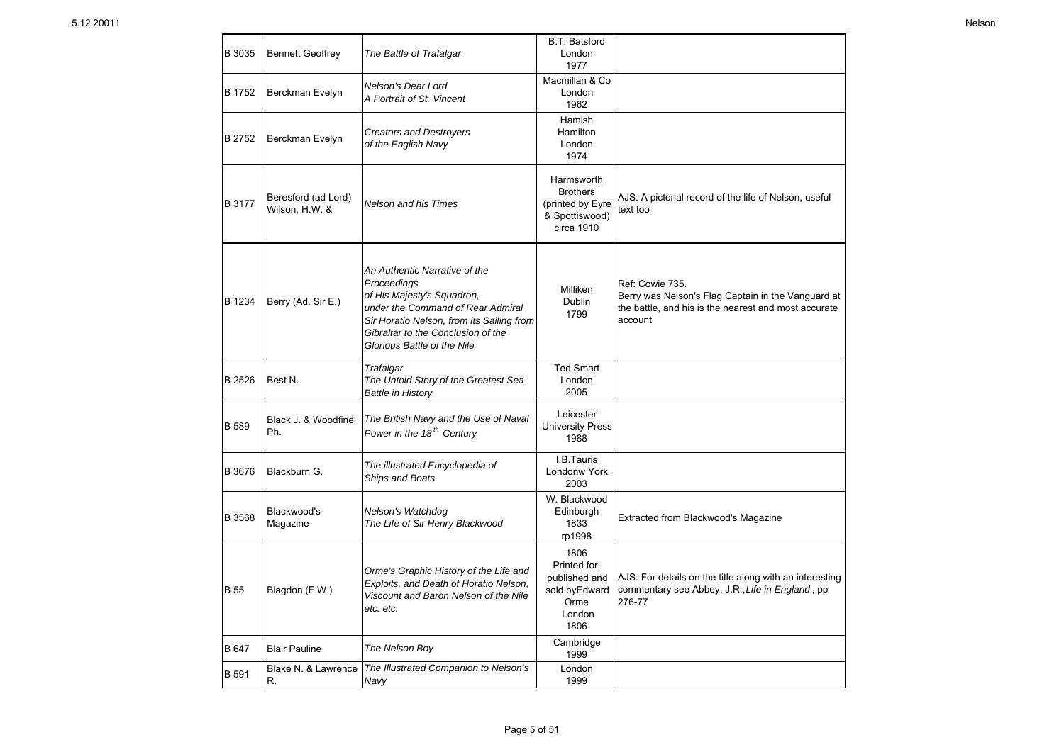| B 3035        | <b>Bennett Geoffrey</b>               | The Battle of Trafalgar                                                                                                                                                                                                           | <b>B.T. Batsford</b><br>London<br>1977                                            |                                                                                                                                          |
|---------------|---------------------------------------|-----------------------------------------------------------------------------------------------------------------------------------------------------------------------------------------------------------------------------------|-----------------------------------------------------------------------------------|------------------------------------------------------------------------------------------------------------------------------------------|
| B 1752        | Berckman Evelyn                       | Nelson's Dear Lord<br>A Portrait of St. Vincent                                                                                                                                                                                   | Macmillan & Co<br>London<br>1962                                                  |                                                                                                                                          |
| <b>B</b> 2752 | Berckman Evelyn                       | <b>Creators and Destroyers</b><br>of the English Navy                                                                                                                                                                             | Hamish<br>Hamilton<br>London<br>1974                                              |                                                                                                                                          |
| B 3177        | Beresford (ad Lord)<br>Wilson, H.W. & | <b>Nelson and his Times</b>                                                                                                                                                                                                       | Harmsworth<br><b>Brothers</b><br>(printed by Eyre<br>& Spottiswood)<br>circa 1910 | AJS: A pictorial record of the life of Nelson, useful<br>text too                                                                        |
| B 1234        | Berry (Ad. Sir E.)                    | An Authentic Narrative of the<br>Proceedings<br>of His Majesty's Squadron,<br>under the Command of Rear Admiral<br>Sir Horatio Nelson, from its Sailing from<br>Gibraltar to the Conclusion of the<br>Glorious Battle of the Nile | Milliken<br><b>Dublin</b><br>1799                                                 | Ref: Cowie 735.<br>Berry was Nelson's Flag Captain in the Vanguard at<br>the battle, and his is the nearest and most accurate<br>account |
| B 2526        | Best N.                               | Trafalgar<br>The Untold Story of the Greatest Sea<br><b>Battle in History</b>                                                                                                                                                     | <b>Ted Smart</b><br>London<br>2005                                                |                                                                                                                                          |
| <b>B</b> 589  | Black J. & Woodfine<br>Ph.            | The British Navy and the Use of Naval<br>Power in the 18 <sup>th</sup> Century                                                                                                                                                    | Leicester<br><b>University Press</b><br>1988                                      |                                                                                                                                          |
| B 3676        | Blackburn G.                          | The illustrated Encyclopedia of<br>Ships and Boats                                                                                                                                                                                | I.B.Tauris<br>Londonw York<br>2003                                                |                                                                                                                                          |
| B 3568        | Blackwood's<br>Magazine               | Nelson's Watchdog<br>The Life of Sir Henry Blackwood                                                                                                                                                                              | W. Blackwood<br>Edinburgh<br>1833<br>rp1998                                       | Extracted from Blackwood's Magazine                                                                                                      |
| <b>B</b> 55   | Blagdon (F.W.)                        | Orme's Graphic History of the Life and<br>Exploits, and Death of Horatio Nelson,<br>Viscount and Baron Nelson of the Nile<br>etc. etc.                                                                                            | 1806<br>Printed for,<br>published and<br>sold byEdward<br>Orme<br>London<br>1806  | AJS: For details on the title along with an interesting<br>commentary see Abbey, J.R., Life in England, pp<br>276-77                     |
| B 647         | <b>Blair Pauline</b>                  | The Nelson Boy                                                                                                                                                                                                                    | Cambridge<br>1999                                                                 |                                                                                                                                          |
| B 591         | Blake N. & Lawrence<br>R.             | The Illustrated Companion to Nelson's<br>Navv                                                                                                                                                                                     | London<br>1999                                                                    |                                                                                                                                          |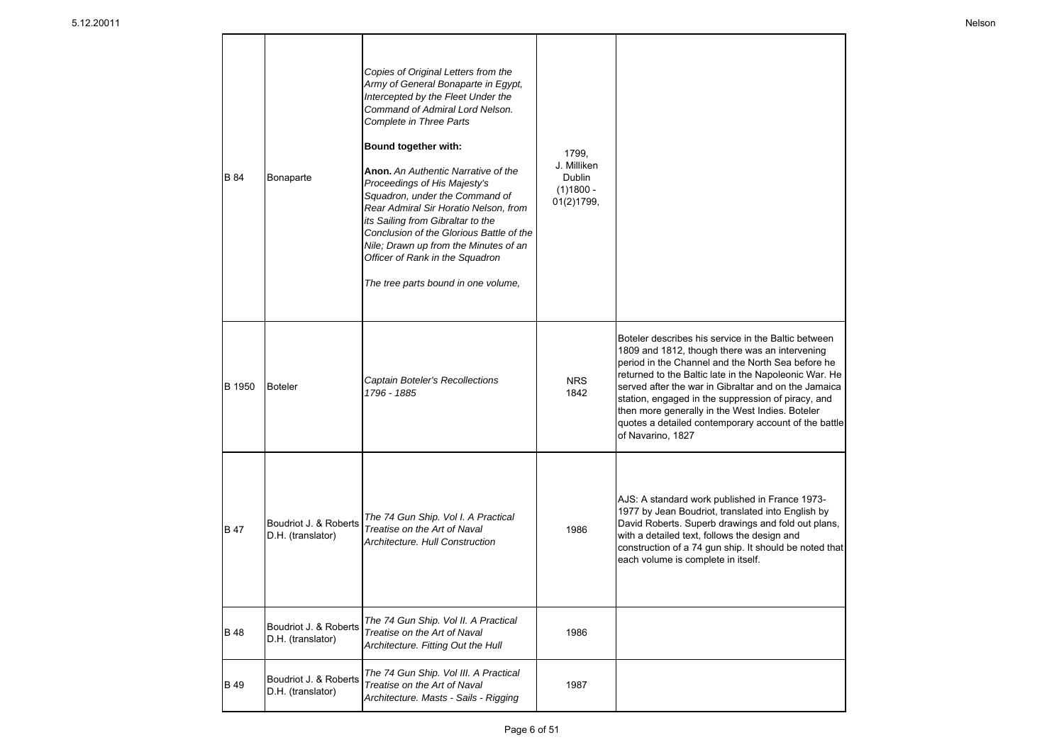| <b>B</b> 84 | Bonaparte                                  | Copies of Original Letters from the<br>Army of General Bonaparte in Egypt,<br>Intercepted by the Fleet Under the<br>Command of Admiral Lord Nelson.<br><b>Complete in Three Parts</b><br>Bound together with:<br>Anon. An Authentic Narrative of the<br>Proceedings of His Majesty's<br>Squadron, under the Command of<br>Rear Admiral Sir Horatio Nelson, from<br>its Sailing from Gibraltar to the<br>Conclusion of the Glorious Battle of the<br>Nile; Drawn up from the Minutes of an<br>Officer of Rank in the Squadron<br>The tree parts bound in one volume, | 1799,<br>J. Milliken<br>Dublin<br>$(1)1800 -$<br>01(2)1799, |                                                                                                                                                                                                                                                                                                                                                                                                                                                                   |
|-------------|--------------------------------------------|---------------------------------------------------------------------------------------------------------------------------------------------------------------------------------------------------------------------------------------------------------------------------------------------------------------------------------------------------------------------------------------------------------------------------------------------------------------------------------------------------------------------------------------------------------------------|-------------------------------------------------------------|-------------------------------------------------------------------------------------------------------------------------------------------------------------------------------------------------------------------------------------------------------------------------------------------------------------------------------------------------------------------------------------------------------------------------------------------------------------------|
| B 1950      | <b>Boteler</b>                             | Captain Boteler's Recollections<br>1796 - 1885                                                                                                                                                                                                                                                                                                                                                                                                                                                                                                                      | <b>NRS</b><br>1842                                          | Boteler describes his service in the Baltic between<br>1809 and 1812, though there was an intervening<br>period in the Channel and the North Sea before he<br>returned to the Baltic late in the Napoleonic War. He<br>served after the war in Gibraltar and on the Jamaica<br>station, engaged in the suppression of piracy, and<br>then more generally in the West Indies. Boteler<br>quotes a detailed contemporary account of the battle<br>of Navarino, 1827 |
| <b>B</b> 47 | Boudriot J. & Roberts<br>D.H. (translator) | The 74 Gun Ship. Vol I. A Practical<br>Treatise on the Art of Naval<br>Architecture, Hull Construction                                                                                                                                                                                                                                                                                                                                                                                                                                                              | 1986                                                        | AJS: A standard work published in France 1973-<br>1977 by Jean Boudriot, translated into English by<br>David Roberts. Superb drawings and fold out plans,<br>with a detailed text, follows the design and<br>construction of a 74 gun ship. It should be noted that<br>each volume is complete in itself.                                                                                                                                                         |
| <b>B</b> 48 | Boudriot J. & Roberts<br>D.H. (translator) | The 74 Gun Ship. Vol II. A Practical<br>Treatise on the Art of Naval<br>Architecture. Fitting Out the Hull                                                                                                                                                                                                                                                                                                                                                                                                                                                          | 1986                                                        |                                                                                                                                                                                                                                                                                                                                                                                                                                                                   |
| <b>B</b> 49 | Boudriot J. & Roberts<br>D.H. (translator) | The 74 Gun Ship. Vol III. A Practical<br>Treatise on the Art of Naval<br>Architecture. Masts - Sails - Rigging                                                                                                                                                                                                                                                                                                                                                                                                                                                      | 1987                                                        |                                                                                                                                                                                                                                                                                                                                                                                                                                                                   |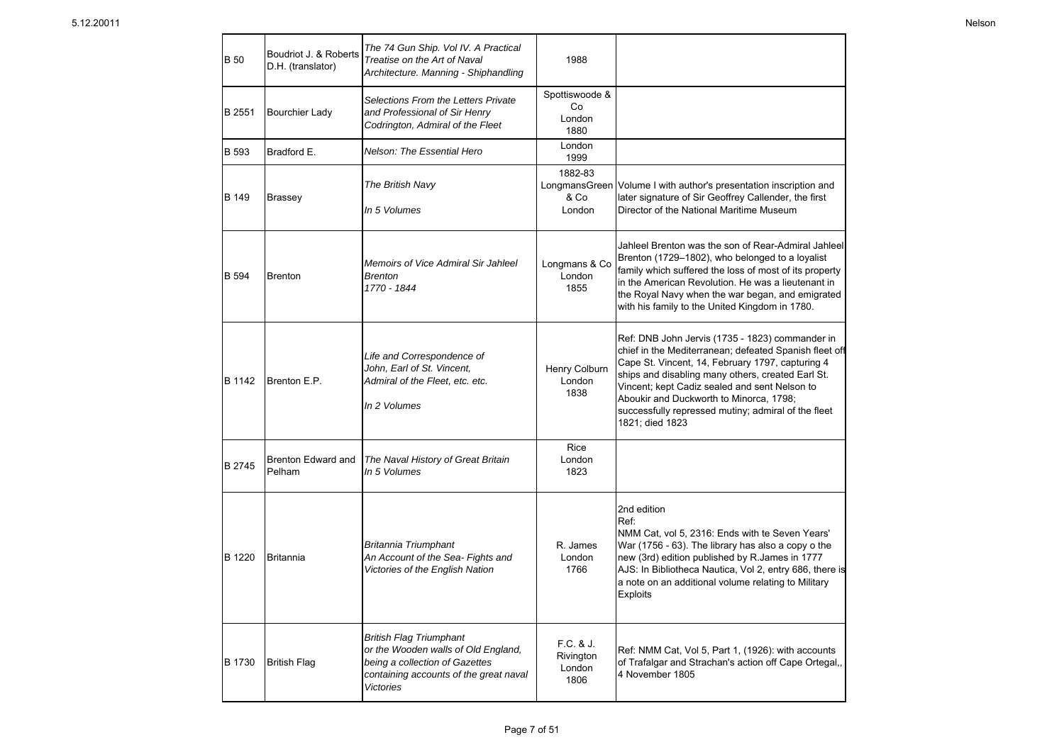| <b>B</b> 50  | Boudriot J. & Roberts<br>D.H. (translator) | The 74 Gun Ship. Vol IV. A Practical<br>Treatise on the Art of Naval<br>Architecture. Manning - Shiphandling                                                          | 1988                                       |                                                                                                                                                                                                                                                                                                                                                                                          |
|--------------|--------------------------------------------|-----------------------------------------------------------------------------------------------------------------------------------------------------------------------|--------------------------------------------|------------------------------------------------------------------------------------------------------------------------------------------------------------------------------------------------------------------------------------------------------------------------------------------------------------------------------------------------------------------------------------------|
| B 2551       | <b>Bourchier Lady</b>                      | Selections From the Letters Private<br>and Professional of Sir Henry<br>Codrington, Admiral of the Fleet                                                              | Spottiswoode &<br>Co<br>London<br>1880     |                                                                                                                                                                                                                                                                                                                                                                                          |
| <b>B</b> 593 | Bradford E.                                | Nelson: The Essential Hero                                                                                                                                            | London<br>1999                             |                                                                                                                                                                                                                                                                                                                                                                                          |
| B 149        | <b>Brassey</b>                             | The British Navy<br>In 5 Volumes                                                                                                                                      | 1882-83<br>LongmansGreen<br>& Co<br>London | Volume I with author's presentation inscription and<br>later signature of Sir Geoffrey Callender, the first<br>Director of the National Maritime Museum                                                                                                                                                                                                                                  |
| <b>B</b> 594 | <b>Brenton</b>                             | Memoirs of Vice Admiral Sir Jahleel<br><b>Brenton</b><br>1770 - 1844                                                                                                  | Longmans & Co<br>London<br>1855            | Jahleel Brenton was the son of Rear-Admiral Jahleel<br>Brenton (1729-1802), who belonged to a loyalist<br>family which suffered the loss of most of its property<br>in the American Revolution. He was a lieutenant in<br>the Royal Navy when the war began, and emigrated<br>with his family to the United Kingdom in 1780.                                                             |
| B 1142       | Brenton E.P.                               | Life and Correspondence of<br>John, Earl of St. Vincent,<br>Admiral of the Fleet, etc. etc.<br>In 2 Volumes                                                           | Henry Colburn<br>London<br>1838            | Ref: DNB John Jervis (1735 - 1823) commander in<br>chief in the Mediterranean; defeated Spanish fleet off<br>Cape St. Vincent, 14, February 1797, capturing 4<br>ships and disabling many others, created Earl St.<br>Vincent; kept Cadiz sealed and sent Nelson to<br>Aboukir and Duckworth to Minorca, 1798;<br>successfully repressed mutiny; admiral of the fleet<br>1821; died 1823 |
| B 2745       | Brenton Edward and<br>Pelham               | The Naval History of Great Britain<br>In 5 Volumes                                                                                                                    | Rice<br>London<br>1823                     |                                                                                                                                                                                                                                                                                                                                                                                          |
| B 1220       | <b>Britannia</b>                           | Britannia Triumphant<br>An Account of the Sea- Fights and<br>Victories of the English Nation                                                                          | R. James<br>London<br>1766                 | 2nd edition<br>Ref:<br>NMM Cat, vol 5, 2316: Ends with te Seven Years'<br>War (1756 - 63). The library has also a copy o the<br>new (3rd) edition published by R. James in 1777<br>AJS: In Bibliotheca Nautica, Vol 2, entry 686, there is<br>a note on an additional volume relating to Military<br><b>Exploits</b>                                                                     |
| B 1730       | <b>British Flag</b>                        | <b>British Flag Triumphant</b><br>or the Wooden walls of Old England,<br>being a collection of Gazettes<br>containing accounts of the great naval<br><b>Victories</b> | F.C. & J.<br>Rivington<br>London<br>1806   | Ref: NMM Cat, Vol 5, Part 1, (1926): with accounts<br>of Trafalgar and Strachan's action off Cape Ortegal,,<br>4 November 1805                                                                                                                                                                                                                                                           |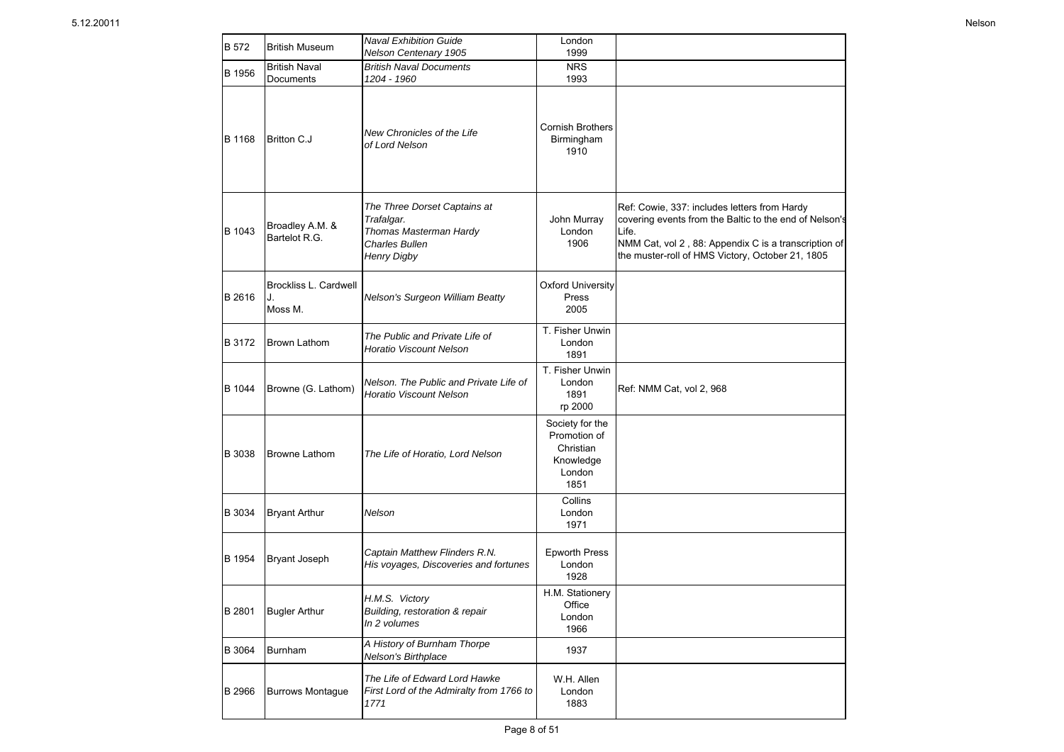| <b>B</b> 572 | <b>British Museum</b>                  | <b>Naval Exhibition Guide</b><br>Nelson Centenary 1905                                                              | London<br>1999                                                              |                                                                                                                                                                                                                             |
|--------------|----------------------------------------|---------------------------------------------------------------------------------------------------------------------|-----------------------------------------------------------------------------|-----------------------------------------------------------------------------------------------------------------------------------------------------------------------------------------------------------------------------|
| B 1956       | <b>British Naval</b><br>Documents      | <b>British Naval Documents</b><br>1204 - 1960                                                                       | <b>NRS</b><br>1993                                                          |                                                                                                                                                                                                                             |
| B 1168       | <b>Britton C.J</b>                     | New Chronicles of the Life<br>of Lord Nelson                                                                        | <b>Cornish Brothers</b><br>Birmingham<br>1910                               |                                                                                                                                                                                                                             |
| B 1043       | Broadley A.M. &<br>Bartelot R.G.       | The Three Dorset Captains at<br>Trafalgar.<br>Thomas Masterman Hardy<br><b>Charles Bullen</b><br><b>Henry Digby</b> | John Murray<br>London<br>1906                                               | Ref: Cowie, 337: includes letters from Hardy<br>covering events from the Baltic to the end of Nelson's<br>Life.<br>NMM Cat, vol 2, 88: Appendix C is a transcription of<br>the muster-roll of HMS Victory, October 21, 1805 |
| B 2616       | Brockliss L. Cardwell<br>J.<br>Moss M. | Nelson's Surgeon William Beatty                                                                                     | <b>Oxford University</b><br>Press<br>2005                                   |                                                                                                                                                                                                                             |
| B 3172       | Brown Lathom                           | The Public and Private Life of<br>Horatio Viscount Nelson                                                           | T. Fisher Unwin<br>London<br>1891                                           |                                                                                                                                                                                                                             |
| B 1044       | Browne (G. Lathom)                     | Nelson. The Public and Private Life of<br>Horatio Viscount Nelson                                                   | T. Fisher Unwin<br>London<br>1891<br>rp 2000                                | Ref: NMM Cat, vol 2, 968                                                                                                                                                                                                    |
| B 3038       | <b>Browne Lathom</b>                   | The Life of Horatio, Lord Nelson                                                                                    | Society for the<br>Promotion of<br>Christian<br>Knowledge<br>London<br>1851 |                                                                                                                                                                                                                             |
| B 3034       | <b>Bryant Arthur</b>                   | Nelson                                                                                                              | Collins<br>London<br>1971                                                   |                                                                                                                                                                                                                             |
| B 1954       | <b>Bryant Joseph</b>                   | Captain Matthew Flinders R.N.<br>His voyages, Discoveries and fortunes                                              | <b>Epworth Press</b><br>London<br>1928                                      |                                                                                                                                                                                                                             |
| B 2801       | <b>Bugler Arthur</b>                   | H.M.S. Victory<br>Building, restoration & repair<br>In 2 volumes                                                    | H.M. Stationery<br>Office<br>London<br>1966                                 |                                                                                                                                                                                                                             |
| B 3064       | <b>Burnham</b>                         | A History of Burnham Thorpe<br>Nelson's Birthplace                                                                  | 1937                                                                        |                                                                                                                                                                                                                             |
| B 2966       | <b>Burrows Montague</b>                | The Life of Edward Lord Hawke<br>First Lord of the Admiralty from 1766 to<br>1771                                   | W.H. Allen<br>London<br>1883                                                |                                                                                                                                                                                                                             |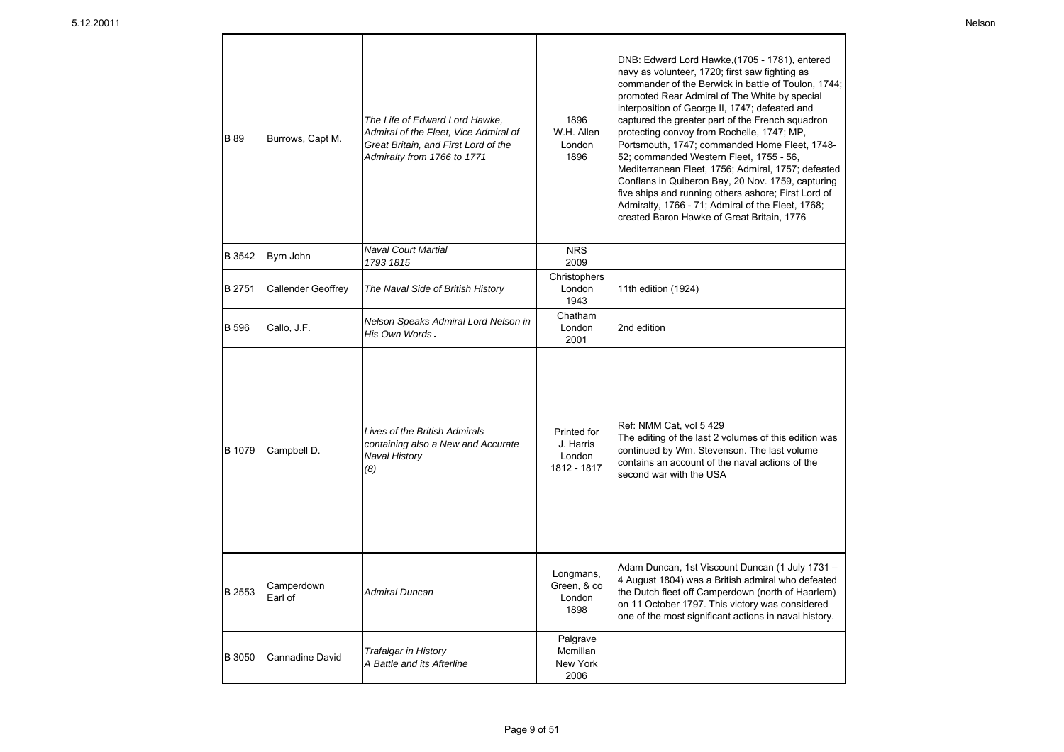| <b>B</b> 89  | Burrows, Capt M.          | The Life of Edward Lord Hawke,<br>Admiral of the Fleet, Vice Admiral of<br>Great Britain, and First Lord of the<br>Admiralty from 1766 to 1771 | 1896<br>W.H. Allen<br>London<br>1896              | DNB: Edward Lord Hawke, (1705 - 1781), entered<br>navy as volunteer, 1720; first saw fighting as<br>commander of the Berwick in battle of Toulon, 1744;<br>promoted Rear Admiral of The White by special<br>interposition of George II, 1747; defeated and<br>captured the greater part of the French squadron<br>protecting convoy from Rochelle, 1747; MP,<br>Portsmouth, 1747; commanded Home Fleet, 1748-<br>52; commanded Western Fleet, 1755 - 56,<br>Mediterranean Fleet, 1756; Admiral, 1757; defeated<br>Conflans in Quiberon Bay, 20 Nov. 1759, capturing<br>five ships and running others ashore; First Lord of<br>Admiralty, 1766 - 71; Admiral of the Fleet, 1768;<br>created Baron Hawke of Great Britain, 1776 |
|--------------|---------------------------|------------------------------------------------------------------------------------------------------------------------------------------------|---------------------------------------------------|-------------------------------------------------------------------------------------------------------------------------------------------------------------------------------------------------------------------------------------------------------------------------------------------------------------------------------------------------------------------------------------------------------------------------------------------------------------------------------------------------------------------------------------------------------------------------------------------------------------------------------------------------------------------------------------------------------------------------------|
| B 3542       | Byrn John                 | <b>Naval Court Martial</b><br>1793 1815                                                                                                        | <b>NRS</b><br>2009                                |                                                                                                                                                                                                                                                                                                                                                                                                                                                                                                                                                                                                                                                                                                                               |
| B 2751       | <b>Callender Geoffrey</b> | The Naval Side of British History                                                                                                              | Christophers<br>London<br>1943                    | 11th edition (1924)                                                                                                                                                                                                                                                                                                                                                                                                                                                                                                                                                                                                                                                                                                           |
| <b>B</b> 596 | Callo, J.F.               | Nelson Speaks Admiral Lord Nelson in<br>His Own Words.                                                                                         | Chatham<br>London<br>2001                         | 2nd edition                                                                                                                                                                                                                                                                                                                                                                                                                                                                                                                                                                                                                                                                                                                   |
| B 1079       | Campbell D.               | Lives of the British Admirals<br>containing also a New and Accurate<br><b>Naval History</b><br>(8)                                             | Printed for<br>J. Harris<br>London<br>1812 - 1817 | Ref: NMM Cat, vol 5 429<br>The editing of the last 2 volumes of this edition was<br>continued by Wm. Stevenson. The last volume<br>contains an account of the naval actions of the<br>second war with the USA                                                                                                                                                                                                                                                                                                                                                                                                                                                                                                                 |
| B 2553       | Camperdown<br>Earl of     | Admiral Duncan                                                                                                                                 | Longmans,<br>Green, & co<br>London<br>1898        | Adam Duncan, 1st Viscount Duncan (1 July 1731 -<br>4 August 1804) was a British admiral who defeated<br>the Dutch fleet off Camperdown (north of Haarlem)<br>on 11 October 1797. This victory was considered<br>one of the most significant actions in naval history.                                                                                                                                                                                                                                                                                                                                                                                                                                                         |
| B 3050       | Cannadine David           | <b>Trafalgar in History</b><br>A Battle and its Afterline                                                                                      | Palgrave<br>Mcmillan<br>New York<br>2006          |                                                                                                                                                                                                                                                                                                                                                                                                                                                                                                                                                                                                                                                                                                                               |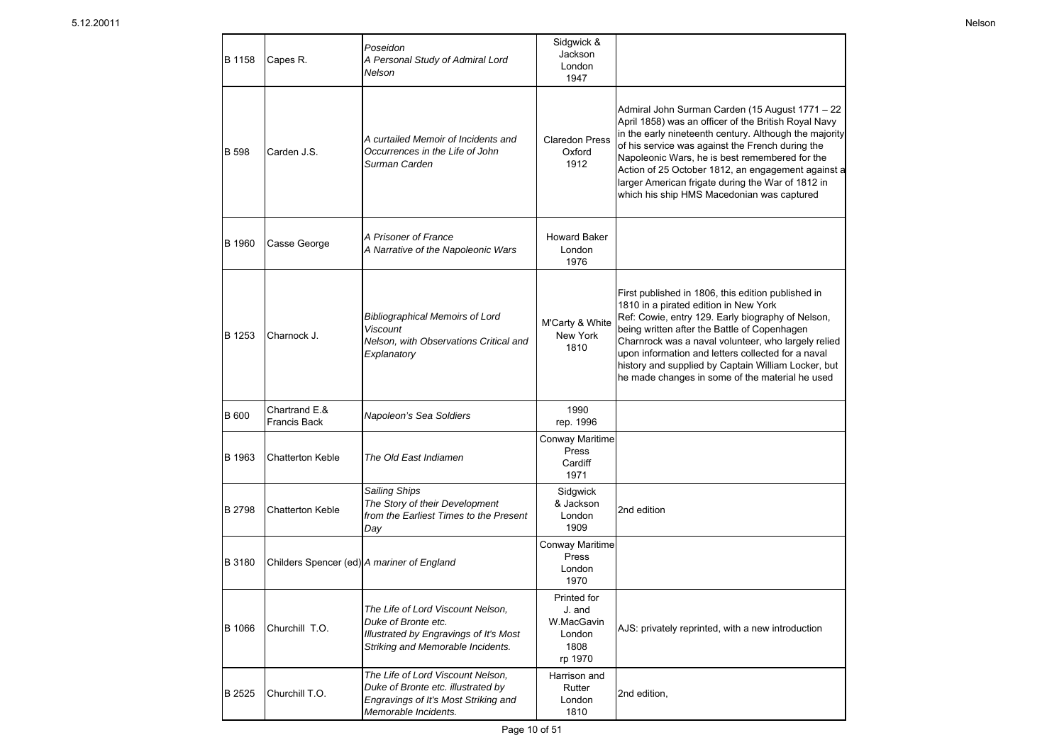| <b>B</b> 1158 | Capes R.                                   | Poseidon<br>A Personal Study of Admiral Lord<br>Nelson                                                                                  | Sidgwick &<br>Jackson<br>London<br>1947                          |                                                                                                                                                                                                                                                                                                                                                                                                                                  |
|---------------|--------------------------------------------|-----------------------------------------------------------------------------------------------------------------------------------------|------------------------------------------------------------------|----------------------------------------------------------------------------------------------------------------------------------------------------------------------------------------------------------------------------------------------------------------------------------------------------------------------------------------------------------------------------------------------------------------------------------|
| <b>B</b> 598  | Carden J.S.                                | A curtailed Memoir of Incidents and<br>Occurrences in the Life of John<br>Surman Carden                                                 | <b>Claredon Press</b><br>Oxford<br>1912                          | Admiral John Surman Carden (15 August 1771 - 22<br>April 1858) was an officer of the British Royal Navy<br>in the early nineteenth century. Although the majority<br>of his service was against the French during the<br>Napoleonic Wars, he is best remembered for the<br>Action of 25 October 1812, an engagement against a<br>larger American frigate during the War of 1812 in<br>which his ship HMS Macedonian was captured |
| <b>B</b> 1960 | Casse George                               | A Prisoner of France<br>A Narrative of the Napoleonic Wars                                                                              | <b>Howard Baker</b><br>London<br>1976                            |                                                                                                                                                                                                                                                                                                                                                                                                                                  |
| B 1253        | Charnock J.                                | <b>Bibliographical Memoirs of Lord</b><br>Viscount<br>Nelson, with Observations Critical and<br>Explanatory                             | M'Carty & White<br>New York<br>1810                              | First published in 1806, this edition published in<br>1810 in a pirated edition in New York<br>Ref: Cowie, entry 129. Early biography of Nelson,<br>being written after the Battle of Copenhagen<br>Charnrock was a naval volunteer, who largely relied<br>upon information and letters collected for a naval<br>history and supplied by Captain William Locker, but<br>he made changes in some of the material he used          |
| <b>B</b> 600  | Chartrand E.&<br><b>Francis Back</b>       | Napoleon's Sea Soldiers                                                                                                                 | 1990<br>rep. 1996                                                |                                                                                                                                                                                                                                                                                                                                                                                                                                  |
| B 1963        | <b>Chatterton Keble</b>                    | The Old East Indiamen                                                                                                                   | <b>Conway Maritime</b><br>Press<br>Cardiff<br>1971               |                                                                                                                                                                                                                                                                                                                                                                                                                                  |
| <b>B</b> 2798 | <b>Chatterton Keble</b>                    | Sailing Ships<br>The Story of their Development<br>from the Earliest Times to the Present<br>Day                                        | Sidgwick<br>& Jackson<br>London<br>1909                          | 2nd edition                                                                                                                                                                                                                                                                                                                                                                                                                      |
| <b>B</b> 3180 | Childers Spencer (ed) A mariner of England |                                                                                                                                         | <b>Conway Maritime</b><br>Press<br>London<br>1970                |                                                                                                                                                                                                                                                                                                                                                                                                                                  |
| <b>B</b> 1066 | Churchill T.O.                             | The Life of Lord Viscount Nelson,<br>Duke of Bronte etc.<br>Illustrated by Engravings of It's Most<br>Striking and Memorable Incidents. | Printed for<br>J. and<br>W.MacGavin<br>London<br>1808<br>rp 1970 | AJS: privately reprinted, with a new introduction                                                                                                                                                                                                                                                                                                                                                                                |
| B 2525        | Churchill T.O.                             | The Life of Lord Viscount Nelson,<br>Duke of Bronte etc. illustrated by<br>Engravings of It's Most Striking and<br>Memorable Incidents. | Harrison and<br>Rutter<br>London<br>1810                         | 2nd edition,                                                                                                                                                                                                                                                                                                                                                                                                                     |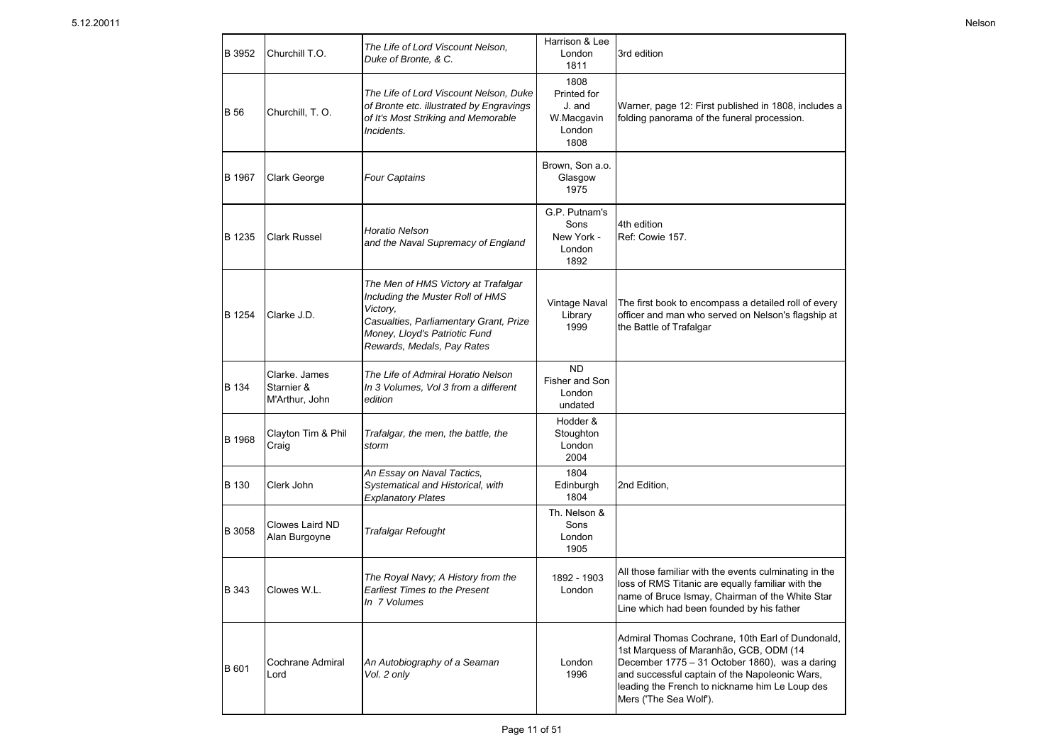| B 3952        | Churchill T.O.                                | The Life of Lord Viscount Nelson,<br>Duke of Bronte, & C.                                                                                                                                    | Harrison & Lee<br>London<br>1811                              | 3rd edition                                                                                                                                                                                                                                                                |
|---------------|-----------------------------------------------|----------------------------------------------------------------------------------------------------------------------------------------------------------------------------------------------|---------------------------------------------------------------|----------------------------------------------------------------------------------------------------------------------------------------------------------------------------------------------------------------------------------------------------------------------------|
| <b>B</b> 56   | Churchill, T.O.                               | The Life of Lord Viscount Nelson, Duke<br>of Bronte etc. illustrated by Engravings<br>of It's Most Striking and Memorable<br>Incidents.                                                      | 1808<br>Printed for<br>J. and<br>W.Macgavin<br>London<br>1808 | Warner, page 12: First published in 1808, includes a<br>folding panorama of the funeral procession.                                                                                                                                                                        |
| <b>B</b> 1967 | Clark George                                  | Four Captains                                                                                                                                                                                | Brown, Son a.o.<br>Glasgow<br>1975                            |                                                                                                                                                                                                                                                                            |
| B 1235        | Clark Russel                                  | Horatio Nelson<br>and the Naval Supremacy of England                                                                                                                                         | G.P. Putnam's<br>Sons<br>New York -<br>London<br>1892         | 4th edition<br>Ref: Cowie 157.                                                                                                                                                                                                                                             |
| B 1254        | Clarke J.D.                                   | The Men of HMS Victory at Trafalgar<br>Including the Muster Roll of HMS<br>Victory,<br>Casualties, Parliamentary Grant, Prize<br>Money, Lloyd's Patriotic Fund<br>Rewards, Medals, Pay Rates | Vintage Naval<br>Library<br>1999                              | The first book to encompass a detailed roll of every<br>officer and man who served on Nelson's flagship at<br>the Battle of Trafalgar                                                                                                                                      |
| B 134         | Clarke. James<br>Starnier &<br>M'Arthur, John | The Life of Admiral Horatio Nelson<br>In 3 Volumes, Vol 3 from a different<br>edition                                                                                                        | <b>ND</b><br>Fisher and Son<br>London<br>undated              |                                                                                                                                                                                                                                                                            |
| B 1968        | Clayton Tim & Phil<br>Craig                   | Trafalgar, the men, the battle, the<br>storm                                                                                                                                                 | Hodder &<br>Stoughton<br>London<br>2004                       |                                                                                                                                                                                                                                                                            |
| B 130         | Clerk John                                    | An Essay on Naval Tactics,<br>Systematical and Historical, with<br><b>Explanatory Plates</b>                                                                                                 | 1804<br>Edinburgh<br>1804                                     | 2nd Edition,                                                                                                                                                                                                                                                               |
| B 3058        | <b>Clowes Laird ND</b><br>Alan Burgoyne       | <b>Trafalgar Refought</b>                                                                                                                                                                    | Th. Nelson &<br>Sons<br>London<br>1905                        |                                                                                                                                                                                                                                                                            |
| B 343         | Clowes W.L.                                   | The Royal Navy; A History from the<br><b>Earliest Times to the Present</b><br>In 7 Volumes                                                                                                   | 1892 - 1903<br>London                                         | All those familiar with the events culminating in the<br>loss of RMS Titanic are equally familiar with the<br>name of Bruce Ismay, Chairman of the White Star<br>Line which had been founded by his father                                                                 |
| B 601         | Cochrane Admiral<br>Lord                      | An Autobiography of a Seaman<br>Vol. 2 only                                                                                                                                                  | London<br>1996                                                | Admiral Thomas Cochrane, 10th Earl of Dundonald,<br>1st Marquess of Maranhão, GCB, ODM (14<br>December 1775 - 31 October 1860), was a daring<br>and successful captain of the Napoleonic Wars,<br>leading the French to nickname him Le Loup des<br>Mers ('The Sea Wolf'). |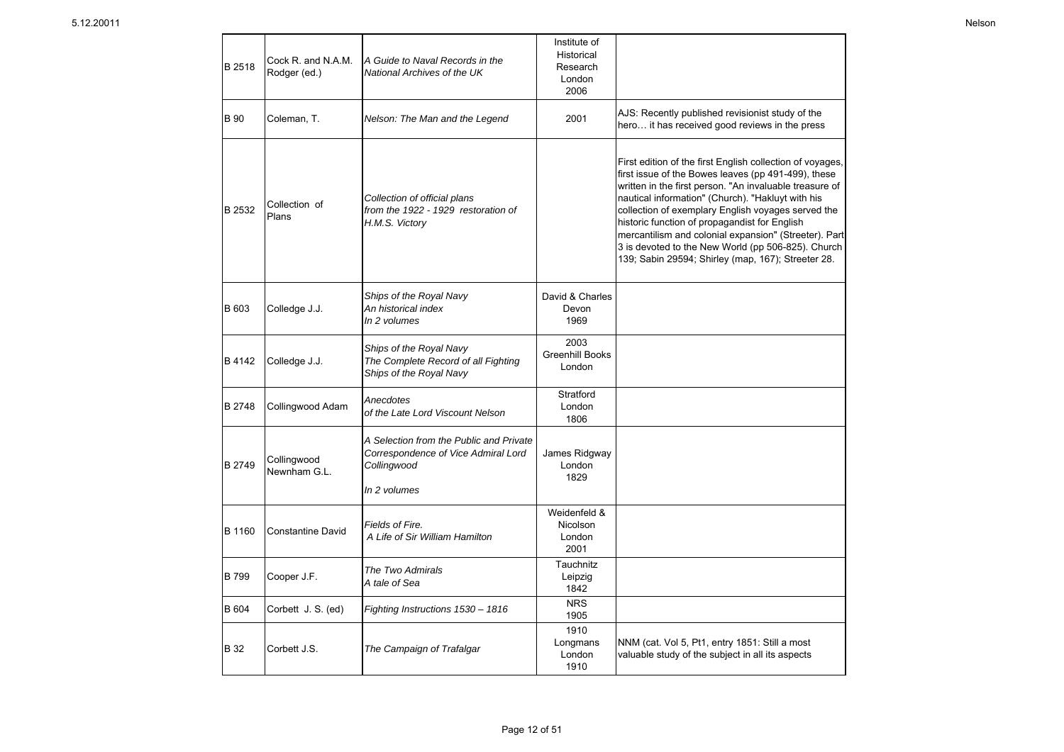| B 2518       | Cock R. and N.A.M.<br>Rodger (ed.) | A Guide to Naval Records in the<br>National Archives of the UK                                                | Institute of<br>Historical<br>Research<br>London<br>2006 |                                                                                                                                                                                                                                                                                                                                                                                                                                                                                                              |
|--------------|------------------------------------|---------------------------------------------------------------------------------------------------------------|----------------------------------------------------------|--------------------------------------------------------------------------------------------------------------------------------------------------------------------------------------------------------------------------------------------------------------------------------------------------------------------------------------------------------------------------------------------------------------------------------------------------------------------------------------------------------------|
| <b>B</b> 90  | Coleman, T.                        | Nelson: The Man and the Legend                                                                                | 2001                                                     | AJS: Recently published revisionist study of the<br>hero it has received good reviews in the press                                                                                                                                                                                                                                                                                                                                                                                                           |
| B 2532       | Collection of<br>Plans             | Collection of official plans<br>from the 1922 - 1929 restoration of<br>H.M.S. Victory                         |                                                          | First edition of the first English collection of voyages,<br>first issue of the Bowes leaves (pp 491-499), these<br>written in the first person. "An invaluable treasure of<br>nautical information" (Church). "Hakluyt with his<br>collection of exemplary English voyages served the<br>historic function of propagandist for English<br>mercantilism and colonial expansion" (Streeter). Part<br>3 is devoted to the New World (pp 506-825). Church<br>139; Sabin 29594; Shirley (map, 167); Streeter 28. |
| B 603        | Colledge J.J.                      | Ships of the Royal Navy<br>An historical index<br>In 2 volumes                                                | David & Charles<br>Devon<br>1969                         |                                                                                                                                                                                                                                                                                                                                                                                                                                                                                                              |
| B 4142       | Colledge J.J.                      | Ships of the Royal Navy<br>The Complete Record of all Fighting<br>Ships of the Royal Navy                     | 2003<br><b>Greenhill Books</b><br>London                 |                                                                                                                                                                                                                                                                                                                                                                                                                                                                                                              |
| B 2748       | Collingwood Adam                   | Anecdotes<br>of the Late Lord Viscount Nelson                                                                 | Stratford<br>London<br>1806                              |                                                                                                                                                                                                                                                                                                                                                                                                                                                                                                              |
| B 2749       | Collingwood<br>Newnham G.L.        | A Selection from the Public and Private<br>Correspondence of Vice Admiral Lord<br>Collingwood<br>In 2 volumes | James Ridgway<br>London<br>1829                          |                                                                                                                                                                                                                                                                                                                                                                                                                                                                                                              |
| B 1160       | <b>Constantine David</b>           | Fields of Fire.<br>A Life of Sir William Hamilton                                                             | Weidenfeld &<br>Nicolson<br>London<br>2001               |                                                                                                                                                                                                                                                                                                                                                                                                                                                                                                              |
| <b>B</b> 799 | Cooper J.F.                        | The Two Admirals<br>A tale of Sea                                                                             | Tauchnitz<br>Leipzig<br>1842                             |                                                                                                                                                                                                                                                                                                                                                                                                                                                                                                              |
| <b>B</b> 604 | Corbett J. S. (ed)                 | Fighting Instructions 1530 - 1816                                                                             | <b>NRS</b><br>1905                                       |                                                                                                                                                                                                                                                                                                                                                                                                                                                                                                              |
| <b>B</b> 32  | Corbett J.S.                       | The Campaign of Trafalgar                                                                                     | 1910<br>Longmans<br>London<br>1910                       | NNM (cat. Vol 5, Pt1, entry 1851: Still a most<br>valuable study of the subject in all its aspects                                                                                                                                                                                                                                                                                                                                                                                                           |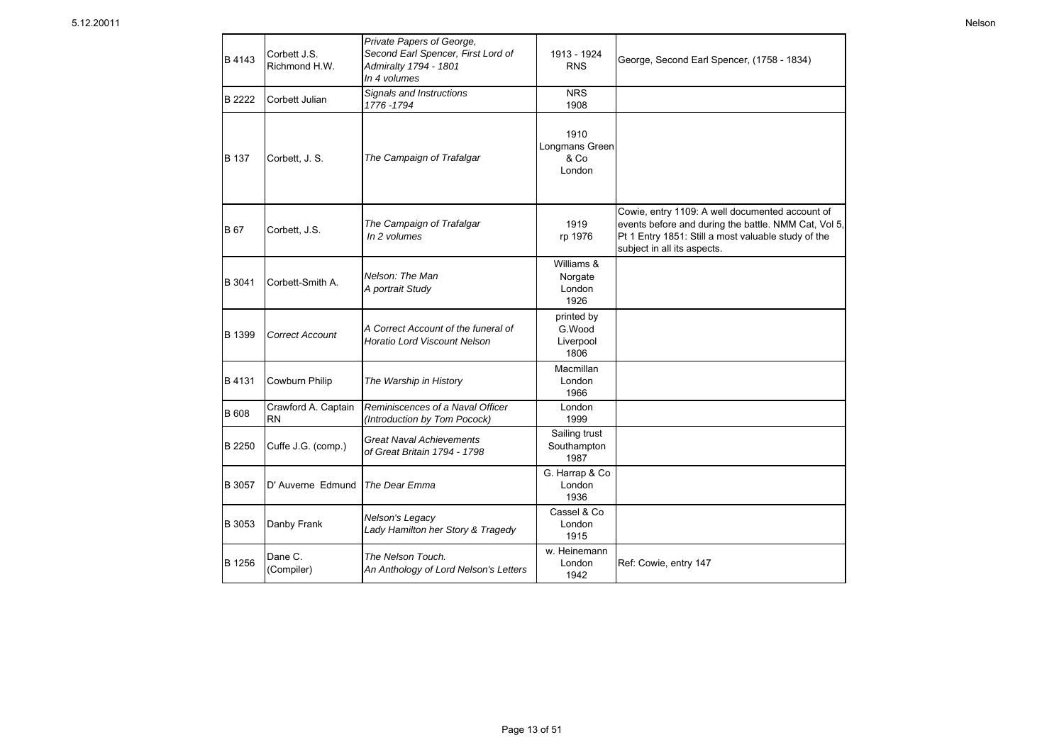| B 4143        | Corbett J.S.<br>Richmond H.W.    | Private Papers of George,<br>Second Earl Spencer, First Lord of<br>Admiralty 1794 - 1801<br>In 4 volumes | 1913 - 1924<br><b>RNS</b>                 | George, Second Earl Spencer, (1758 - 1834)                                                                                                                                                    |
|---------------|----------------------------------|----------------------------------------------------------------------------------------------------------|-------------------------------------------|-----------------------------------------------------------------------------------------------------------------------------------------------------------------------------------------------|
| B 2222        | Corbett Julian                   | Signals and Instructions<br>1776-1794                                                                    | <b>NRS</b><br>1908                        |                                                                                                                                                                                               |
| <b>B</b> 137  | Corbett, J. S.                   | The Campaign of Trafalgar                                                                                | 1910<br>Longmans Green<br>& Co<br>London  |                                                                                                                                                                                               |
| <b>B</b> 67   | Corbett, J.S.                    | The Campaign of Trafalgar<br>In 2 volumes                                                                | 1919<br>rp 1976                           | Cowie, entry 1109: A well documented account of<br>events before and during the battle. NMM Cat, Vol 5,<br>Pt 1 Entry 1851: Still a most valuable study of the<br>subject in all its aspects. |
| B 3041        | Corbett-Smith A.                 | Nelson: The Man<br>A portrait Study                                                                      | Williams &<br>Norgate<br>London<br>1926   |                                                                                                                                                                                               |
| B 1399        | Correct Account                  | A Correct Account of the funeral of<br><b>Horatio Lord Viscount Nelson</b>                               | printed by<br>G.Wood<br>Liverpool<br>1806 |                                                                                                                                                                                               |
| <b>B</b> 4131 | <b>Cowburn Philip</b>            | The Warship in History                                                                                   | Macmillan<br>London<br>1966               |                                                                                                                                                                                               |
| <b>B</b> 608  | Crawford A. Captain<br><b>RN</b> | Reminiscences of a Naval Officer<br>(Introduction by Tom Pocock)                                         | London<br>1999                            |                                                                                                                                                                                               |
| B 2250        | Cuffe J.G. (comp.)               | <b>Great Naval Achievements</b><br>of Great Britain 1794 - 1798                                          | Sailing trust<br>Southampton<br>1987      |                                                                                                                                                                                               |
| B 3057        | D' Auverne Edmund                | The Dear Emma                                                                                            | G. Harrap & Co<br>London<br>1936          |                                                                                                                                                                                               |
| <b>B</b> 3053 | Danby Frank                      | Nelson's Legacy<br>Lady Hamilton her Story & Tragedy                                                     | Cassel & Co<br>London<br>1915             |                                                                                                                                                                                               |
| B 1256        | Dane C.<br>(Compiler)            | The Nelson Touch.<br>An Anthology of Lord Nelson's Letters                                               | w. Heinemann<br>London<br>1942            | Ref: Cowie, entry 147                                                                                                                                                                         |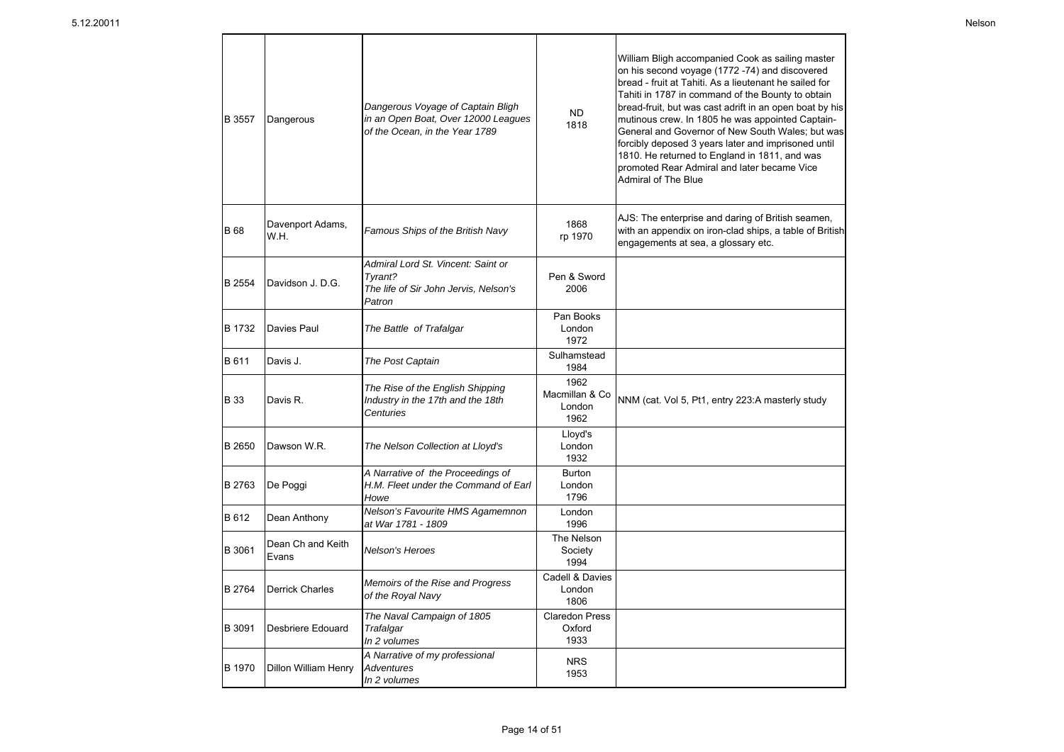| B 3557        | Dangerous                  | Dangerous Voyage of Captain Bligh<br>in an Open Boat, Over 12000 Leagues<br>of the Ocean, in the Year 1789 | <b>ND</b><br>1818                        | William Bligh accompanied Cook as sailing master<br>on his second voyage (1772 -74) and discovered<br>bread - fruit at Tahiti. As a lieutenant he sailed for<br>Tahiti in 1787 in command of the Bounty to obtain<br>bread-fruit, but was cast adrift in an open boat by his<br>mutinous crew. In 1805 he was appointed Captain-<br>General and Governor of New South Wales; but was<br>forcibly deposed 3 years later and imprisoned until<br>1810. He returned to England in 1811, and was<br>promoted Rear Admiral and later became Vice<br>Admiral of The Blue |
|---------------|----------------------------|------------------------------------------------------------------------------------------------------------|------------------------------------------|--------------------------------------------------------------------------------------------------------------------------------------------------------------------------------------------------------------------------------------------------------------------------------------------------------------------------------------------------------------------------------------------------------------------------------------------------------------------------------------------------------------------------------------------------------------------|
| <b>B</b> 68   | Davenport Adams,<br>W.H.   | Famous Ships of the British Navy                                                                           | 1868<br>rp 1970                          | AJS: The enterprise and daring of British seamen,<br>with an appendix on iron-clad ships, a table of British<br>engagements at sea, a glossary etc.                                                                                                                                                                                                                                                                                                                                                                                                                |
| <b>B</b> 2554 | Davidson J. D.G.           | Admiral Lord St. Vincent: Saint or<br>Tvrant?<br>The life of Sir John Jervis, Nelson's<br>Patron           | Pen & Sword<br>2006                      |                                                                                                                                                                                                                                                                                                                                                                                                                                                                                                                                                                    |
| B 1732        | Davies Paul                | The Battle of Trafalgar                                                                                    | Pan Books<br>London<br>1972              |                                                                                                                                                                                                                                                                                                                                                                                                                                                                                                                                                                    |
| <b>B</b> 611  | Davis J.                   | The Post Captain                                                                                           | Sulhamstead<br>1984                      |                                                                                                                                                                                                                                                                                                                                                                                                                                                                                                                                                                    |
| <b>B</b> 33   | Davis R.                   | The Rise of the English Shipping<br>Industry in the 17th and the 18th<br>Centuries                         | 1962<br>Macmillan & Co<br>London<br>1962 | NNM (cat. Vol 5, Pt1, entry 223:A masterly study                                                                                                                                                                                                                                                                                                                                                                                                                                                                                                                   |
| B 2650        | Dawson W.R.                | The Nelson Collection at Lloyd's                                                                           | Lloyd's<br>London<br>1932                |                                                                                                                                                                                                                                                                                                                                                                                                                                                                                                                                                                    |
| B 2763        | De Poggi                   | A Narrative of the Proceedings of<br>H.M. Fleet under the Command of Earl<br>Howe                          | <b>Burton</b><br>London<br>1796          |                                                                                                                                                                                                                                                                                                                                                                                                                                                                                                                                                                    |
| B 612         | Dean Anthony               | Nelson's Favourite HMS Agamemnon<br>at War 1781 - 1809                                                     | London<br>1996                           |                                                                                                                                                                                                                                                                                                                                                                                                                                                                                                                                                                    |
| B 3061        | Dean Ch and Keith<br>Evans | Nelson's Heroes                                                                                            | The Nelson<br>Society<br>1994            |                                                                                                                                                                                                                                                                                                                                                                                                                                                                                                                                                                    |
| B 2764        | <b>Derrick Charles</b>     | Memoirs of the Rise and Progress<br>of the Royal Navy                                                      | Cadell & Davies<br>London<br>1806        |                                                                                                                                                                                                                                                                                                                                                                                                                                                                                                                                                                    |
| B 3091        | Desbriere Edouard          | The Naval Campaign of 1805<br>Trafalgar<br>In 2 volumes                                                    | <b>Claredon Press</b><br>Oxford<br>1933  |                                                                                                                                                                                                                                                                                                                                                                                                                                                                                                                                                                    |
| <b>B</b> 1970 | Dillon William Henry       | A Narrative of my professional<br><b>Adventures</b><br>In 2 volumes                                        | <b>NRS</b><br>1953                       |                                                                                                                                                                                                                                                                                                                                                                                                                                                                                                                                                                    |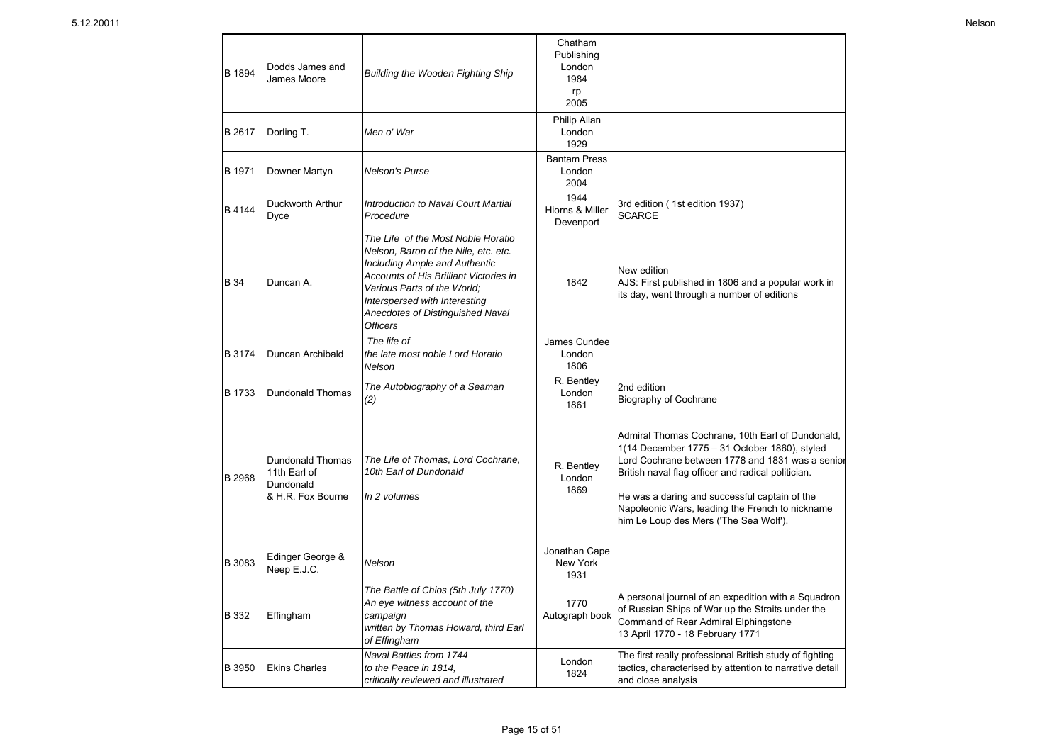| B 1894        | Dodds James and<br>James Moore                                     | Building the Wooden Fighting Ship                                                                                                                                                                                                                                                   | Chatham<br>Publishing<br>London<br>1984<br>rp<br>2005 |                                                                                                                                                                                                                                                                                                                                                           |
|---------------|--------------------------------------------------------------------|-------------------------------------------------------------------------------------------------------------------------------------------------------------------------------------------------------------------------------------------------------------------------------------|-------------------------------------------------------|-----------------------------------------------------------------------------------------------------------------------------------------------------------------------------------------------------------------------------------------------------------------------------------------------------------------------------------------------------------|
| B 2617        | Dorling T.                                                         | Men o' War                                                                                                                                                                                                                                                                          | Philip Allan<br>London<br>1929                        |                                                                                                                                                                                                                                                                                                                                                           |
| B 1971        | Downer Martyn                                                      | <b>Nelson's Purse</b>                                                                                                                                                                                                                                                               | <b>Bantam Press</b><br>London<br>2004                 |                                                                                                                                                                                                                                                                                                                                                           |
| B 4144        | Duckworth Arthur<br>Dyce                                           | Introduction to Naval Court Martial<br>Procedure                                                                                                                                                                                                                                    | 1944<br>Hiorns & Miller<br>Devenport                  | 3rd edition (1st edition 1937)<br><b>SCARCE</b>                                                                                                                                                                                                                                                                                                           |
| <b>B</b> 34   | Duncan A.                                                          | The Life of the Most Noble Horatio<br>Nelson, Baron of the Nile, etc. etc.<br><b>Including Ample and Authentic</b><br>Accounts of His Brilliant Victories in<br>Various Parts of the World:<br>Interspersed with Interesting<br>Anecdotes of Distinguished Naval<br><b>Officers</b> | 1842                                                  | New edition<br>AJS: First published in 1806 and a popular work in<br>its day, went through a number of editions                                                                                                                                                                                                                                           |
| B 3174        | Duncan Archibald                                                   | The life of<br>the late most noble Lord Horatio<br>Nelson                                                                                                                                                                                                                           | James Cundee<br>London<br>1806                        |                                                                                                                                                                                                                                                                                                                                                           |
| B 1733        | Dundonald Thomas                                                   | The Autobiography of a Seaman<br>(2)                                                                                                                                                                                                                                                | R. Bentley<br>London<br>1861                          | 2nd edition<br><b>Biography of Cochrane</b>                                                                                                                                                                                                                                                                                                               |
| B 2968        | Dundonald Thomas<br>11th Earl of<br>Dundonald<br>& H.R. Fox Bourne | The Life of Thomas, Lord Cochrane,<br>10th Earl of Dundonald<br>In 2 volumes                                                                                                                                                                                                        | R. Bentley<br>London<br>1869                          | Admiral Thomas Cochrane, 10th Earl of Dundonald,<br>1(14 December 1775 - 31 October 1860), styled<br>Lord Cochrane between 1778 and 1831 was a senior<br>British naval flag officer and radical politician.<br>He was a daring and successful captain of the<br>Napoleonic Wars, leading the French to nickname<br>him Le Loup des Mers ('The Sea Wolf'). |
| B 3083        | Edinger George &<br>Neep E.J.C.                                    | Nelson                                                                                                                                                                                                                                                                              | Jonathan Cape<br>New York<br>1931                     |                                                                                                                                                                                                                                                                                                                                                           |
| <b>B</b> 332  | Effingham                                                          | The Battle of Chios (5th July 1770)<br>An eye witness account of the<br>campaign<br>written by Thomas Howard, third Earl<br>of Effingham                                                                                                                                            | 1770<br>Autograph book                                | A personal journal of an expedition with a Squadron<br>of Russian Ships of War up the Straits under the<br>Command of Rear Admiral Elphingstone<br>13 April 1770 - 18 February 1771                                                                                                                                                                       |
| <b>B</b> 3950 | <b>Ekins Charles</b>                                               | Naval Battles from 1744<br>to the Peace in 1814.<br>critically reviewed and illustrated                                                                                                                                                                                             | London<br>1824                                        | The first really professional British study of fighting<br>tactics, characterised by attention to narrative detail<br>and close analysis                                                                                                                                                                                                                  |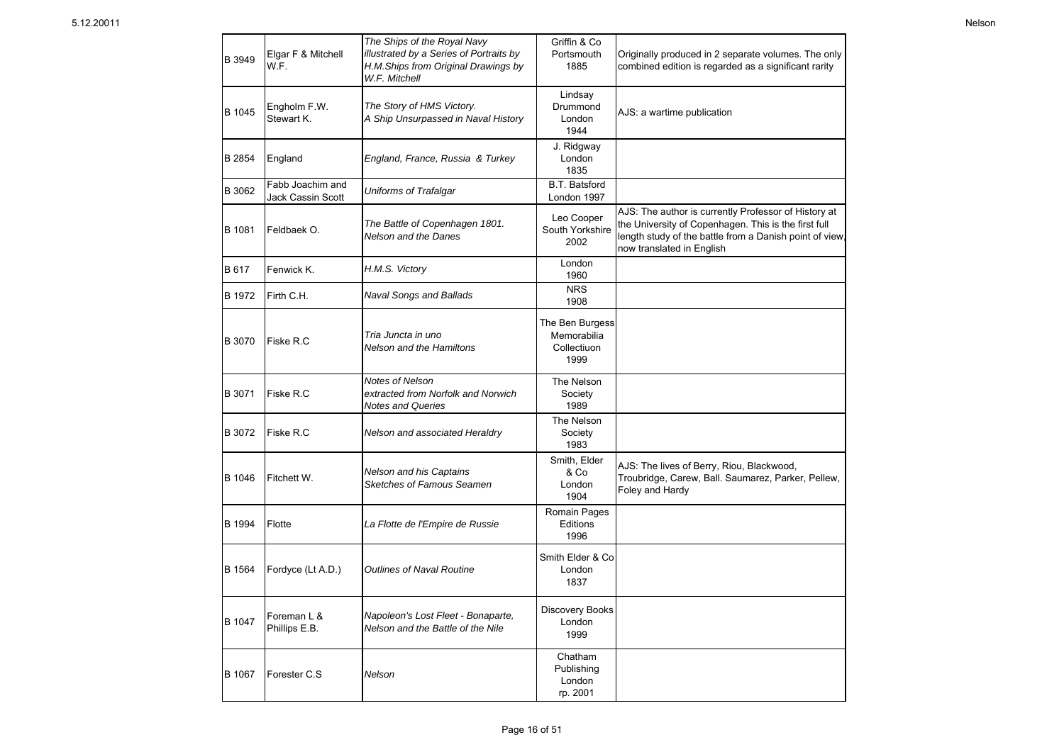B 1067 Forester C.S

B 1994 Flotte

B 1047

B 1564 Fordyce (Lt A.D.) *Outlines of Naval Routine*

*Nelson*

*La Flotte de l'Empire de Russie*

Foreman L & **Phillips E.B.** *Napoleon's Lost Fleet - Bonaparte,* **Discovery Books**<br>Phillips E.B. *Nelson and the Battle of the Nile* 1999

|        |                                       | The Ships of the Royal Navy                                                                     | Griffin & Co                                          |                                                                                                                                                                                                      |
|--------|---------------------------------------|-------------------------------------------------------------------------------------------------|-------------------------------------------------------|------------------------------------------------------------------------------------------------------------------------------------------------------------------------------------------------------|
| B 3949 | Elgar F & Mitchell<br>W.F.            | illustrated by a Series of Portraits by<br>H.M.Ships from Original Drawings by<br>W.F. Mitchell | Portsmouth<br>1885                                    | Originally produced in 2 separate volumes. The only<br>combined edition is regarded as a significant rarity                                                                                          |
| B 1045 | Engholm F.W.<br>Stewart K.            | The Story of HMS Victory.<br>A Ship Unsurpassed in Naval History                                | Lindsay<br>Drummond<br>London<br>1944                 | AJS: a wartime publication                                                                                                                                                                           |
| B 2854 | England                               | England, France, Russia & Turkey                                                                | J. Ridgway<br>London<br>1835                          |                                                                                                                                                                                                      |
| B 3062 | Fabb Joachim and<br>Jack Cassin Scott | Uniforms of Trafalgar                                                                           | <b>B.T. Batsford</b><br>London 1997                   |                                                                                                                                                                                                      |
| B 1081 | Feldbaek O.                           | The Battle of Copenhagen 1801.<br>Nelson and the Danes                                          | Leo Cooper<br>South Yorkshire<br>2002                 | AJS: The author is currently Professor of History at<br>the University of Copenhagen. This is the first full<br>length study of the battle from a Danish point of view,<br>now translated in English |
| B 617  | Fenwick K.                            | H.M.S. Victory                                                                                  | London<br>1960                                        |                                                                                                                                                                                                      |
| B 1972 | Firth C.H.                            | Naval Songs and Ballads                                                                         | <b>NRS</b><br>1908                                    |                                                                                                                                                                                                      |
| B 3070 | Fiske R.C                             | Tria Juncta in uno<br><b>Nelson and the Hamiltons</b>                                           | The Ben Burgess<br>Memorabilia<br>Collectiuon<br>1999 |                                                                                                                                                                                                      |
| B 3071 | Fiske R.C                             | Notes of Nelson<br>extracted from Norfolk and Norwich<br><b>Notes and Queries</b>               | The Nelson<br>Society<br>1989                         |                                                                                                                                                                                                      |
| B 3072 | Fiske R.C                             | Nelson and associated Heraldry                                                                  | The Nelson<br>Society<br>1983                         |                                                                                                                                                                                                      |
| B 1046 | Fitchett W.                           | Nelson and his Captains<br>Sketches of Famous Seamen                                            | Smith, Elder<br>& Co<br>London<br>1904                | AJS: The lives of Berry, Riou, Blackwood,<br>Troubridge, Carew, Ball. Saumarez, Parker, Pellew,<br>Foley and Hardy                                                                                   |
|        |                                       |                                                                                                 | Romain Pages                                          |                                                                                                                                                                                                      |

**Editions** 1996

Smith Elder & Co London 1837

1999

Chatham Publishing London rp. 2001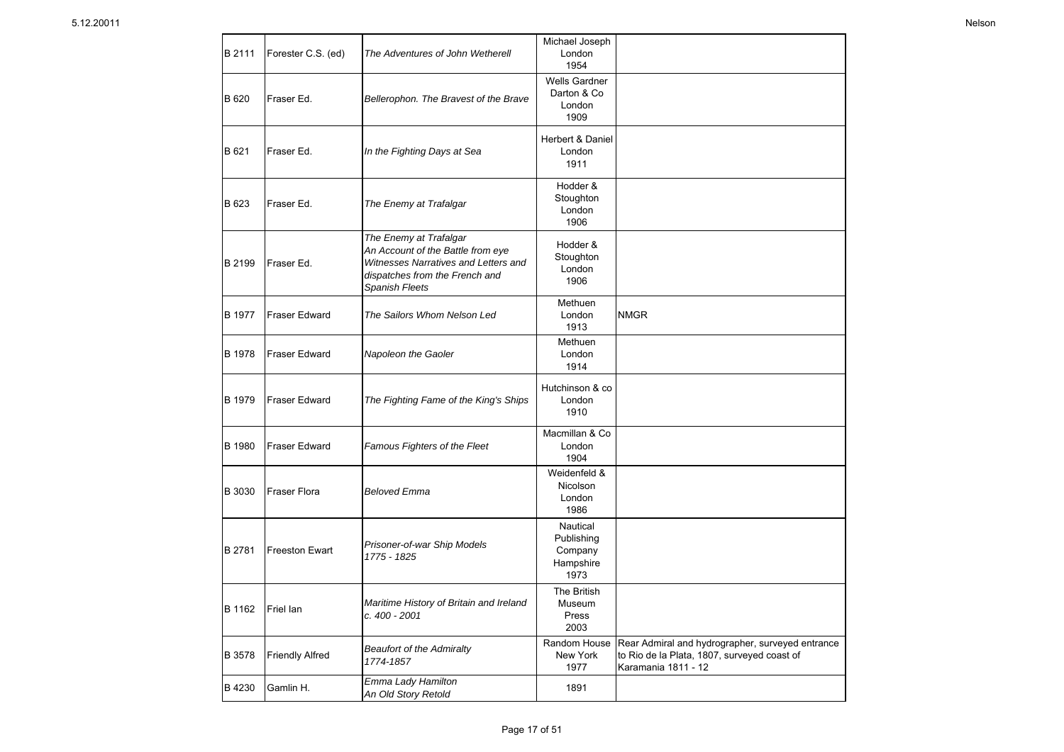| B 2111        | Forester C.S. (ed)     | The Adventures of John Wetherell                                                                                                                        | Michael Joseph<br>London<br>1954                       |                                                                                                                        |
|---------------|------------------------|---------------------------------------------------------------------------------------------------------------------------------------------------------|--------------------------------------------------------|------------------------------------------------------------------------------------------------------------------------|
| B 620         | Fraser Ed.             | Bellerophon. The Bravest of the Brave                                                                                                                   | <b>Wells Gardner</b><br>Darton & Co<br>London<br>1909  |                                                                                                                        |
| B 621         | Fraser Ed.             | In the Fighting Days at Sea                                                                                                                             | Herbert & Daniel<br>London<br>1911                     |                                                                                                                        |
| B 623         | Fraser Ed.             | The Enemy at Trafalgar                                                                                                                                  | Hodder &<br>Stoughton<br>London<br>1906                |                                                                                                                        |
| B 2199        | Fraser Ed.             | The Enemy at Trafalgar<br>An Account of the Battle from eye<br>Witnesses Narratives and Letters and<br>dispatches from the French and<br>Spanish Fleets | Hodder &<br>Stoughton<br>London<br>1906                |                                                                                                                        |
| B 1977        | <b>Fraser Edward</b>   | The Sailors Whom Nelson Led                                                                                                                             | Methuen<br>London<br>1913                              | <b>NMGR</b>                                                                                                            |
| B 1978        | <b>Fraser Edward</b>   | Napoleon the Gaoler                                                                                                                                     | Methuen<br>London<br>1914                              |                                                                                                                        |
| B 1979        | Fraser Edward          | The Fighting Fame of the King's Ships                                                                                                                   | Hutchinson & co<br>London<br>1910                      |                                                                                                                        |
| <b>B</b> 1980 | <b>Fraser Edward</b>   | Famous Fighters of the Fleet                                                                                                                            | Macmillan & Co<br>London<br>1904                       |                                                                                                                        |
| B 3030        | <b>Fraser Flora</b>    | <b>Beloved Emma</b>                                                                                                                                     | Weidenfeld &<br>Nicolson<br>London<br>1986             |                                                                                                                        |
| B 2781        | Freeston Ewart         | Prisoner-of-war Ship Models<br>1775 - 1825                                                                                                              | Nautical<br>Publishing<br>Company<br>Hampshire<br>1973 |                                                                                                                        |
| B 1162        | Friel lan              | Maritime History of Britain and Ireland<br>c. 400 - 2001                                                                                                | The British<br>Museum<br>Press<br>2003                 |                                                                                                                        |
| B 3578        | <b>Friendly Alfred</b> | <b>Beaufort of the Admiralty</b><br>1774-1857                                                                                                           | Random House<br>New York<br>1977                       | Rear Admiral and hydrographer, surveyed entrance<br>to Rio de la Plata, 1807, surveyed coast of<br>Karamania 1811 - 12 |
| B 4230        | Gamlin H.              | Emma Lady Hamilton<br>An Old Story Retold                                                                                                               | 1891                                                   |                                                                                                                        |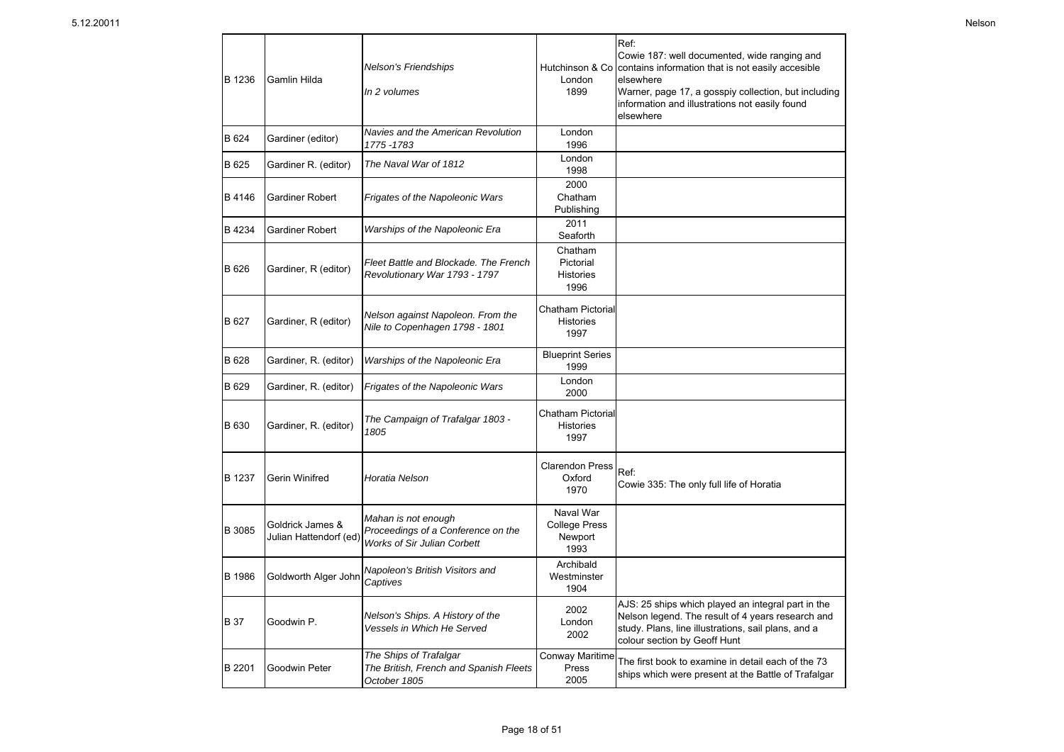| B 1236        | Gamlin Hilda                              | <b>Nelson's Friendships</b><br>In 2 volumes                                                     | Hutchinson & Co<br>London<br>1899                    | Ref:<br>Cowie 187: well documented, wide ranging and<br>contains information that is not easily accesible<br>elsewhere<br>Warner, page 17, a gosspiy collection, but including<br>information and illustrations not easily found<br>elsewhere |
|---------------|-------------------------------------------|-------------------------------------------------------------------------------------------------|------------------------------------------------------|-----------------------------------------------------------------------------------------------------------------------------------------------------------------------------------------------------------------------------------------------|
| B 624         | Gardiner (editor)                         | Navies and the American Revolution<br>1775-1783                                                 | London<br>1996                                       |                                                                                                                                                                                                                                               |
| B 625         | Gardiner R. (editor)                      | The Naval War of 1812                                                                           | London<br>1998                                       |                                                                                                                                                                                                                                               |
| B 4146        | Gardiner Robert                           | Frigates of the Napoleonic Wars                                                                 | 2000<br>Chatham<br>Publishing                        |                                                                                                                                                                                                                                               |
| B 4234        | <b>Gardiner Robert</b>                    | Warships of the Napoleonic Era                                                                  | 2011<br>Seaforth                                     |                                                                                                                                                                                                                                               |
| B 626         | Gardiner, R (editor)                      | Fleet Battle and Blockade. The French<br>Revolutionary War 1793 - 1797                          | Chatham<br>Pictorial<br><b>Histories</b><br>1996     |                                                                                                                                                                                                                                               |
| B 627         | Gardiner, R (editor)                      | Nelson against Napoleon. From the<br>Nile to Copenhagen 1798 - 1801                             | Chatham Pictorial<br><b>Histories</b><br>1997        |                                                                                                                                                                                                                                               |
| B 628         | Gardiner, R. (editor)                     | Warships of the Napoleonic Era                                                                  | <b>Blueprint Series</b><br>1999                      |                                                                                                                                                                                                                                               |
| B 629         | Gardiner, R. (editor)                     | Frigates of the Napoleonic Wars                                                                 | London<br>2000                                       |                                                                                                                                                                                                                                               |
| <b>B</b> 630  | Gardiner, R. (editor)                     | The Campaign of Trafalgar 1803 -<br>1805                                                        | Chatham Pictorial<br><b>Histories</b><br>1997        |                                                                                                                                                                                                                                               |
| B 1237        | Gerin Winifred                            | Horatia Nelson                                                                                  | <b>Clarendon Press</b><br>Oxford<br>1970             | Ref:<br>Cowie 335: The only full life of Horatia                                                                                                                                                                                              |
| B 3085        | Goldrick James &<br>Julian Hattendorf (ed | Mahan is not enough<br>Proceedings of a Conference on the<br><b>Works of Sir Julian Corbett</b> | Naval War<br><b>College Press</b><br>Newport<br>1993 |                                                                                                                                                                                                                                               |
| <b>B</b> 1986 | Goldworth Alger John                      | Napoleon's British Visitors and<br>Captives                                                     | Archibald<br>Westminster<br>1904                     |                                                                                                                                                                                                                                               |
| <b>B</b> 37   | Goodwin P.                                | Nelson's Ships. A History of the<br>Vessels in Which He Served                                  | 2002<br>London<br>2002                               | AJS: 25 ships which played an integral part in the<br>Nelson legend. The result of 4 years research and<br>study. Plans, line illustrations, sail plans, and a<br>colour section by Geoff Hunt                                                |
| B 2201        | Goodwin Peter                             | The Ships of Trafalgar<br>The British, French and Spanish Fleets<br>October 1805                | Conway Maritime<br>Press<br>2005                     | The first book to examine in detail each of the 73<br>ships which were present at the Battle of Trafalgar                                                                                                                                     |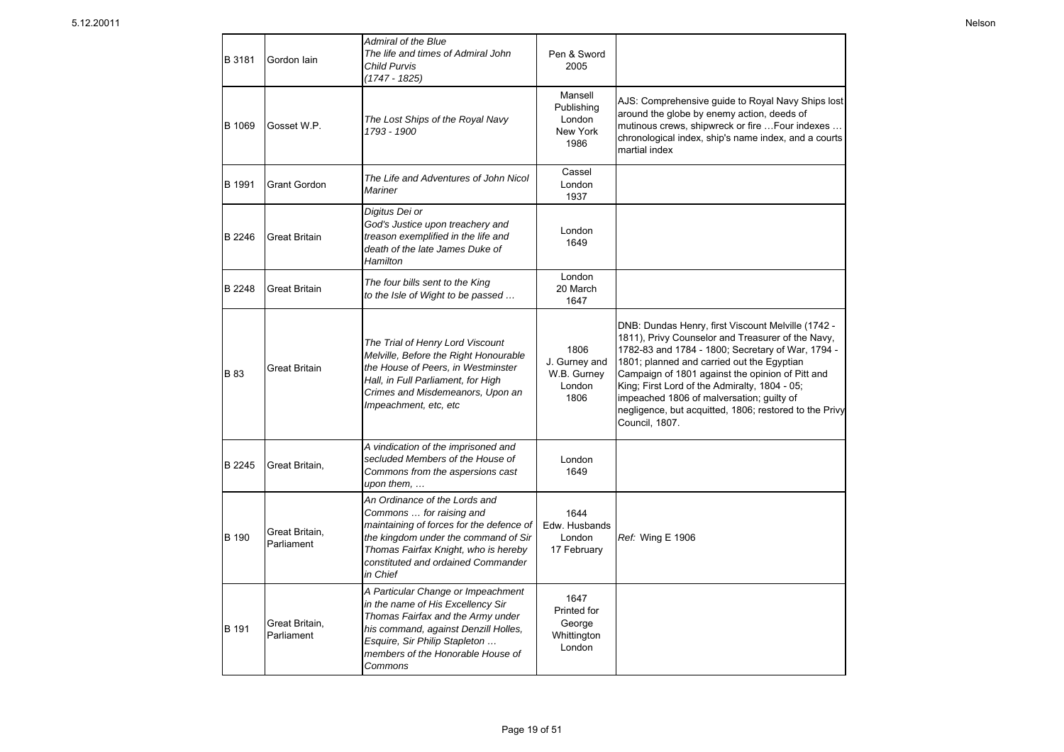| B 3181 | Gordon Iain                  | Admiral of the Blue<br>The life and times of Admiral John<br><b>Child Purvis</b><br>$(1747 - 1825)$                                                                                                                                     | Pen & Sword<br>2005                                    |                                                                                                                                                                                                                                                                                                                                                                                                                                          |
|--------|------------------------------|-----------------------------------------------------------------------------------------------------------------------------------------------------------------------------------------------------------------------------------------|--------------------------------------------------------|------------------------------------------------------------------------------------------------------------------------------------------------------------------------------------------------------------------------------------------------------------------------------------------------------------------------------------------------------------------------------------------------------------------------------------------|
| B 1069 | Gosset W.P.                  | The Lost Ships of the Royal Navy<br>1793 - 1900                                                                                                                                                                                         | Mansell<br>Publishing<br>London<br>New York<br>1986    | AJS: Comprehensive guide to Royal Navy Ships lost<br>around the globe by enemy action, deeds of<br>mutinous crews, shipwreck or fire  Four indexes<br>chronological index, ship's name index, and a courts<br>martial index                                                                                                                                                                                                              |
| B 1991 | <b>Grant Gordon</b>          | The Life and Adventures of John Nicol<br>Mariner                                                                                                                                                                                        | Cassel<br>London<br>1937                               |                                                                                                                                                                                                                                                                                                                                                                                                                                          |
| B 2246 | <b>Great Britain</b>         | Digitus Dei or<br>God's Justice upon treachery and<br>treason exemplified in the life and<br>death of the late James Duke of<br>Hamilton                                                                                                | London<br>1649                                         |                                                                                                                                                                                                                                                                                                                                                                                                                                          |
| B 2248 | <b>Great Britain</b>         | The four bills sent to the King<br>to the Isle of Wight to be passed                                                                                                                                                                    | London<br>20 March<br>1647                             |                                                                                                                                                                                                                                                                                                                                                                                                                                          |
| B 83   | Great Britain                | The Trial of Henry Lord Viscount<br>Melville, Before the Right Honourable<br>the House of Peers, in Westminster<br>Hall, in Full Parliament, for High<br>Crimes and Misdemeanors, Upon an<br>Impeachment, etc, etc                      | 1806<br>J. Gurney and<br>W.B. Gurney<br>London<br>1806 | DNB: Dundas Henry, first Viscount Melville (1742 -<br>1811), Privy Counselor and Treasurer of the Navy,<br>1782-83 and 1784 - 1800; Secretary of War, 1794 -<br>1801; planned and carried out the Egyptian<br>Campaign of 1801 against the opinion of Pitt and<br>King; First Lord of the Admiralty, 1804 - 05;<br>impeached 1806 of malversation; guilty of<br>negligence, but acquitted, 1806; restored to the Privy<br>Council, 1807. |
| B 2245 | Great Britain,               | A vindication of the imprisoned and<br>secluded Members of the House of<br>Commons from the aspersions cast<br>upon them,                                                                                                               | London<br>1649                                         |                                                                                                                                                                                                                                                                                                                                                                                                                                          |
| B 190  | Great Britain,<br>Parliament | An Ordinance of the Lords and<br>Commons  for raising and<br>maintaining of forces for the defence of<br>the kingdom under the command of Sir<br>Thomas Fairfax Knight, who is hereby<br>constituted and ordained Commander<br>in Chief | 1644<br>Edw. Husbands<br>London<br>17 February         | Ref: Wing E 1906                                                                                                                                                                                                                                                                                                                                                                                                                         |
| B 191  | Great Britain,<br>Parliament | A Particular Change or Impeachment<br>in the name of His Excellency Sir<br>Thomas Fairfax and the Army under<br>his command, against Denzill Holles,<br>Esquire, Sir Philip Stapleton<br>members of the Honorable House of<br>Commons   | 1647<br>Printed for<br>George<br>Whittington<br>London |                                                                                                                                                                                                                                                                                                                                                                                                                                          |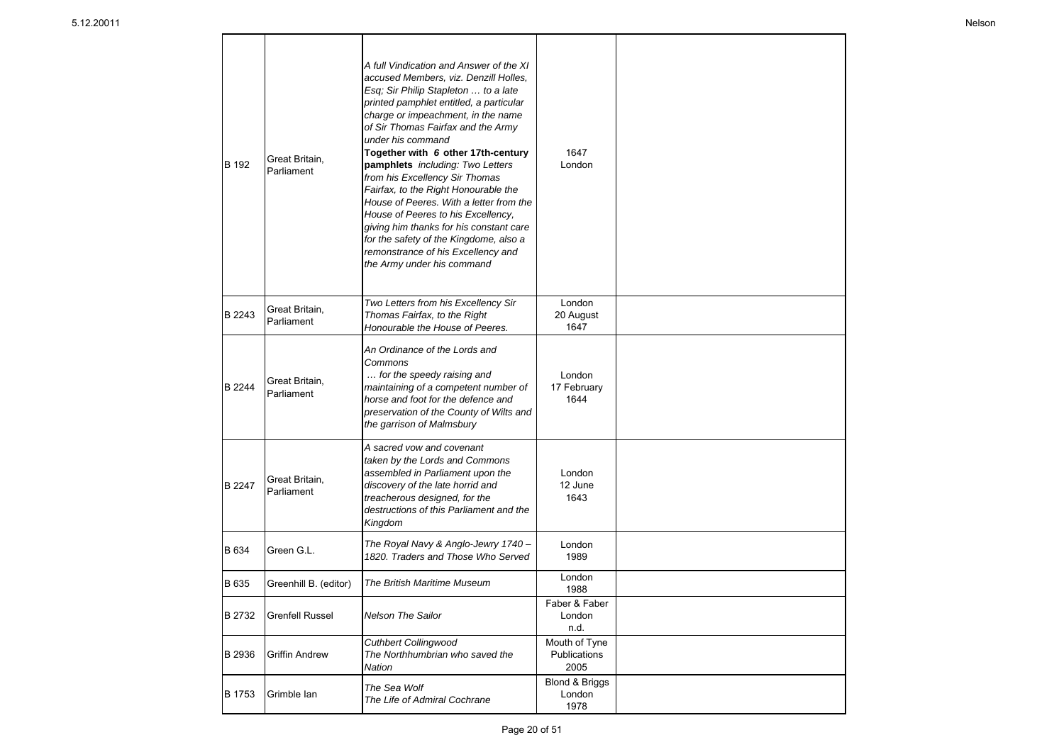| B 192  | Great Britain,<br>Parliament | A full Vindication and Answer of the XI<br>accused Members, viz. Denzill Holles,<br>Esq; Sir Philip Stapleton  to a late<br>printed pamphlet entitled, a particular<br>charge or impeachment, in the name<br>of Sir Thomas Fairfax and the Army<br>under his command<br>Together with 6 other 17th-century<br>pamphlets including: Two Letters<br>from his Excellency Sir Thomas<br>Fairfax, to the Right Honourable the<br>House of Peeres. With a letter from the<br>House of Peeres to his Excellency.<br>giving him thanks for his constant care<br>for the safety of the Kingdome, also a<br>remonstrance of his Excellency and<br>the Army under his command | 1647<br>London                        |  |
|--------|------------------------------|--------------------------------------------------------------------------------------------------------------------------------------------------------------------------------------------------------------------------------------------------------------------------------------------------------------------------------------------------------------------------------------------------------------------------------------------------------------------------------------------------------------------------------------------------------------------------------------------------------------------------------------------------------------------|---------------------------------------|--|
| B 2243 | Great Britain,<br>Parliament | Two Letters from his Excellency Sir<br>Thomas Fairfax, to the Right<br>Honourable the House of Peeres.                                                                                                                                                                                                                                                                                                                                                                                                                                                                                                                                                             | London<br>20 August<br>1647           |  |
| B 2244 | Great Britain,<br>Parliament | An Ordinance of the Lords and<br>Commons<br>for the speedy raising and<br>maintaining of a competent number of<br>horse and foot for the defence and<br>preservation of the County of Wilts and<br>the garrison of Malmsbury                                                                                                                                                                                                                                                                                                                                                                                                                                       | London<br>17 February<br>1644         |  |
| B 2247 | Great Britain,<br>Parliament | A sacred vow and covenant<br>taken by the Lords and Commons<br>assembled in Parliament upon the<br>discovery of the late horrid and<br>treacherous designed, for the<br>destructions of this Parliament and the<br>Kingdom                                                                                                                                                                                                                                                                                                                                                                                                                                         | London<br>12 June<br>1643             |  |
| B 634  | Green G.L.                   | The Royal Navy & Anglo-Jewry 1740 -<br>1820. Traders and Those Who Served                                                                                                                                                                                                                                                                                                                                                                                                                                                                                                                                                                                          | London<br>1989                        |  |
| B 635  | Greenhill B. (editor)        | The British Maritime Museum                                                                                                                                                                                                                                                                                                                                                                                                                                                                                                                                                                                                                                        | London<br>1988                        |  |
| B 2732 | <b>Grenfell Russel</b>       | Nelson The Sailor                                                                                                                                                                                                                                                                                                                                                                                                                                                                                                                                                                                                                                                  | Faber & Faber<br>London<br>n.d.       |  |
| B 2936 | <b>Griffin Andrew</b>        | Cuthbert Collingwood<br>The Northhumbrian who saved the<br>Nation                                                                                                                                                                                                                                                                                                                                                                                                                                                                                                                                                                                                  | Mouth of Tyne<br>Publications<br>2005 |  |
| B 1753 | Grimble Ian                  | The Sea Wolf<br>The Life of Admiral Cochrane                                                                                                                                                                                                                                                                                                                                                                                                                                                                                                                                                                                                                       | Blond & Briggs<br>London<br>1978      |  |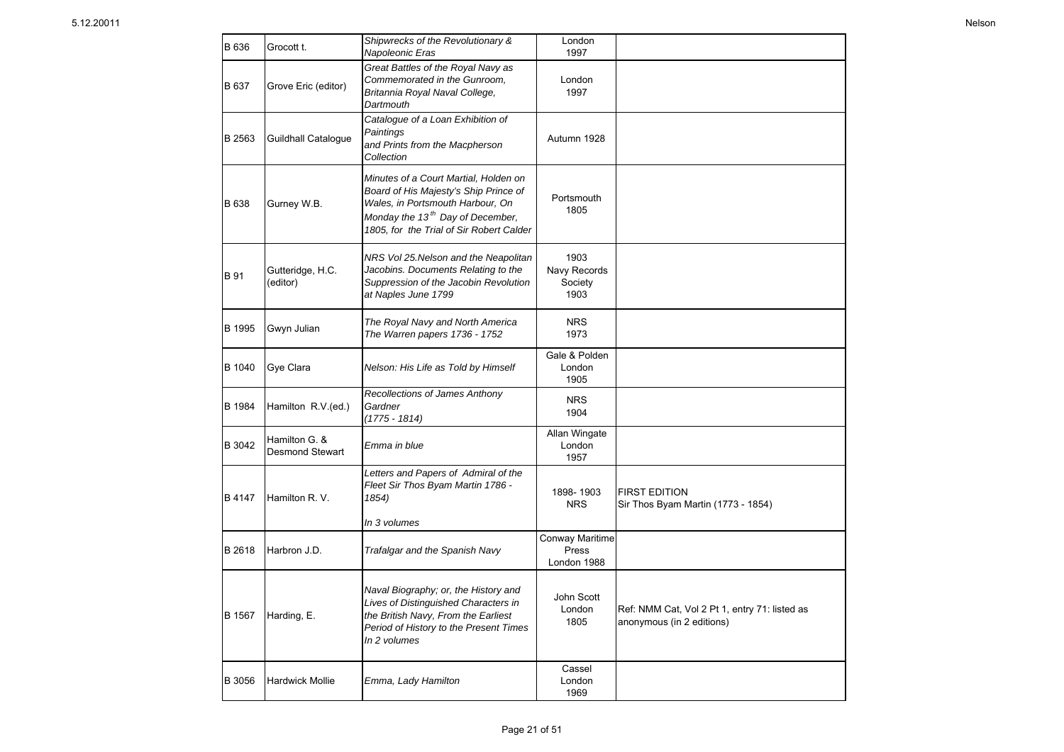| B 636         | Grocott t.                              | Shipwrecks of the Revolutionary &<br>Napoleonic Eras                                                                                                                                                           | London<br>1997                          |                                                                            |
|---------------|-----------------------------------------|----------------------------------------------------------------------------------------------------------------------------------------------------------------------------------------------------------------|-----------------------------------------|----------------------------------------------------------------------------|
| B 637         | Grove Eric (editor)                     | Great Battles of the Royal Navy as<br>Commemorated in the Gunroom,<br>Britannia Royal Naval College,<br>Dartmouth                                                                                              | London<br>1997                          |                                                                            |
| B 2563        | Guildhall Catalogue                     | Catalogue of a Loan Exhibition of<br>Paintings<br>and Prints from the Macpherson<br>Collection                                                                                                                 | Autumn 1928                             |                                                                            |
| B 638         | Gurney W.B.                             | Minutes of a Court Martial, Holden on<br>Board of His Majesty's Ship Prince of<br>Wales, in Portsmouth Harbour, On<br>Monday the 13 <sup>th</sup> Day of December,<br>1805, for the Trial of Sir Robert Calder | Portsmouth<br>1805                      |                                                                            |
| <b>B</b> 91   | Gutteridge, H.C.<br>(editor)            | NRS Vol 25.Nelson and the Neapolitan<br>Jacobins. Documents Relating to the<br>Suppression of the Jacobin Revolution<br>at Naples June 1799                                                                    | 1903<br>Navy Records<br>Society<br>1903 |                                                                            |
| B 1995        | Gwyn Julian                             | The Royal Navy and North America<br>The Warren papers 1736 - 1752                                                                                                                                              | <b>NRS</b><br>1973                      |                                                                            |
| B 1040        | Gye Clara                               | Nelson: His Life as Told by Himself                                                                                                                                                                            | Gale & Polden<br>London<br>1905         |                                                                            |
| B 1984        | Hamilton R.V.(ed.)                      | Recollections of James Anthony<br>Gardner<br>(1775 - 1814)                                                                                                                                                     | <b>NRS</b><br>1904                      |                                                                            |
| B 3042        | Hamilton G. &<br><b>Desmond Stewart</b> | Emma in blue                                                                                                                                                                                                   | Allan Wingate<br>London<br>1957         |                                                                            |
| B 4147        | Hamilton R. V.                          | Letters and Papers of Admiral of the<br>Fleet Sir Thos Byam Martin 1786 -<br>1854)                                                                                                                             | 1898-1903<br><b>NRS</b>                 | <b>FIRST EDITION</b><br>Sir Thos Byam Martin (1773 - 1854)                 |
|               |                                         | In 3 volumes                                                                                                                                                                                                   |                                         |                                                                            |
| <b>B</b> 2618 | Harbron J.D.                            | Trafalgar and the Spanish Navy                                                                                                                                                                                 | Conway Maritime<br>Press<br>London 1988 |                                                                            |
| B 1567        | Harding, E.                             | Naval Biography; or, the History and<br>Lives of Distinguished Characters in<br>the British Navy, From the Earliest<br>Period of History to the Present Times<br>In 2 volumes                                  | John Scott<br>London<br>1805            | Ref: NMM Cat, Vol 2 Pt 1, entry 71: listed as<br>anonymous (in 2 editions) |
| B 3056        | <b>Hardwick Mollie</b>                  | Emma, Lady Hamilton                                                                                                                                                                                            | Cassel<br>London<br>1969                |                                                                            |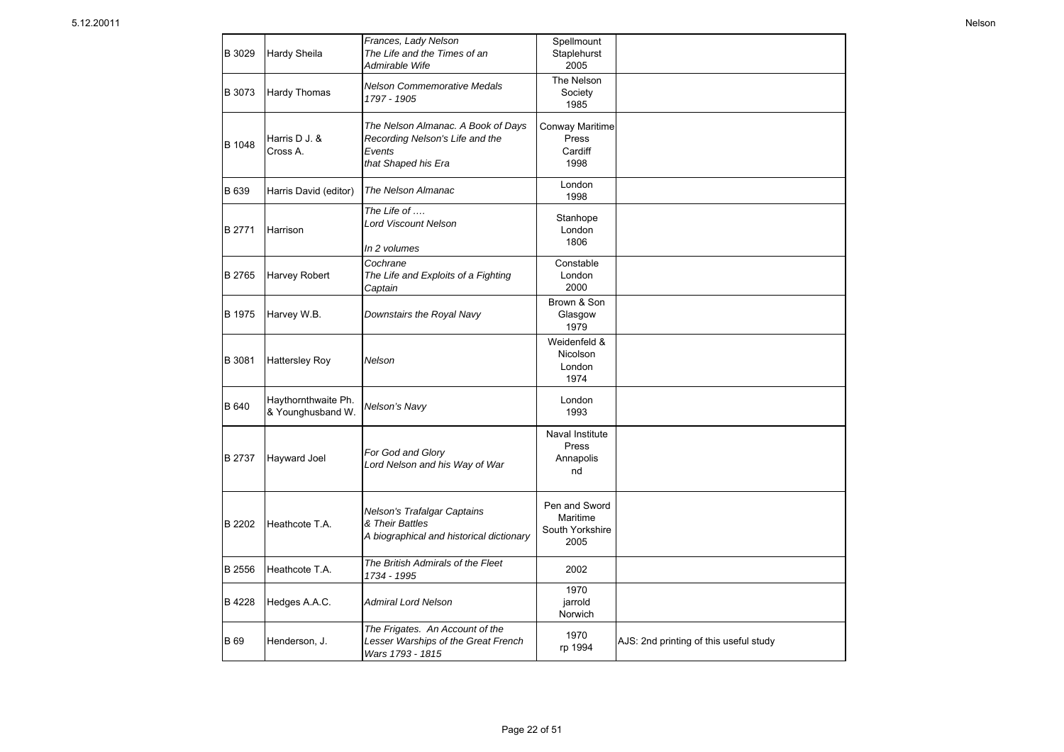| B 3029      | Hardy Sheila                             | Frances, Lady Nelson<br>The Life and the Times of an<br>Admirable Wife                                 | Spellmount<br>Staplehurst<br>2005                    |                                        |
|-------------|------------------------------------------|--------------------------------------------------------------------------------------------------------|------------------------------------------------------|----------------------------------------|
| B 3073      | Hardy Thomas                             | Nelson Commemorative Medals<br>1797 - 1905                                                             | The Nelson<br>Society<br>1985                        |                                        |
| B 1048      | Harris D J. &<br>Cross A.                | The Nelson Almanac. A Book of Days<br>Recording Nelson's Life and the<br>Events<br>that Shaped his Era | <b>Conway Maritime</b><br>Press<br>Cardiff<br>1998   |                                        |
| B 639       | Harris David (editor)                    | The Nelson Almanac                                                                                     | London<br>1998                                       |                                        |
| B 2771      | Harrison                                 | The Life of<br>Lord Viscount Nelson<br>In 2 volumes                                                    | Stanhope<br>London<br>1806                           |                                        |
| B 2765      | Harvey Robert                            | Cochrane<br>The Life and Exploits of a Fighting<br>Captain                                             | Constable<br>London<br>2000                          |                                        |
| B 1975      | Harvey W.B.                              | Downstairs the Royal Navy                                                                              | Brown & Son<br>Glasgow<br>1979                       |                                        |
| B 3081      | <b>Hattersley Roy</b>                    | Nelson                                                                                                 | Weidenfeld &<br>Nicolson<br>London<br>1974           |                                        |
| B 640       | Haythornthwaite Ph.<br>& Younghusband W. | Nelson's Navy                                                                                          | London<br>1993                                       |                                        |
| B 2737      | Hayward Joel                             | For God and Glory<br>Lord Nelson and his Way of War                                                    | Naval Institute<br>Press<br>Annapolis<br>nd          |                                        |
| B 2202      | Heathcote T.A.                           | Nelson's Trafalgar Captains<br>& Their Battles<br>A biographical and historical dictionary             | Pen and Sword<br>Maritime<br>South Yorkshire<br>2005 |                                        |
| B 2556      | Heathcote T.A.                           | The British Admirals of the Fleet<br>1734 - 1995                                                       | 2002                                                 |                                        |
| B 4228      | Hedges A.A.C.                            | Admiral Lord Nelson                                                                                    | 1970<br>jarrold<br>Norwich                           |                                        |
| <b>B</b> 69 | Henderson, J.                            | The Frigates. An Account of the<br>Lesser Warships of the Great French<br>Wars 1793 - 1815             | 1970<br>rp 1994                                      | AJS: 2nd printing of this useful study |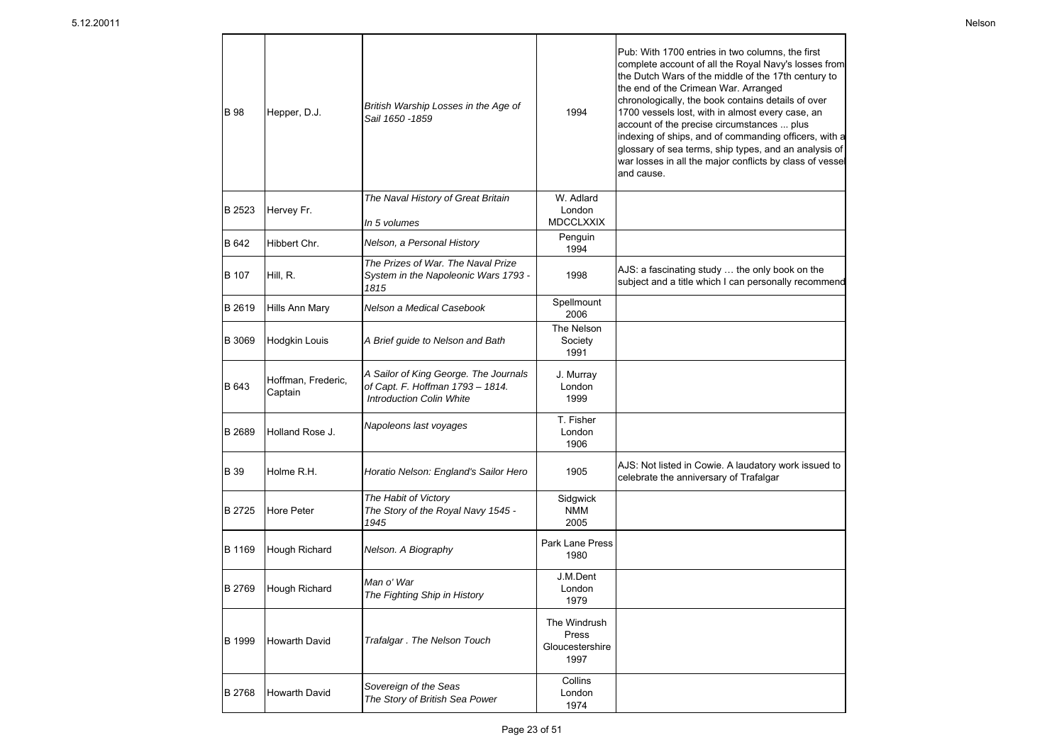| <b>B</b> 98 | Hepper, D.J.                  | British Warship Losses in the Age of<br>Sail 1650 - 1859                                                     | 1994                                             | Pub: With 1700 entries in two columns, the first<br>complete account of all the Royal Navy's losses from<br>the Dutch Wars of the middle of the 17th century to<br>the end of the Crimean War. Arranged<br>chronologically, the book contains details of over<br>1700 vessels lost, with in almost every case, an<br>account of the precise circumstances  plus<br>indexing of ships, and of commanding officers, with a<br>glossary of sea terms, ship types, and an analysis of<br>war losses in all the major conflicts by class of vessel<br>and cause. |
|-------------|-------------------------------|--------------------------------------------------------------------------------------------------------------|--------------------------------------------------|-------------------------------------------------------------------------------------------------------------------------------------------------------------------------------------------------------------------------------------------------------------------------------------------------------------------------------------------------------------------------------------------------------------------------------------------------------------------------------------------------------------------------------------------------------------|
| B 2523      | Hervey Fr.                    | The Naval History of Great Britain<br>In 5 volumes                                                           | W. Adlard<br>London<br><b>MDCCLXXIX</b>          |                                                                                                                                                                                                                                                                                                                                                                                                                                                                                                                                                             |
| B 642       | Hibbert Chr.                  | Nelson, a Personal History                                                                                   | Penguin                                          |                                                                                                                                                                                                                                                                                                                                                                                                                                                                                                                                                             |
| B 107       | Hill, R.                      | The Prizes of War. The Naval Prize<br>System in the Napoleonic Wars 1793 -<br>1815                           | 1994<br>1998                                     | AJS: a fascinating study  the only book on the<br>subject and a title which I can personally recommend                                                                                                                                                                                                                                                                                                                                                                                                                                                      |
| B 2619      | Hills Ann Mary                | Nelson a Medical Casebook                                                                                    | Spellmount<br>2006                               |                                                                                                                                                                                                                                                                                                                                                                                                                                                                                                                                                             |
| B 3069      | Hodgkin Louis                 | A Brief guide to Nelson and Bath                                                                             | The Nelson<br>Society<br>1991                    |                                                                                                                                                                                                                                                                                                                                                                                                                                                                                                                                                             |
| B 643       | Hoffman, Frederic,<br>Captain | A Sailor of King George. The Journals<br>of Capt. F. Hoffman 1793 - 1814.<br><b>Introduction Colin White</b> | J. Murray<br>London<br>1999                      |                                                                                                                                                                                                                                                                                                                                                                                                                                                                                                                                                             |
| B 2689      | Holland Rose J.               | Napoleons last voyages                                                                                       | T. Fisher<br>London<br>1906                      |                                                                                                                                                                                                                                                                                                                                                                                                                                                                                                                                                             |
| B 39        | Holme R.H.                    | Horatio Nelson: England's Sailor Hero                                                                        | 1905                                             | AJS: Not listed in Cowie. A laudatory work issued to<br>celebrate the anniversary of Trafalgar                                                                                                                                                                                                                                                                                                                                                                                                                                                              |
| B 2725      | Hore Peter                    | The Habit of Victory<br>The Story of the Royal Navy 1545 -<br>1945                                           | Sidgwick<br><b>NMM</b><br>2005                   |                                                                                                                                                                                                                                                                                                                                                                                                                                                                                                                                                             |
| B 1169      | Hough Richard                 | Nelson. A Biography                                                                                          | <b>Park Lane Press</b><br>1980                   |                                                                                                                                                                                                                                                                                                                                                                                                                                                                                                                                                             |
| B 2769      | Hough Richard                 | Man o' War<br>The Fighting Ship in History                                                                   | J.M.Dent<br>London<br>1979                       |                                                                                                                                                                                                                                                                                                                                                                                                                                                                                                                                                             |
| B 1999      | Howarth David                 | Trafalgar. The Nelson Touch                                                                                  | The Windrush<br>Press<br>Gloucestershire<br>1997 |                                                                                                                                                                                                                                                                                                                                                                                                                                                                                                                                                             |
| B 2768      | Howarth David                 | Sovereign of the Seas<br>The Story of British Sea Power                                                      | Collins<br>London<br>1974                        |                                                                                                                                                                                                                                                                                                                                                                                                                                                                                                                                                             |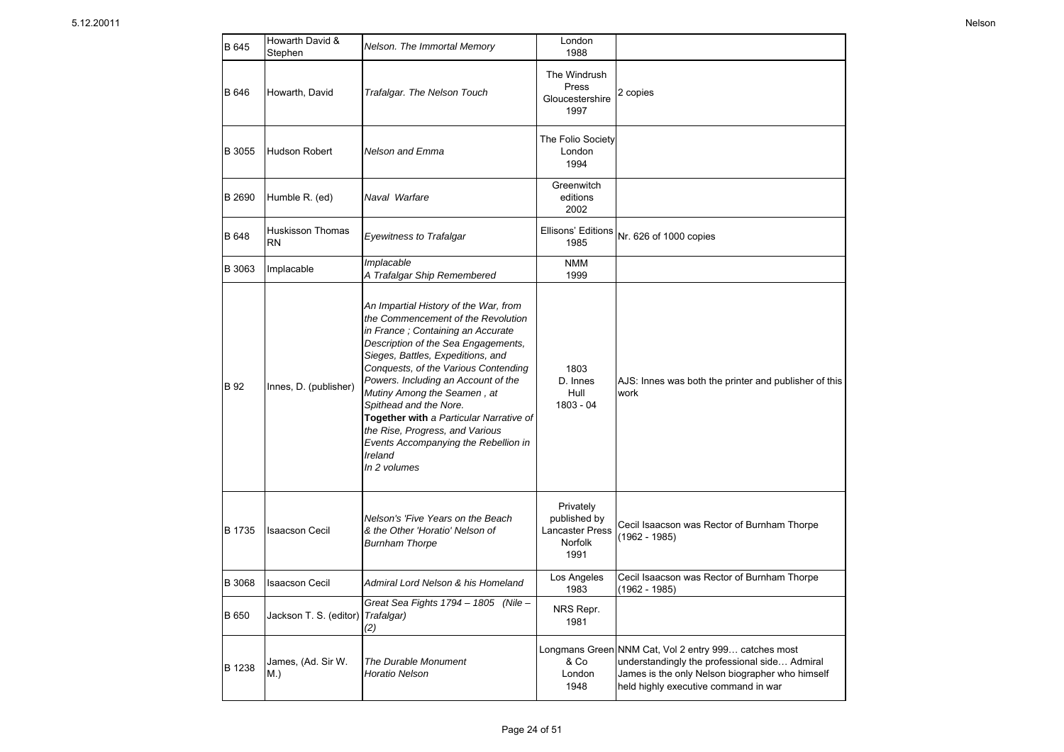| B 645  | Howarth David &<br>Stephen           | Nelson. The Immortal Memory                                                                                                                                                                                                                                                                                                                                                                                                                                                           | London<br>1988                                                         |                                                                                                                                                                                                  |
|--------|--------------------------------------|---------------------------------------------------------------------------------------------------------------------------------------------------------------------------------------------------------------------------------------------------------------------------------------------------------------------------------------------------------------------------------------------------------------------------------------------------------------------------------------|------------------------------------------------------------------------|--------------------------------------------------------------------------------------------------------------------------------------------------------------------------------------------------|
| B 646  | Howarth, David                       | Trafalgar. The Nelson Touch                                                                                                                                                                                                                                                                                                                                                                                                                                                           | The Windrush<br>Press<br>Gloucestershire<br>1997                       | 2 copies                                                                                                                                                                                         |
| B 3055 | <b>Hudson Robert</b>                 | <b>Nelson and Emma</b>                                                                                                                                                                                                                                                                                                                                                                                                                                                                | The Folio Society<br>London<br>1994                                    |                                                                                                                                                                                                  |
| B 2690 | Humble R. (ed)                       | Naval Warfare                                                                                                                                                                                                                                                                                                                                                                                                                                                                         | Greenwitch<br>editions<br>2002                                         |                                                                                                                                                                                                  |
| B 648  | <b>Huskisson Thomas</b><br><b>RN</b> | <b>Eyewitness to Trafalgar</b>                                                                                                                                                                                                                                                                                                                                                                                                                                                        | Ellisons' Editions<br>1985                                             | Nr. 626 of 1000 copies                                                                                                                                                                           |
| B 3063 | Implacable                           | Implacable<br>A Trafalgar Ship Remembered                                                                                                                                                                                                                                                                                                                                                                                                                                             | <b>NMM</b><br>1999                                                     |                                                                                                                                                                                                  |
| B 92   | Innes, D. (publisher)                | An Impartial History of the War, from<br>the Commencement of the Revolution<br>in France; Containing an Accurate<br>Description of the Sea Engagements,<br>Sieges, Battles, Expeditions, and<br>Conquests, of the Various Contending<br>Powers. Including an Account of the<br>Mutiny Among the Seamen, at<br>Spithead and the Nore.<br>Together with a Particular Narrative of<br>the Rise, Progress, and Various<br>Events Accompanying the Rebellion in<br>Ireland<br>In 2 volumes | 1803<br>D. Innes<br>Hull<br>$1803 - 04$                                | AJS: Innes was both the printer and publisher of this<br>work                                                                                                                                    |
| B 1735 | <b>Isaacson Cecil</b>                | Nelson's 'Five Years on the Beach<br>& the Other 'Horatio' Nelson of<br><b>Burnham Thorpe</b>                                                                                                                                                                                                                                                                                                                                                                                         | Privately<br>published by<br><b>Lancaster Press</b><br>Norfolk<br>1991 | Cecil Isaacson was Rector of Burnham Thorpe<br>$(1962 - 1985)$                                                                                                                                   |
| B 3068 | <b>Isaacson Cecil</b>                | Admiral Lord Nelson & his Homeland                                                                                                                                                                                                                                                                                                                                                                                                                                                    | Los Angeles<br>1983                                                    | Cecil Isaacson was Rector of Burnham Thorpe<br>(1962 - 1985)                                                                                                                                     |
| B 650  | Jackson T. S. (editor)               | Great Sea Fights 1794 - 1805 (Nile -<br>Trafalgar)<br>(2)                                                                                                                                                                                                                                                                                                                                                                                                                             | NRS Repr.<br>1981                                                      |                                                                                                                                                                                                  |
| B 1238 | James, (Ad. Sir W.<br>M.)            | The Durable Monument<br>Horatio Nelson                                                                                                                                                                                                                                                                                                                                                                                                                                                | & Co<br>London<br>1948                                                 | Longmans Green NNM Cat, Vol 2 entry 999 catches most<br>understandingly the professional side Admiral<br>James is the only Nelson biographer who himself<br>held highly executive command in war |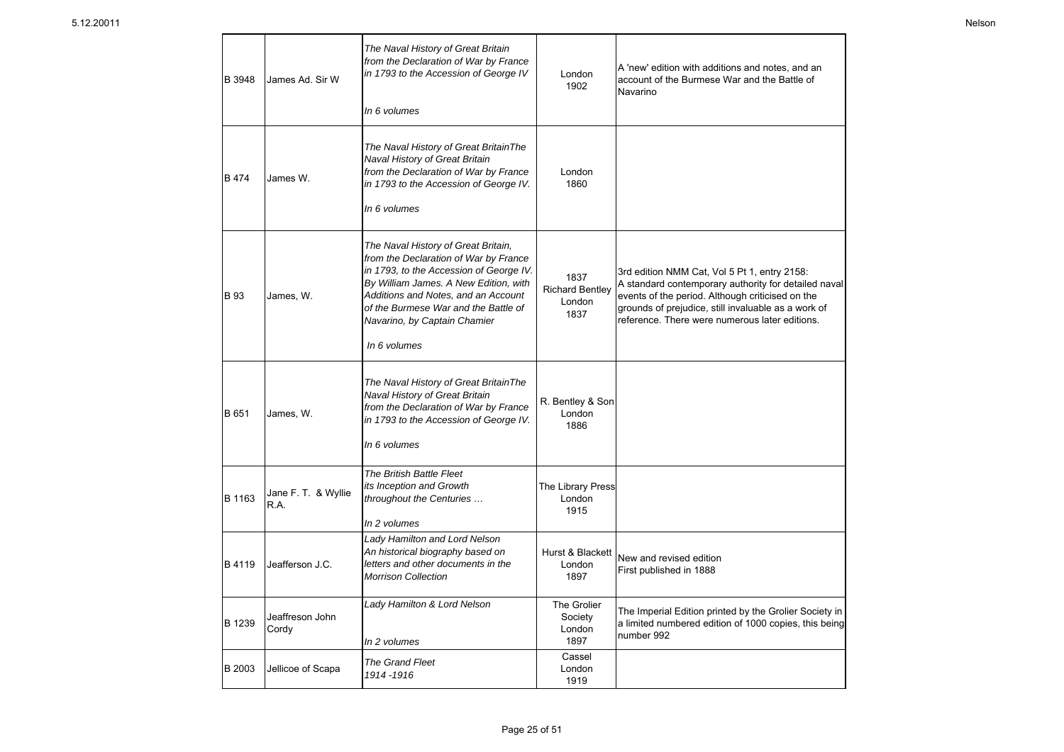| B 3948        | James Ad. Sir W             | The Naval History of Great Britain<br>from the Declaration of War by France<br>in 1793 to the Accession of George IV<br>In 6 volumes                                                                                                                                                            | London<br>1902                                   | A 'new' edition with additions and notes, and an<br>account of the Burmese War and the Battle of<br>Navarino                                                                                                                                                      |
|---------------|-----------------------------|-------------------------------------------------------------------------------------------------------------------------------------------------------------------------------------------------------------------------------------------------------------------------------------------------|--------------------------------------------------|-------------------------------------------------------------------------------------------------------------------------------------------------------------------------------------------------------------------------------------------------------------------|
| <b>B</b> 474  | James W.                    | The Naval History of Great BritainThe<br>Naval History of Great Britain<br>from the Declaration of War by France<br>in 1793 to the Accession of George IV.<br>In 6 volumes                                                                                                                      | London<br>1860                                   |                                                                                                                                                                                                                                                                   |
| <b>B</b> 93   | James, W.                   | The Naval History of Great Britain,<br>from the Declaration of War by France<br>in 1793, to the Accession of George IV.<br>By William James. A New Edition, with<br>Additions and Notes, and an Account<br>of the Burmese War and the Battle of<br>Navarino, by Captain Chamier<br>In 6 volumes | 1837<br><b>Richard Bentley</b><br>London<br>1837 | 3rd edition NMM Cat, Vol 5 Pt 1, entry 2158:<br>A standard contemporary authority for detailed naval<br>events of the period. Although criticised on the<br>grounds of prejudice, still invaluable as a work of<br>reference. There were numerous later editions. |
| B 651         | James, W.                   | The Naval History of Great BritainThe<br>Naval History of Great Britain<br>from the Declaration of War by France<br>in 1793 to the Accession of George IV.<br>In 6 volumes                                                                                                                      | R. Bentley & Son<br>London<br>1886               |                                                                                                                                                                                                                                                                   |
| B 1163        | Jane F. T. & Wyllie<br>R.A. | The British Battle Fleet<br>its Inception and Growth<br>throughout the Centuries<br>In 2 volumes                                                                                                                                                                                                | The Library Press<br>London<br>1915              |                                                                                                                                                                                                                                                                   |
| B 4119        | Jeafferson J.C.             | Lady Hamilton and Lord Nelson<br>An historical biography based on<br>letters and other documents in the<br><b>Morrison Collection</b>                                                                                                                                                           | Hurst & Blackett<br>London<br>1897               | New and revised edition<br>First published in 1888                                                                                                                                                                                                                |
| B 1239        | Jeaffreson John<br>Cordy    | Lady Hamilton & Lord Nelson<br>In 2 volumes                                                                                                                                                                                                                                                     | The Grolier<br>Society<br>London<br>1897         | The Imperial Edition printed by the Grolier Society in<br>a limited numbered edition of 1000 copies, this being<br>number 992                                                                                                                                     |
| <b>B</b> 2003 | Jellicoe of Scapa           | The Grand Fleet<br>1914-1916                                                                                                                                                                                                                                                                    | Cassel<br>London<br>1919                         |                                                                                                                                                                                                                                                                   |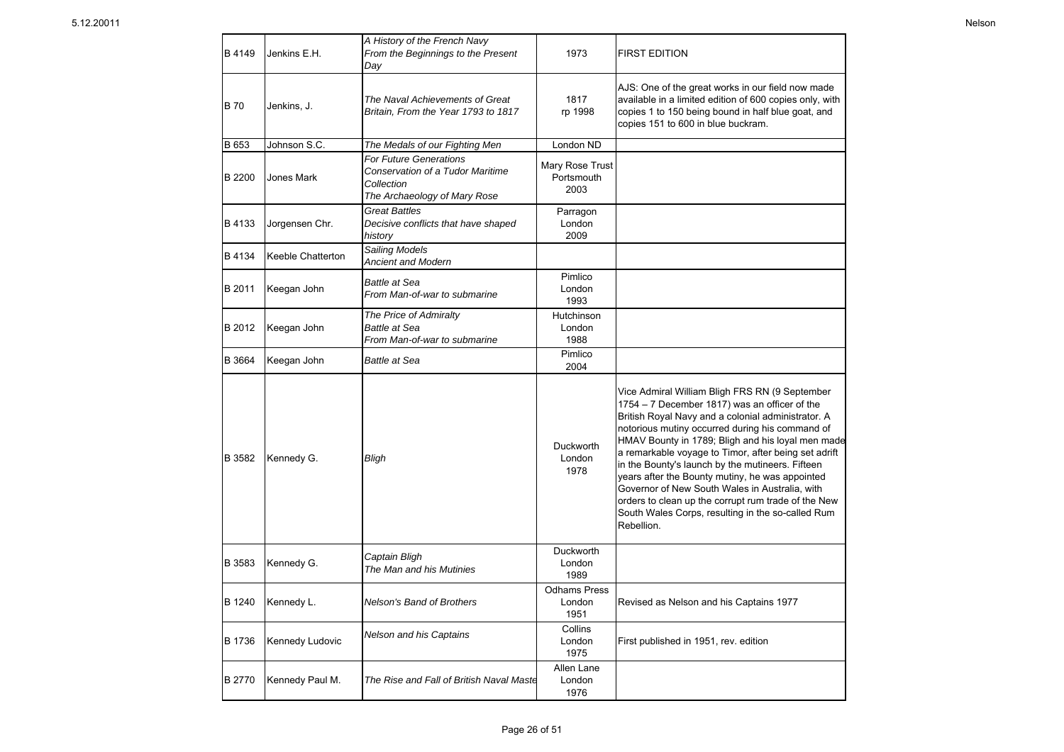| B 4149        | Jenkins E.H.      | A History of the French Navy<br>From the Beginnings to the Present<br>Day                                       | 1973                                  | <b>FIRST EDITION</b>                                                                                                                                                                                                                                                                                                                                                                                                                                                                                                                                                                                     |
|---------------|-------------------|-----------------------------------------------------------------------------------------------------------------|---------------------------------------|----------------------------------------------------------------------------------------------------------------------------------------------------------------------------------------------------------------------------------------------------------------------------------------------------------------------------------------------------------------------------------------------------------------------------------------------------------------------------------------------------------------------------------------------------------------------------------------------------------|
| <b>B</b> 70   | Jenkins, J.       | The Naval Achievements of Great<br>Britain. From the Year 1793 to 1817                                          | 1817<br>rp 1998                       | AJS: One of the great works in our field now made<br>available in a limited edition of 600 copies only, with<br>copies 1 to 150 being bound in half blue goat, and<br>copies 151 to 600 in blue buckram.                                                                                                                                                                                                                                                                                                                                                                                                 |
| B 653         | Johnson S.C.      | The Medals of our Fighting Men                                                                                  | London ND                             |                                                                                                                                                                                                                                                                                                                                                                                                                                                                                                                                                                                                          |
| B 2200        | <b>Jones Mark</b> | <b>For Future Generations</b><br>Conservation of a Tudor Maritime<br>Collection<br>The Archaeology of Mary Rose | Mary Rose Trust<br>Portsmouth<br>2003 |                                                                                                                                                                                                                                                                                                                                                                                                                                                                                                                                                                                                          |
| B 4133        | Jorgensen Chr.    | <b>Great Battles</b><br>Decisive conflicts that have shaped<br>history                                          | Parragon<br>London<br>2009            |                                                                                                                                                                                                                                                                                                                                                                                                                                                                                                                                                                                                          |
| B 4134        | Keeble Chatterton | Sailing Models<br><b>Ancient and Modern</b>                                                                     |                                       |                                                                                                                                                                                                                                                                                                                                                                                                                                                                                                                                                                                                          |
| B 2011        | Keegan John       | <b>Battle at Sea</b><br>From Man-of-war to submarine                                                            | Pimlico<br>London<br>1993             |                                                                                                                                                                                                                                                                                                                                                                                                                                                                                                                                                                                                          |
| B 2012        | Keegan John       | The Price of Admiralty<br><b>Battle at Sea</b><br>From Man-of-war to submarine                                  | Hutchinson<br>London<br>1988          |                                                                                                                                                                                                                                                                                                                                                                                                                                                                                                                                                                                                          |
| B 3664        | Keegan John       | <b>Battle at Sea</b>                                                                                            | Pimlico<br>2004                       |                                                                                                                                                                                                                                                                                                                                                                                                                                                                                                                                                                                                          |
| B 3582        | Kennedy G.        | Bligh                                                                                                           | Duckworth<br>London<br>1978           | Vice Admiral William Bligh FRS RN (9 September<br>1754 - 7 December 1817) was an officer of the<br>British Royal Navy and a colonial administrator. A<br>notorious mutiny occurred during his command of<br>HMAV Bounty in 1789; Bligh and his loyal men made<br>a remarkable voyage to Timor, after being set adrift<br>in the Bounty's launch by the mutineers. Fifteen<br>years after the Bounty mutiny, he was appointed<br>Governor of New South Wales in Australia, with<br>orders to clean up the corrupt rum trade of the New<br>South Wales Corps, resulting in the so-called Rum<br>Rebellion. |
| B 3583        | Kennedy G.        | Captain Bligh<br>The Man and his Mutinies                                                                       | Duckworth<br>London<br>1989           |                                                                                                                                                                                                                                                                                                                                                                                                                                                                                                                                                                                                          |
| B 1240        | Kennedy L.        | Nelson's Band of Brothers                                                                                       | <b>Odhams Press</b><br>London<br>1951 | Revised as Nelson and his Captains 1977                                                                                                                                                                                                                                                                                                                                                                                                                                                                                                                                                                  |
| <b>B</b> 1736 | Kennedy Ludovic   | Nelson and his Captains                                                                                         | Collins<br>London<br>1975             | First published in 1951, rev. edition                                                                                                                                                                                                                                                                                                                                                                                                                                                                                                                                                                    |
| <b>B2770</b>  | Kennedy Paul M.   | The Rise and Fall of British Naval Maste                                                                        | Allen Lane<br>London<br>1976          |                                                                                                                                                                                                                                                                                                                                                                                                                                                                                                                                                                                                          |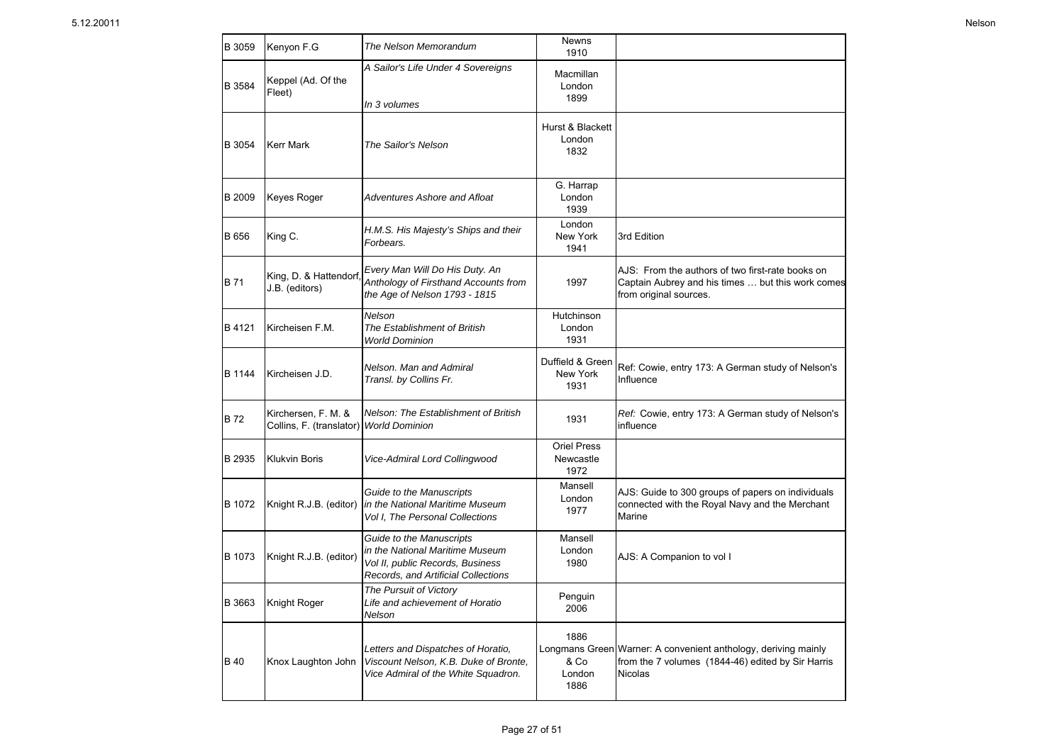| B 3059        | Kenyon F.G                                      | The Nelson Memorandum                                                                                                                  | Newns<br>1910                           |                                                                                                                                       |
|---------------|-------------------------------------------------|----------------------------------------------------------------------------------------------------------------------------------------|-----------------------------------------|---------------------------------------------------------------------------------------------------------------------------------------|
| B 3584        | Keppel (Ad. Of the<br>Fleet)                    | A Sailor's Life Under 4 Sovereigns<br>In 3 volumes                                                                                     | Macmillan<br>London<br>1899             |                                                                                                                                       |
| B 3054        | <b>Kerr Mark</b>                                | The Sailor's Nelson                                                                                                                    | Hurst & Blackett<br>London<br>1832      |                                                                                                                                       |
| <b>B</b> 2009 | <b>Keyes Roger</b>                              | <b>Adventures Ashore and Afloat</b>                                                                                                    | G. Harrap<br>London<br>1939             |                                                                                                                                       |
| <b>B</b> 656  | King C.                                         | H.M.S. His Majesty's Ships and their<br>Forbears.                                                                                      | London<br>New York<br>1941              | 3rd Edition                                                                                                                           |
| <b>B</b> 71   | King, D. & Hattendorf<br>J.B. (editors)         | Every Man Will Do His Duty. An<br>Anthology of Firsthand Accounts from<br>the Age of Nelson 1793 - 1815                                | 1997                                    | AJS: From the authors of two first-rate books on<br>Captain Aubrey and his times  but this work comes<br>from original sources.       |
| B 4121        | IKircheisen F.M.                                | Nelson<br>The Establishment of British<br><b>World Dominion</b>                                                                        | Hutchinson<br>London<br>1931            |                                                                                                                                       |
| <b>B</b> 1144 | Kircheisen J.D.                                 | Nelson. Man and Admiral<br>Transl. by Collins Fr.                                                                                      | Duffield & Green<br>New York<br>1931    | Ref: Cowie, entry 173: A German study of Nelson's<br>Influence                                                                        |
| <b>B72</b>    | Kirchersen, F. M. &<br>Collins, F. (translator) | Nelson: The Establishment of British<br><b>World Dominion</b>                                                                          | 1931                                    | Ref: Cowie, entry 173: A German study of Nelson's<br>influence                                                                        |
| B 2935        | <b>Klukvin Boris</b>                            | Vice-Admiral Lord Collingwood                                                                                                          | <b>Oriel Press</b><br>Newcastle<br>1972 |                                                                                                                                       |
| B 1072        | Knight R.J.B. (editor)                          | Guide to the Manuscripts<br>in the National Maritime Museum<br>Vol I, The Personal Collections                                         | Mansell<br>London<br>1977               | AJS: Guide to 300 groups of papers on individuals<br>connected with the Royal Navy and the Merchant<br>Marine                         |
| B 1073        | Knight R.J.B. (editor)                          | Guide to the Manuscripts<br>in the National Maritime Museum<br>Vol II, public Records, Business<br>Records, and Artificial Collections | Mansell<br>London<br>1980               | AJS: A Companion to vol I                                                                                                             |
| <b>B</b> 3663 | Knight Roger                                    | The Pursuit of Victory<br>Life and achievement of Horatio<br>Nelson                                                                    | Penguin<br>2006                         |                                                                                                                                       |
| <b>B</b> 40   | Knox Laughton John                              | Letters and Dispatches of Horatio,<br>Viscount Nelson, K.B. Duke of Bronte,<br>Vice Admiral of the White Squadron.                     | 1886<br>& Co<br>London<br>1886          | Longmans Green Warner: A convenient anthology, deriving mainly<br>from the 7 volumes (1844-46) edited by Sir Harris<br><b>Nicolas</b> |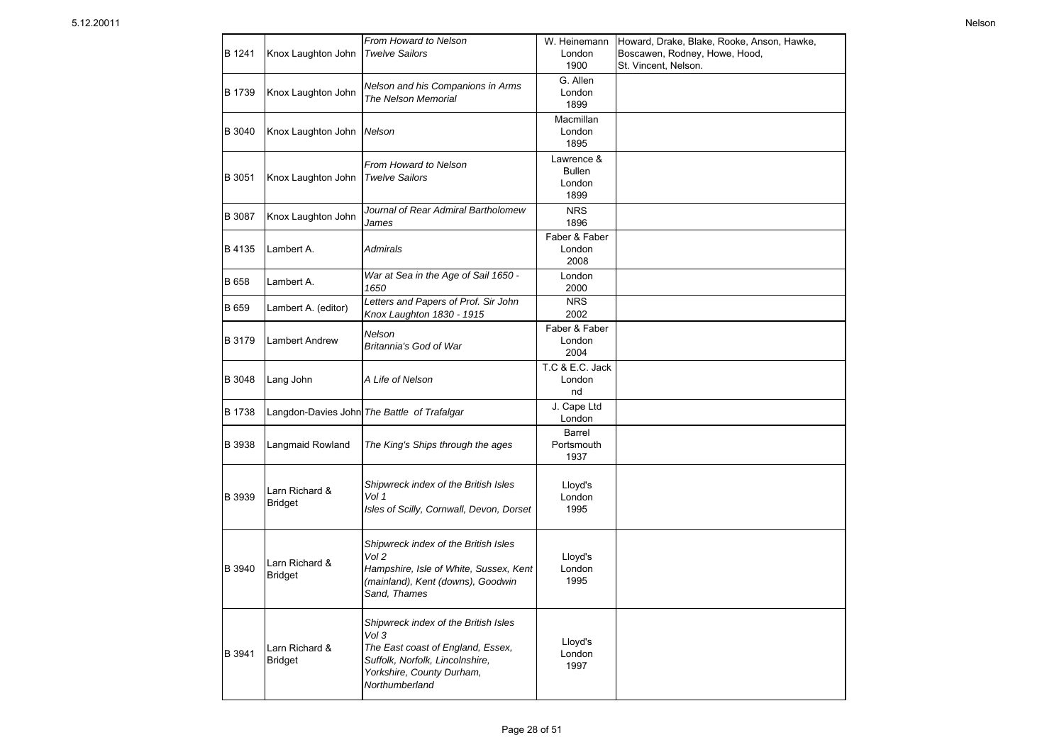| B 1241 | Knox Laughton John               | From Howard to Nelson<br><b>Twelve Sailors</b>                                                                                                                       | W. Heinemann<br>London<br>1900                | Howard, Drake, Blake, Rooke, Anson, Hawke,<br>Boscawen, Rodney, Howe, Hood,<br>St. Vincent, Nelson. |
|--------|----------------------------------|----------------------------------------------------------------------------------------------------------------------------------------------------------------------|-----------------------------------------------|-----------------------------------------------------------------------------------------------------|
| B 1739 | Knox Laughton John               | Nelson and his Companions in Arms<br>The Nelson Memorial                                                                                                             | G. Allen<br>London<br>1899                    |                                                                                                     |
| B 3040 | Knox Laughton John               | Nelson                                                                                                                                                               | Macmillan<br>London<br>1895                   |                                                                                                     |
| B 3051 | Knox Laughton John               | From Howard to Nelson<br><b>Twelve Sailors</b>                                                                                                                       | Lawrence &<br><b>Bullen</b><br>London<br>1899 |                                                                                                     |
| B 3087 | Knox Laughton John               | Journal of Rear Admiral Bartholomew<br>James                                                                                                                         | <b>NRS</b><br>1896                            |                                                                                                     |
| B 4135 | Lambert A.                       | Admirals                                                                                                                                                             | Faber & Faber<br>London<br>2008               |                                                                                                     |
| B 658  | Lambert A.                       | War at Sea in the Age of Sail 1650 -<br>1650                                                                                                                         | London<br>2000                                |                                                                                                     |
| B 659  | Lambert A. (editor)              | Letters and Papers of Prof. Sir John<br>Knox Laughton 1830 - 1915                                                                                                    | <b>NRS</b><br>2002                            |                                                                                                     |
| B 3179 | <b>Lambert Andrew</b>            | Nelson<br>Britannia's God of War                                                                                                                                     | Faber & Faber<br>London<br>2004               |                                                                                                     |
| B 3048 | Lang John                        | A Life of Nelson                                                                                                                                                     | T.C & E.C. Jack<br>London<br>nd               |                                                                                                     |
| B 1738 |                                  | Langdon-Davies John The Battle of Trafalgar                                                                                                                          | J. Cape Ltd<br>London                         |                                                                                                     |
| B 3938 | Langmaid Rowland                 | The King's Ships through the ages                                                                                                                                    | <b>Barrel</b><br>Portsmouth<br>1937           |                                                                                                     |
| B 3939 | Larn Richard &<br><b>Bridget</b> | Shipwreck index of the British Isles<br>Vol 1<br>Isles of Scilly, Cornwall, Devon, Dorset                                                                            | Lloyd's<br>London<br>1995                     |                                                                                                     |
| B 3940 | Larn Richard &<br><b>Bridget</b> | Shipwreck index of the British Isles<br>Vol 2<br>Hampshire, Isle of White, Sussex, Kent<br>(mainland), Kent (downs), Goodwin<br>Sand, Thames                         | Lloyd's<br>London<br>1995                     |                                                                                                     |
| B 3941 | Larn Richard &<br><b>Bridget</b> | Shipwreck index of the British Isles<br>Vol 3<br>The East coast of England, Essex,<br>Suffolk, Norfolk, Lincolnshire,<br>Yorkshire, County Durham,<br>Northumberland | Lloyd's<br>London<br>1997                     |                                                                                                     |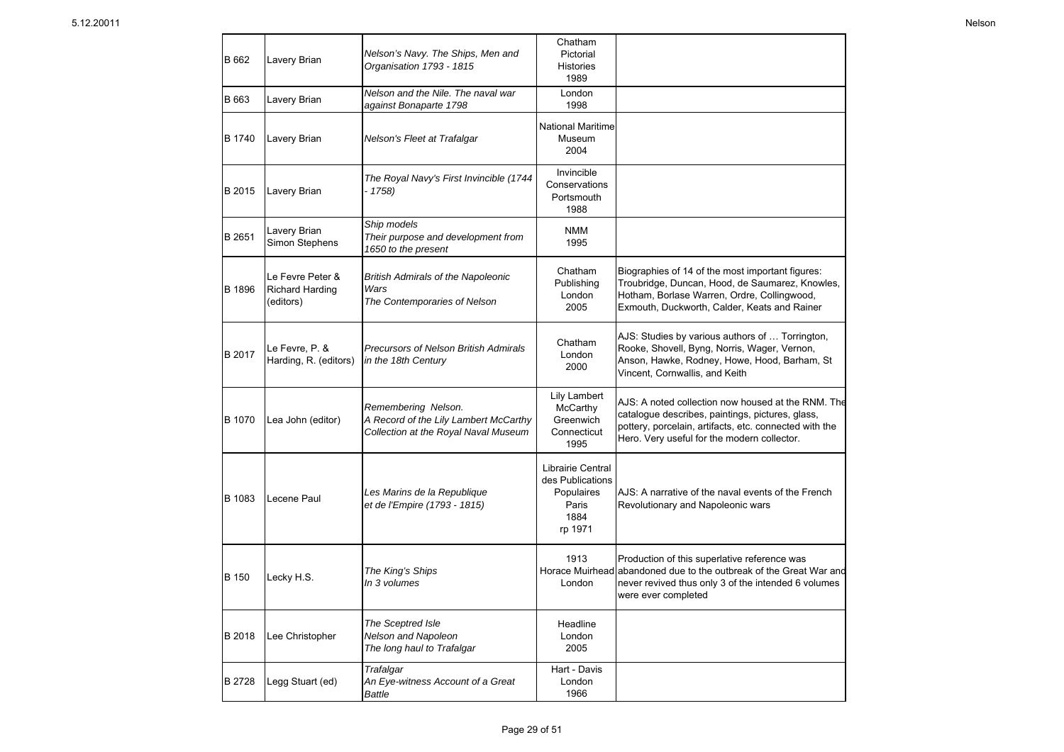| B 662  | Lavery Brian                                            | Nelson's Navy. The Ships, Men and<br>Organisation 1793 - 1815                                        | Chatham<br>Pictorial<br><b>Histories</b><br>1989                                |                                                                                                                                                                                                                 |
|--------|---------------------------------------------------------|------------------------------------------------------------------------------------------------------|---------------------------------------------------------------------------------|-----------------------------------------------------------------------------------------------------------------------------------------------------------------------------------------------------------------|
| B 663  | Lavery Brian                                            | Nelson and the Nile. The naval war<br>against Bonaparte 1798                                         | London<br>1998                                                                  |                                                                                                                                                                                                                 |
| B 1740 | Lavery Brian                                            | Nelson's Fleet at Trafalgar                                                                          | <b>National Maritime</b><br>Museum<br>2004                                      |                                                                                                                                                                                                                 |
| B 2015 | Lavery Brian                                            | The Royal Navy's First Invincible (1744<br>- 1758)                                                   | Invincible<br>Conservations<br>Portsmouth<br>1988                               |                                                                                                                                                                                                                 |
| B 2651 | Lavery Brian<br>Simon Stephens                          | Ship models<br>Their purpose and development from<br>1650 to the present                             | <b>NMM</b><br>1995                                                              |                                                                                                                                                                                                                 |
| B 1896 | Le Fevre Peter &<br><b>Richard Harding</b><br>(editors) | <b>British Admirals of the Napoleonic</b><br>Wars<br>The Contemporaries of Nelson                    | Chatham<br>Publishing<br>London<br>2005                                         | Biographies of 14 of the most important figures:<br>Troubridge, Duncan, Hood, de Saumarez, Knowles,<br>Hotham, Borlase Warren, Ordre, Collingwood,<br>Exmouth, Duckworth, Calder, Keats and Rainer              |
| B 2017 | Le Fevre, P. &<br>Harding, R. (editors)                 | Precursors of Nelson British Admirals<br>in the 18th Century                                         | Chatham<br>London<br>2000                                                       | AJS: Studies by various authors of  Torrington,<br>Rooke, Shovell, Byng, Norris, Wager, Vernon,<br>Anson, Hawke, Rodney, Howe, Hood, Barham, St<br>Vincent, Cornwallis, and Keith                               |
| B 1070 | Lea John (editor)                                       | Remembering Nelson.<br>A Record of the Lily Lambert McCarthy<br>Collection at the Royal Naval Museum | <b>Lily Lambert</b><br>McCarthy<br>Greenwich<br>Connecticut<br>1995             | AJS: A noted collection now housed at the RNM. The<br>catalogue describes, paintings, pictures, glass,<br>pottery, porcelain, artifacts, etc. connected with the<br>Hero. Very useful for the modern collector. |
| B 1083 | Lecene Paul                                             | Les Marins de la Republique<br>et de l'Empire (1793 - 1815)                                          | Librairie Central<br>des Publications<br>Populaires<br>Paris<br>1884<br>rp 1971 | AJS: A narrative of the naval events of the French<br>Revolutionary and Napoleonic wars                                                                                                                         |
| B 150  | Lecky H.S.                                              | The King's Ships<br>In 3 volumes                                                                     | 1913<br>London                                                                  | Production of this superlative reference was<br>Horace Muirhead abandoned due to the outbreak of the Great War and<br>never revived thus only 3 of the intended 6 volumes<br>were ever completed                |
| B 2018 | Lee Christopher                                         | The Sceptred Isle<br>Nelson and Napoleon<br>The long haul to Trafalgar                               | Headline<br>London<br>2005                                                      |                                                                                                                                                                                                                 |
| B 2728 | Legg Stuart (ed)                                        | Trafalgar<br>An Eye-witness Account of a Great<br>Battle                                             | Hart - Davis<br>London<br>1966                                                  |                                                                                                                                                                                                                 |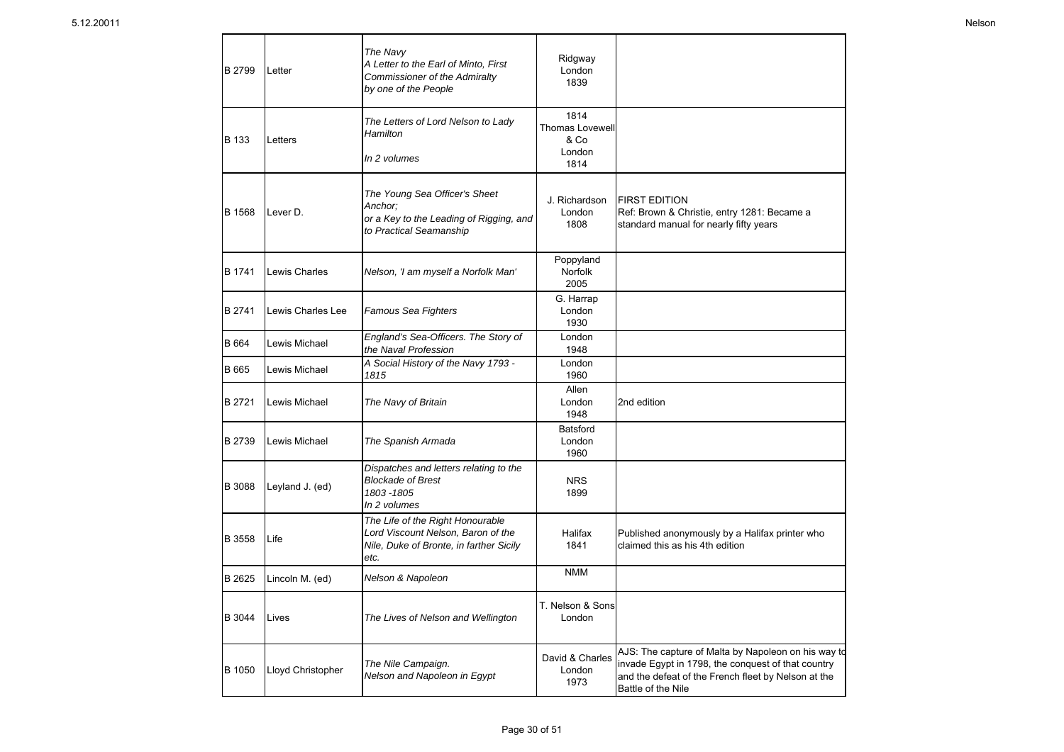| B 2799 | Letter            | The Navy<br>A Letter to the Earl of Minto, First<br>Commissioner of the Admiralty<br>by one of the People                 | Ridgway<br>London<br>1839                        |                                                                                                                                                                                        |
|--------|-------------------|---------------------------------------------------------------------------------------------------------------------------|--------------------------------------------------|----------------------------------------------------------------------------------------------------------------------------------------------------------------------------------------|
| B 133  | Letters           | The Letters of Lord Nelson to Lady<br>Hamilton                                                                            | 1814<br><b>Thomas Lovewell</b><br>& Co<br>London |                                                                                                                                                                                        |
|        |                   | In 2 volumes                                                                                                              | 1814                                             |                                                                                                                                                                                        |
| B 1568 | Lever D.          | The Young Sea Officer's Sheet<br>Anchor:<br>or a Key to the Leading of Rigging, and<br>to Practical Seamanship            | J. Richardson<br>London<br>1808                  | <b>FIRST EDITION</b><br>Ref: Brown & Christie, entry 1281: Became a<br>standard manual for nearly fifty years                                                                          |
| B 1741 | Lewis Charles     | Nelson, 'I am myself a Norfolk Man'                                                                                       | Poppyland<br>Norfolk<br>2005                     |                                                                                                                                                                                        |
| B 2741 | Lewis Charles Lee | Famous Sea Fighters                                                                                                       | G. Harrap<br>London<br>1930                      |                                                                                                                                                                                        |
| B 664  | Lewis Michael     | England's Sea-Officers. The Story of<br>the Naval Profession                                                              | London<br>1948                                   |                                                                                                                                                                                        |
| B 665  | Lewis Michael     | A Social History of the Navy 1793 -<br>1815                                                                               | London<br>1960                                   |                                                                                                                                                                                        |
| B 2721 | Lewis Michael     | The Navy of Britain                                                                                                       | Allen<br>London<br>1948                          | 2nd edition                                                                                                                                                                            |
| B 2739 | Lewis Michael     | The Spanish Armada                                                                                                        | <b>Batsford</b><br>London<br>1960                |                                                                                                                                                                                        |
| B 3088 | Leyland J. (ed)   | Dispatches and letters relating to the<br><b>Blockade of Brest</b><br>1803-1805<br>In 2 volumes                           | <b>NRS</b><br>1899                               |                                                                                                                                                                                        |
| B 3558 | Life              | The Life of the Right Honourable<br>Lord Viscount Nelson, Baron of the<br>Nile, Duke of Bronte, in farther Sicily<br>etc. | Halifax<br>1841                                  | Published anonymously by a Halifax printer who<br>claimed this as his 4th edition                                                                                                      |
| B 2625 | Lincoln M. (ed)   | Nelson & Napoleon                                                                                                         | <b>NMM</b>                                       |                                                                                                                                                                                        |
| B 3044 | Lives             | The Lives of Nelson and Wellington                                                                                        | T. Nelson & Sons<br>London                       |                                                                                                                                                                                        |
| B 1050 | Lloyd Christopher | The Nile Campaign.<br>Nelson and Napoleon in Egypt                                                                        | David & Charles<br>London<br>1973                | AJS: The capture of Malta by Napoleon on his way to<br>invade Egypt in 1798, the conquest of that country<br>and the defeat of the French fleet by Nelson at the<br>Battle of the Nile |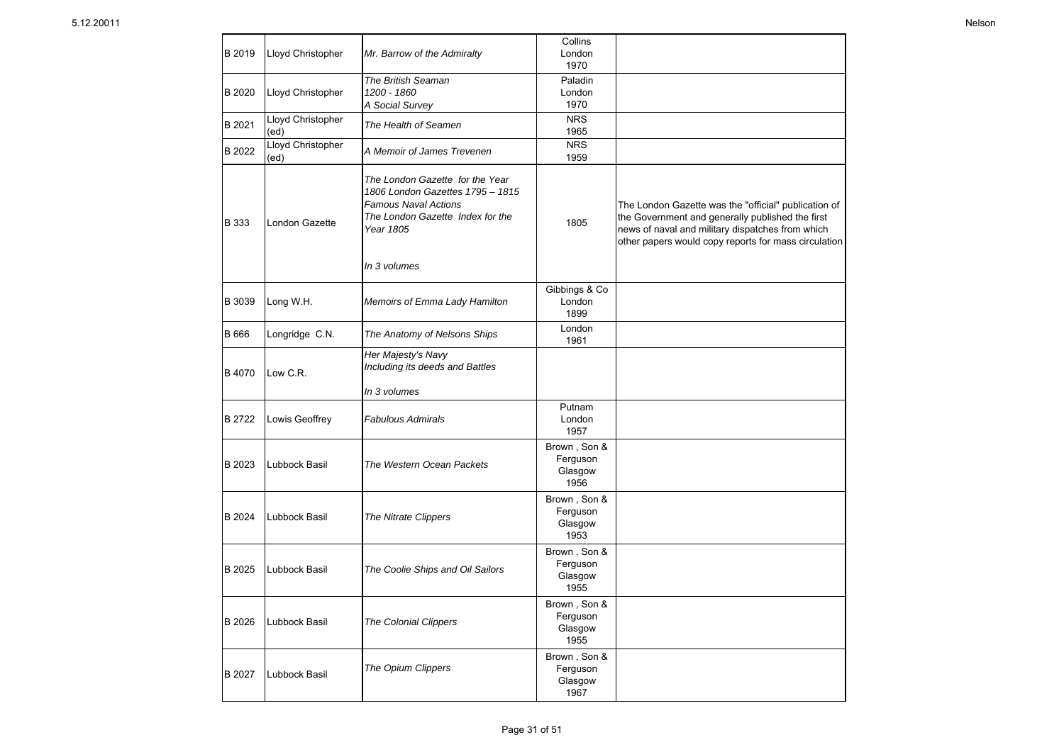| B 2019 | Lloyd Christopher         | Mr. Barrow of the Admiralty                                                                                                                         | Collins<br>London<br>1970                    |                                                                                                                                                                                                                      |
|--------|---------------------------|-----------------------------------------------------------------------------------------------------------------------------------------------------|----------------------------------------------|----------------------------------------------------------------------------------------------------------------------------------------------------------------------------------------------------------------------|
| B 2020 | Lloyd Christopher         | The British Seaman<br>1200 - 1860<br>A Social Survey                                                                                                | Paladin<br>London<br>1970                    |                                                                                                                                                                                                                      |
| B 2021 | Lloyd Christopher<br>(ed) | The Health of Seamen                                                                                                                                | <b>NRS</b><br>1965                           |                                                                                                                                                                                                                      |
| B 2022 | Lloyd Christopher<br>(ed) | A Memoir of James Trevenen                                                                                                                          | <b>NRS</b><br>1959                           |                                                                                                                                                                                                                      |
| B 333  | London Gazette            | The London Gazette for the Year<br>1806 London Gazettes 1795 - 1815<br><b>Famous Naval Actions</b><br>The London Gazette Index for the<br>Year 1805 | 1805                                         | The London Gazette was the "official" publication of<br>the Government and generally published the first<br>news of naval and military dispatches from which<br>other papers would copy reports for mass circulation |
|        |                           | In 3 volumes                                                                                                                                        |                                              |                                                                                                                                                                                                                      |
| B 3039 | Long W.H.                 | Memoirs of Emma Lady Hamilton                                                                                                                       | Gibbings & Co<br>London<br>1899              |                                                                                                                                                                                                                      |
| B 666  | Longridge C.N.            | The Anatomy of Nelsons Ships                                                                                                                        | London<br>1961                               |                                                                                                                                                                                                                      |
| B 4070 | Low C.R.                  | Her Majesty's Navy<br>Including its deeds and Battles<br>In 3 volumes                                                                               |                                              |                                                                                                                                                                                                                      |
| B 2722 | Lowis Geoffrey            | <b>Fabulous Admirals</b>                                                                                                                            | Putnam<br>London<br>1957                     |                                                                                                                                                                                                                      |
| B 2023 | Lubbock Basil             | The Western Ocean Packets                                                                                                                           | Brown, Son &<br>Ferguson<br>Glasgow<br>1956  |                                                                                                                                                                                                                      |
| B 2024 | Lubbock Basil             | The Nitrate Clippers                                                                                                                                | Brown, Son &<br>Ferguson<br>Glasgow<br>1953  |                                                                                                                                                                                                                      |
| B 2025 | Lubbock Basil             | The Coolie Ships and Oil Sailors                                                                                                                    | Brown, Son &<br>Ferguson<br>Glasgow<br>1955  |                                                                                                                                                                                                                      |
| B 2026 | Lubbock Basil             | <b>The Colonial Clippers</b>                                                                                                                        | Brown , Son &<br>Ferguson<br>Glasgow<br>1955 |                                                                                                                                                                                                                      |
| B 2027 | Lubbock Basil             | The Opium Clippers                                                                                                                                  | Brown, Son &<br>Ferguson<br>Glasgow<br>1967  |                                                                                                                                                                                                                      |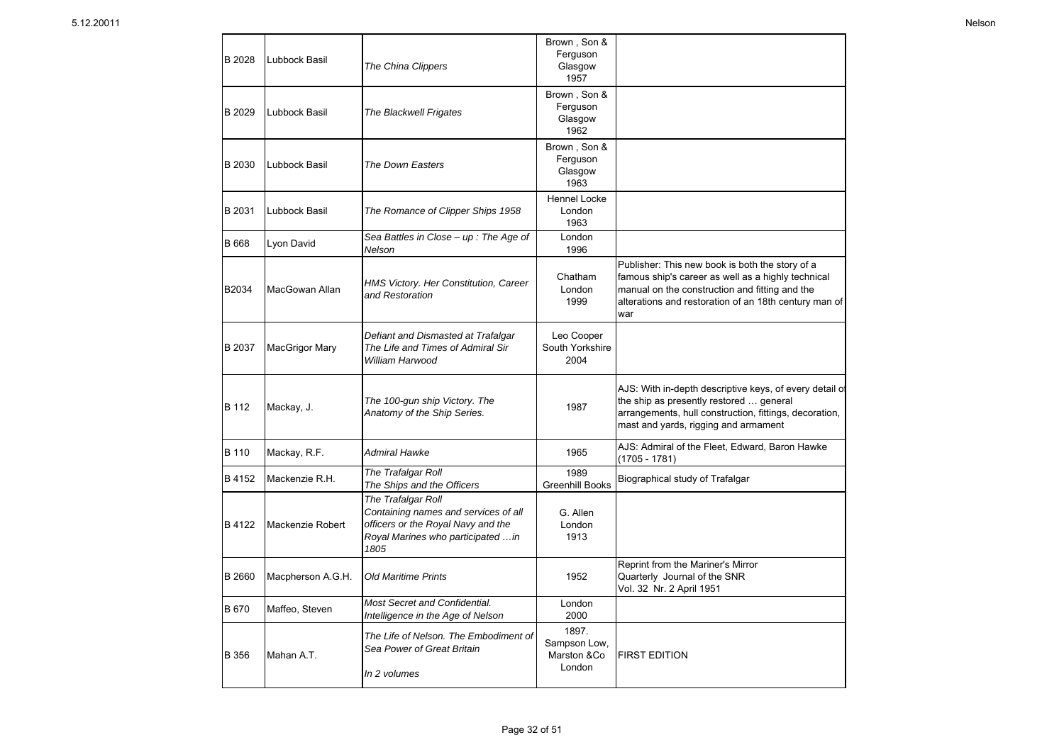| B 2028 | Lubbock Basil         | The China Clippers                                                                                                                             | Brown, Son &<br>Ferguson<br>Glasgow<br>1957    |                                                                                                                                                                                                                         |
|--------|-----------------------|------------------------------------------------------------------------------------------------------------------------------------------------|------------------------------------------------|-------------------------------------------------------------------------------------------------------------------------------------------------------------------------------------------------------------------------|
| B 2029 | Lubbock Basil         | <b>The Blackwell Frigates</b>                                                                                                                  | Brown, Son &<br>Ferguson<br>Glasgow<br>1962    |                                                                                                                                                                                                                         |
| B 2030 | Lubbock Basil         | The Down Easters                                                                                                                               | Brown, Son &<br>Ferguson<br>Glasgow<br>1963    |                                                                                                                                                                                                                         |
| B 2031 | Lubbock Basil         | The Romance of Clipper Ships 1958                                                                                                              | <b>Hennel Locke</b><br>London<br>1963          |                                                                                                                                                                                                                         |
| B 668  | Lyon David            | Sea Battles in Close $-$ up : The Age of<br>Nelson                                                                                             | London<br>1996                                 |                                                                                                                                                                                                                         |
| B2034  | MacGowan Allan        | HMS Victory. Her Constitution, Career<br>and Restoration                                                                                       | Chatham<br>London<br>1999                      | Publisher: This new book is both the story of a<br>famous ship's career as well as a highly technical<br>manual on the construction and fitting and the<br>alterations and restoration of an 18th century man of<br>war |
| B 2037 | <b>MacGrigor Mary</b> | Defiant and Dismasted at Trafalgar<br>The Life and Times of Admiral Sir<br>William Harwood                                                     | Leo Cooper<br>South Yorkshire<br>2004          |                                                                                                                                                                                                                         |
| B 112  | Mackay, J.            | The 100-gun ship Victory. The<br>Anatomy of the Ship Series.                                                                                   | 1987                                           | AJS: With in-depth descriptive keys, of every detail of<br>the ship as presently restored  general<br>arrangements, hull construction, fittings, decoration,<br>mast and yards, rigging and armament                    |
| B 110  | Mackay, R.F.          | <b>Admiral Hawke</b>                                                                                                                           | 1965                                           | AJS: Admiral of the Fleet, Edward, Baron Hawke<br>(1705 - 1781)                                                                                                                                                         |
| B 4152 | Mackenzie R.H.        | The Trafalgar Roll<br>The Ships and the Officers                                                                                               | 1989<br><b>Greenhill Books</b>                 | Biographical study of Trafalgar                                                                                                                                                                                         |
| B 4122 | Mackenzie Robert      | The Trafalgar Roll<br>Containing names and services of all<br>officers or the Royal Navy and the<br>Royal Marines who participated  in<br>1805 | G. Allen<br>London<br>1913                     |                                                                                                                                                                                                                         |
| B 2660 | Macpherson A.G.H.     | <b>Old Maritime Prints</b>                                                                                                                     | 1952                                           | Reprint from the Mariner's Mirror<br>Quarterly Journal of the SNR<br>Vol. 32 Nr. 2 April 1951                                                                                                                           |
| B 670  | Maffeo, Steven        | Most Secret and Confidential.<br>Intelligence in the Age of Nelson                                                                             | London<br>2000                                 |                                                                                                                                                                                                                         |
| B 356  | Mahan A.T.            | The Life of Nelson. The Embodiment of<br>Sea Power of Great Britain<br>In 2 volumes                                                            | 1897.<br>Sampson Low,<br>Marston &Co<br>London | <b>FIRST EDITION</b>                                                                                                                                                                                                    |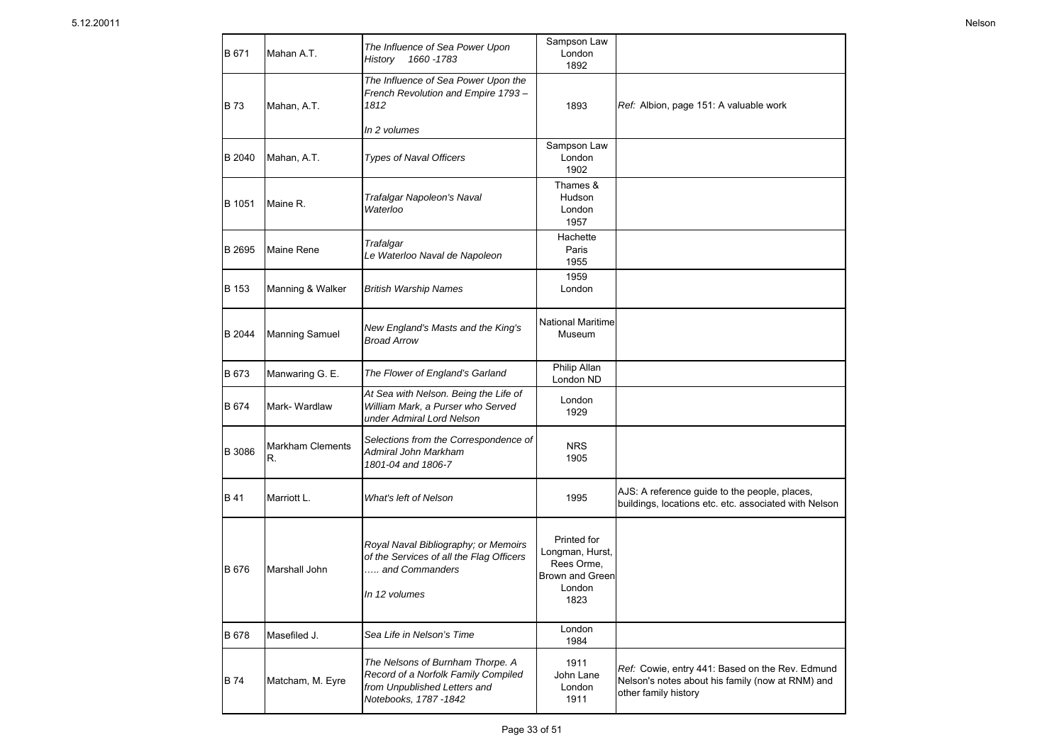| B 671       | Mahan A.T.             | The Influence of Sea Power Upon<br>1660 - 1783<br>History                                                                         | Sampson Law<br>London<br>1892                                                     |                                                                                                                             |
|-------------|------------------------|-----------------------------------------------------------------------------------------------------------------------------------|-----------------------------------------------------------------------------------|-----------------------------------------------------------------------------------------------------------------------------|
| <b>B73</b>  | Mahan, A.T.            | The Influence of Sea Power Upon the<br>French Revolution and Empire 1793-<br>1812                                                 | 1893                                                                              | Ref: Albion, page 151: A valuable work                                                                                      |
|             |                        | In 2 volumes                                                                                                                      |                                                                                   |                                                                                                                             |
| B 2040      | Mahan, A.T.            | <b>Types of Naval Officers</b>                                                                                                    | Sampson Law<br>London<br>1902                                                     |                                                                                                                             |
| B 1051      | Maine R.               | Trafalgar Napoleon's Naval<br>Waterloo                                                                                            | Thames &<br>Hudson<br>London<br>1957                                              |                                                                                                                             |
| B 2695      | Maine Rene             | Trafalgar<br>Le Waterloo Naval de Napoleon                                                                                        | Hachette<br>Paris<br>1955                                                         |                                                                                                                             |
| B 153       | Manning & Walker       | <b>British Warship Names</b>                                                                                                      | 1959<br>London                                                                    |                                                                                                                             |
| B 2044      | <b>Manning Samuel</b>  | New England's Masts and the King's<br><b>Broad Arrow</b>                                                                          | <b>National Maritime</b><br>Museum                                                |                                                                                                                             |
| B 673       | Manwaring G. E.        | The Flower of England's Garland                                                                                                   | Philip Allan<br>London ND                                                         |                                                                                                                             |
| B 674       | Mark-Wardlaw           | At Sea with Nelson. Being the Life of<br>William Mark, a Purser who Served<br>under Admiral Lord Nelson                           | London<br>1929                                                                    |                                                                                                                             |
| B 3086      | Markham Clements<br>R. | Selections from the Correspondence of<br>Admiral John Markham<br>1801-04 and 1806-7                                               | <b>NRS</b><br>1905                                                                |                                                                                                                             |
| <b>B</b> 41 | Marriott L.            | What's left of Nelson                                                                                                             | 1995                                                                              | AJS: A reference guide to the people, places,<br>buildings, locations etc. etc. associated with Nelson                      |
| B 676       | Marshall John          | Royal Naval Bibliography; or Memoirs<br>of the Services of all the Flag Officers<br>and Commanders<br>In 12 volumes               | Printed for<br>Longman, Hurst,<br>Rees Orme,<br>Brown and Green<br>London<br>1823 |                                                                                                                             |
| B 678       | Masefiled J.           | Sea Life in Nelson's Time                                                                                                         | London<br>1984                                                                    |                                                                                                                             |
| <b>B</b> 74 | Matcham, M. Eyre       | The Nelsons of Burnham Thorpe. A<br>Record of a Norfolk Family Compiled<br>from Unpublished Letters and<br>Notebooks, 1787 - 1842 | 1911<br>John Lane<br>London<br>1911                                               | Ref: Cowie, entry 441: Based on the Rev. Edmund<br>Nelson's notes about his family (now at RNM) and<br>other family history |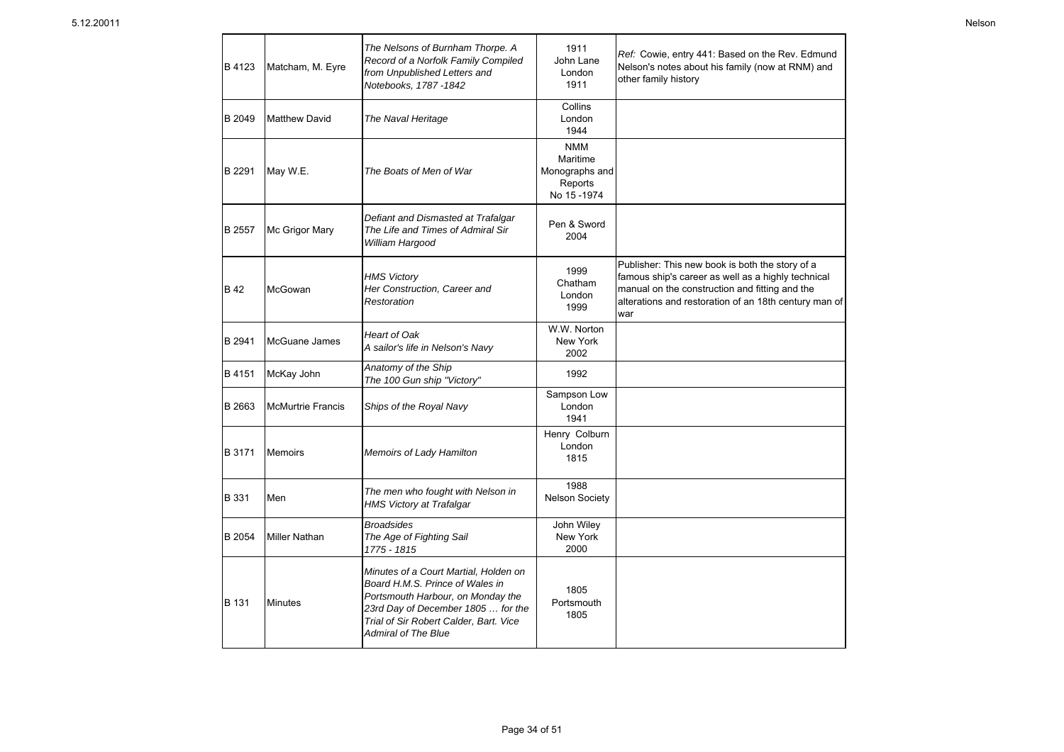| B 4123 | Matcham, M. Eyre         | The Nelsons of Burnham Thorpe. A<br>Record of a Norfolk Family Compiled<br>from Unpublished Letters and<br>Notebooks, 1787 -1842                                                                                            | 1911<br>John Lane<br>London<br>1911                                | Ref: Cowie, entry 441: Based on the Rev. Edmund<br>Nelson's notes about his family (now at RNM) and<br>other family history                                                                                             |
|--------|--------------------------|-----------------------------------------------------------------------------------------------------------------------------------------------------------------------------------------------------------------------------|--------------------------------------------------------------------|-------------------------------------------------------------------------------------------------------------------------------------------------------------------------------------------------------------------------|
| B 2049 | <b>Matthew David</b>     | The Naval Heritage                                                                                                                                                                                                          | Collins<br>London<br>1944                                          |                                                                                                                                                                                                                         |
| B 2291 | May W.E.                 | The Boats of Men of War                                                                                                                                                                                                     | <b>NMM</b><br>Maritime<br>Monographs and<br>Reports<br>No 15 -1974 |                                                                                                                                                                                                                         |
| B 2557 | Mc Grigor Mary           | Defiant and Dismasted at Trafalgar<br>The Life and Times of Admiral Sir<br>William Hargood                                                                                                                                  | Pen & Sword<br>2004                                                |                                                                                                                                                                                                                         |
| B 42   | McGowan                  | <b>HMS Victory</b><br>Her Construction, Career and<br>Restoration                                                                                                                                                           | 1999<br>Chatham<br>London<br>1999                                  | Publisher: This new book is both the story of a<br>famous ship's career as well as a highly technical<br>manual on the construction and fitting and the<br>alterations and restoration of an 18th century man of<br>war |
| B 2941 | McGuane James            | <b>Heart of Oak</b><br>A sailor's life in Nelson's Navy                                                                                                                                                                     | W.W. Norton<br>New York<br>2002                                    |                                                                                                                                                                                                                         |
| B 4151 | McKay John               | Anatomy of the Ship<br>The 100 Gun ship "Victory"                                                                                                                                                                           | 1992                                                               |                                                                                                                                                                                                                         |
| B 2663 | <b>McMurtrie Francis</b> | Ships of the Royal Navy                                                                                                                                                                                                     | Sampson Low<br>London<br>1941                                      |                                                                                                                                                                                                                         |
| B 3171 | Memoirs                  | Memoirs of Lady Hamilton                                                                                                                                                                                                    | Henry Colburn<br>London<br>1815                                    |                                                                                                                                                                                                                         |
| B 331  | Men                      | The men who fought with Nelson in<br><b>HMS Victory at Trafalgar</b>                                                                                                                                                        | 1988<br><b>Nelson Society</b>                                      |                                                                                                                                                                                                                         |
| B 2054 | <b>Miller Nathan</b>     | <b>Broadsides</b><br>The Age of Fighting Sail<br>1775 - 1815                                                                                                                                                                | John Wiley<br>New York<br>2000                                     |                                                                                                                                                                                                                         |
| B 131  | <b>Minutes</b>           | Minutes of a Court Martial. Holden on<br>Board H.M.S. Prince of Wales in<br>Portsmouth Harbour, on Monday the<br>23rd Day of December 1805  for the<br>Trial of Sir Robert Calder, Bart. Vice<br><b>Admiral of The Blue</b> | 1805<br>Portsmouth<br>1805                                         |                                                                                                                                                                                                                         |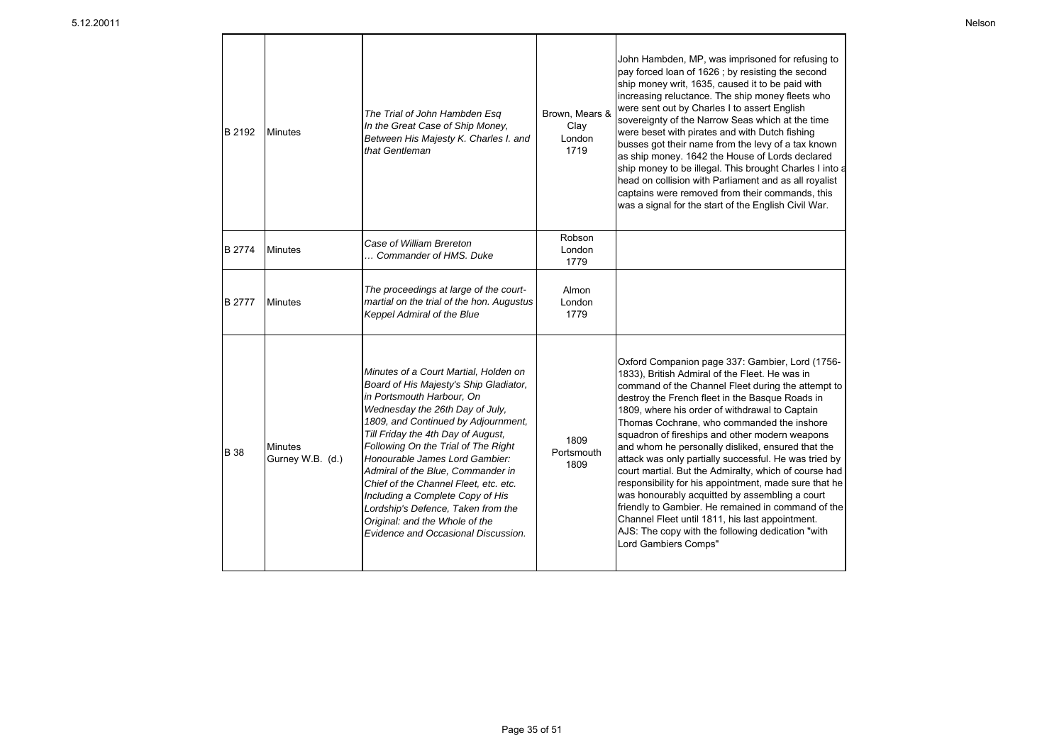| B 2192        | <b>Minutes</b>                     | The Trial of John Hambden Esq<br>In the Great Case of Ship Money,<br>Between His Majesty K. Charles I. and<br>that Gentleman                                                                                                                                                                                                                                                                                                                                                                                                           | Brown, Mears &<br>Clay<br>London<br>1719 | John Hambden, MP, was imprisoned for refusing to<br>pay forced loan of 1626; by resisting the second<br>ship money writ, 1635, caused it to be paid with<br>increasing reluctance. The ship money fleets who<br>were sent out by Charles I to assert English<br>sovereignty of the Narrow Seas which at the time<br>were beset with pirates and with Dutch fishing<br>busses got their name from the levy of a tax known<br>as ship money. 1642 the House of Lords declared<br>ship money to be illegal. This brought Charles I into a<br>head on collision with Parliament and as all royalist<br>captains were removed from their commands, this<br>was a signal for the start of the English Civil War.                                                                                                                           |
|---------------|------------------------------------|----------------------------------------------------------------------------------------------------------------------------------------------------------------------------------------------------------------------------------------------------------------------------------------------------------------------------------------------------------------------------------------------------------------------------------------------------------------------------------------------------------------------------------------|------------------------------------------|--------------------------------------------------------------------------------------------------------------------------------------------------------------------------------------------------------------------------------------------------------------------------------------------------------------------------------------------------------------------------------------------------------------------------------------------------------------------------------------------------------------------------------------------------------------------------------------------------------------------------------------------------------------------------------------------------------------------------------------------------------------------------------------------------------------------------------------|
| <b>B</b> 2774 | <b>Minutes</b>                     | Case of William Brereton<br>Commander of HMS. Duke                                                                                                                                                                                                                                                                                                                                                                                                                                                                                     | Robson<br>London<br>1779                 |                                                                                                                                                                                                                                                                                                                                                                                                                                                                                                                                                                                                                                                                                                                                                                                                                                      |
| <b>B</b> 2777 | <b>Minutes</b>                     | The proceedings at large of the court-<br>martial on the trial of the hon. Augustus<br>Keppel Admiral of the Blue                                                                                                                                                                                                                                                                                                                                                                                                                      | Almon<br>London<br>1779                  |                                                                                                                                                                                                                                                                                                                                                                                                                                                                                                                                                                                                                                                                                                                                                                                                                                      |
| <b>B</b> 38   | <b>Minutes</b><br>Gurney W.B. (d.) | Minutes of a Court Martial, Holden on<br>Board of His Majesty's Ship Gladiator,<br>in Portsmouth Harbour, On<br>Wednesday the 26th Day of July,<br>1809, and Continued by Adjournment,<br>Till Friday the 4th Day of August,<br>Following On the Trial of The Right<br>Honourable James Lord Gambier:<br>Admiral of the Blue. Commander in<br>Chief of the Channel Fleet, etc. etc.<br>Including a Complete Copy of His<br>Lordship's Defence, Taken from the<br>Original: and the Whole of the<br>Evidence and Occasional Discussion. | 1809<br>Portsmouth<br>1809               | Oxford Companion page 337: Gambier, Lord (1756-<br>1833), British Admiral of the Fleet. He was in<br>command of the Channel Fleet during the attempt to<br>destroy the French fleet in the Basque Roads in<br>1809, where his order of withdrawal to Captain<br>Thomas Cochrane, who commanded the inshore<br>squadron of fireships and other modern weapons<br>and whom he personally disliked, ensured that the<br>attack was only partially successful. He was tried by<br>court martial. But the Admiralty, which of course had<br>responsibility for his appointment, made sure that he<br>was honourably acquitted by assembling a court<br>friendly to Gambier. He remained in command of the<br>Channel Fleet until 1811, his last appointment.<br>AJS: The copy with the following dedication "with<br>Lord Gambiers Comps" |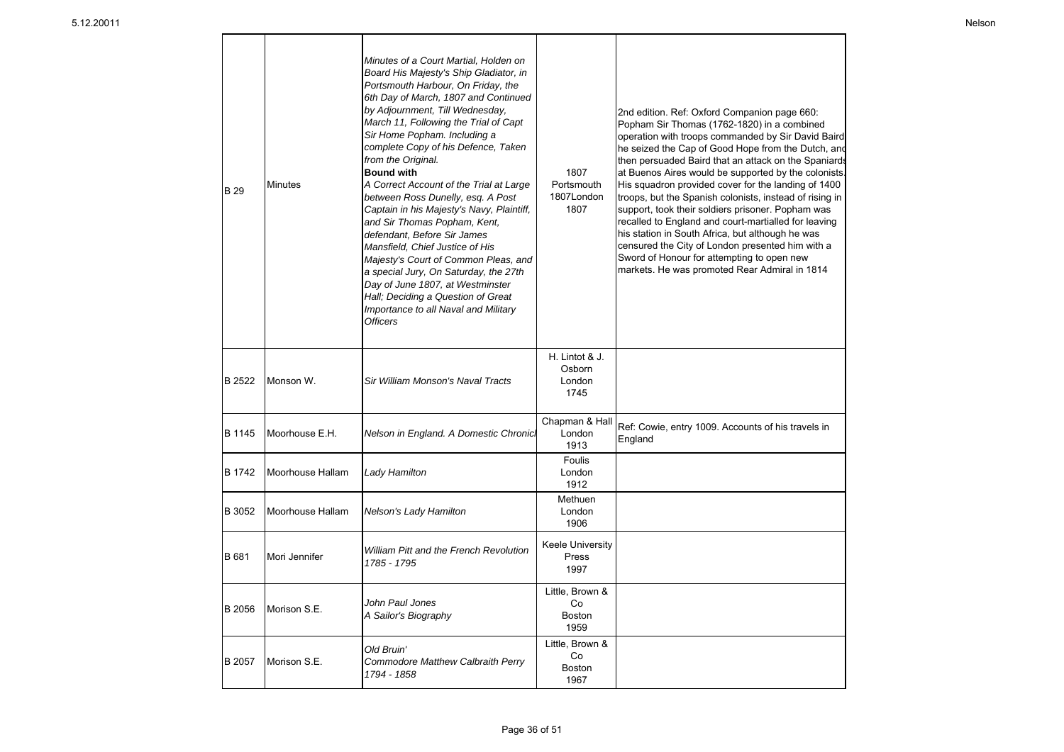| <b>B</b> 29 | <b>Minutes</b>   | Minutes of a Court Martial, Holden on<br>Board His Majesty's Ship Gladiator, in<br>Portsmouth Harbour, On Friday, the<br>6th Day of March, 1807 and Continued<br>by Adjournment, Till Wednesday,<br>March 11, Following the Trial of Capt<br>Sir Home Popham. Including a<br>complete Copy of his Defence, Taken<br>from the Original.<br><b>Bound with</b><br>A Correct Account of the Trial at Large<br>between Ross Dunelly, esg. A Post<br>Captain in his Majesty's Navy, Plaintiff,<br>and Sir Thomas Popham, Kent,<br>defendant, Before Sir James<br>Mansfield, Chief Justice of His<br>Majesty's Court of Common Pleas, and<br>a special Jury, On Saturday, the 27th<br>Day of June 1807, at Westminster<br>Hall; Deciding a Question of Great<br>Importance to all Naval and Military<br><b>Officers</b> | 1807<br>Portsmouth<br>1807London<br>1807       | 2nd edition. Ref: Oxford Companion page 660:<br>Popham Sir Thomas (1762-1820) in a combined<br>operation with troops commanded by Sir David Baird<br>he seized the Cap of Good Hope from the Dutch, and<br>then persuaded Baird that an attack on the Spaniards<br>at Buenos Aires would be supported by the colonists<br>His squadron provided cover for the landing of 1400<br>troops, but the Spanish colonists, instead of rising in<br>support, took their soldiers prisoner. Popham was<br>recalled to England and court-martialled for leaving<br>his station in South Africa, but although he was<br>censured the City of London presented him with a<br>Sword of Honour for attempting to open new<br>markets. He was promoted Rear Admiral in 1814 |
|-------------|------------------|------------------------------------------------------------------------------------------------------------------------------------------------------------------------------------------------------------------------------------------------------------------------------------------------------------------------------------------------------------------------------------------------------------------------------------------------------------------------------------------------------------------------------------------------------------------------------------------------------------------------------------------------------------------------------------------------------------------------------------------------------------------------------------------------------------------|------------------------------------------------|--------------------------------------------------------------------------------------------------------------------------------------------------------------------------------------------------------------------------------------------------------------------------------------------------------------------------------------------------------------------------------------------------------------------------------------------------------------------------------------------------------------------------------------------------------------------------------------------------------------------------------------------------------------------------------------------------------------------------------------------------------------|
| B 2522      | Monson W.        | Sir William Monson's Naval Tracts                                                                                                                                                                                                                                                                                                                                                                                                                                                                                                                                                                                                                                                                                                                                                                                | H. Lintot & J.<br>Osborn<br>London<br>1745     |                                                                                                                                                                                                                                                                                                                                                                                                                                                                                                                                                                                                                                                                                                                                                              |
| B 1145      | Moorhouse E.H.   | Nelson in England. A Domestic Chronici                                                                                                                                                                                                                                                                                                                                                                                                                                                                                                                                                                                                                                                                                                                                                                           | Chapman & Hall<br>London<br>1913               | Ref: Cowie, entry 1009. Accounts of his travels in<br>England                                                                                                                                                                                                                                                                                                                                                                                                                                                                                                                                                                                                                                                                                                |
| B 1742      | Moorhouse Hallam | Lady Hamilton                                                                                                                                                                                                                                                                                                                                                                                                                                                                                                                                                                                                                                                                                                                                                                                                    | Foulis<br>London<br>1912                       |                                                                                                                                                                                                                                                                                                                                                                                                                                                                                                                                                                                                                                                                                                                                                              |
| B 3052      | Moorhouse Hallam | Nelson's Lady Hamilton                                                                                                                                                                                                                                                                                                                                                                                                                                                                                                                                                                                                                                                                                                                                                                                           | Methuen<br>London<br>1906                      |                                                                                                                                                                                                                                                                                                                                                                                                                                                                                                                                                                                                                                                                                                                                                              |
| B 681       | Mori Jennifer    | <b>William Pitt and the French Revolution</b><br>1785 - 1795                                                                                                                                                                                                                                                                                                                                                                                                                                                                                                                                                                                                                                                                                                                                                     | <b>Keele University</b><br>Press<br>1997       |                                                                                                                                                                                                                                                                                                                                                                                                                                                                                                                                                                                                                                                                                                                                                              |
| B 2056      | Morison S.E.     | John Paul Jones<br>A Sailor's Biography                                                                                                                                                                                                                                                                                                                                                                                                                                                                                                                                                                                                                                                                                                                                                                          | Little, Brown &<br>Co<br><b>Boston</b><br>1959 |                                                                                                                                                                                                                                                                                                                                                                                                                                                                                                                                                                                                                                                                                                                                                              |
| B 2057      | Morison S.E.     | Old Bruin'<br>Commodore Matthew Calbraith Perry<br>1794 - 1858                                                                                                                                                                                                                                                                                                                                                                                                                                                                                                                                                                                                                                                                                                                                                   | Little, Brown &<br>Co<br>Boston<br>1967        |                                                                                                                                                                                                                                                                                                                                                                                                                                                                                                                                                                                                                                                                                                                                                              |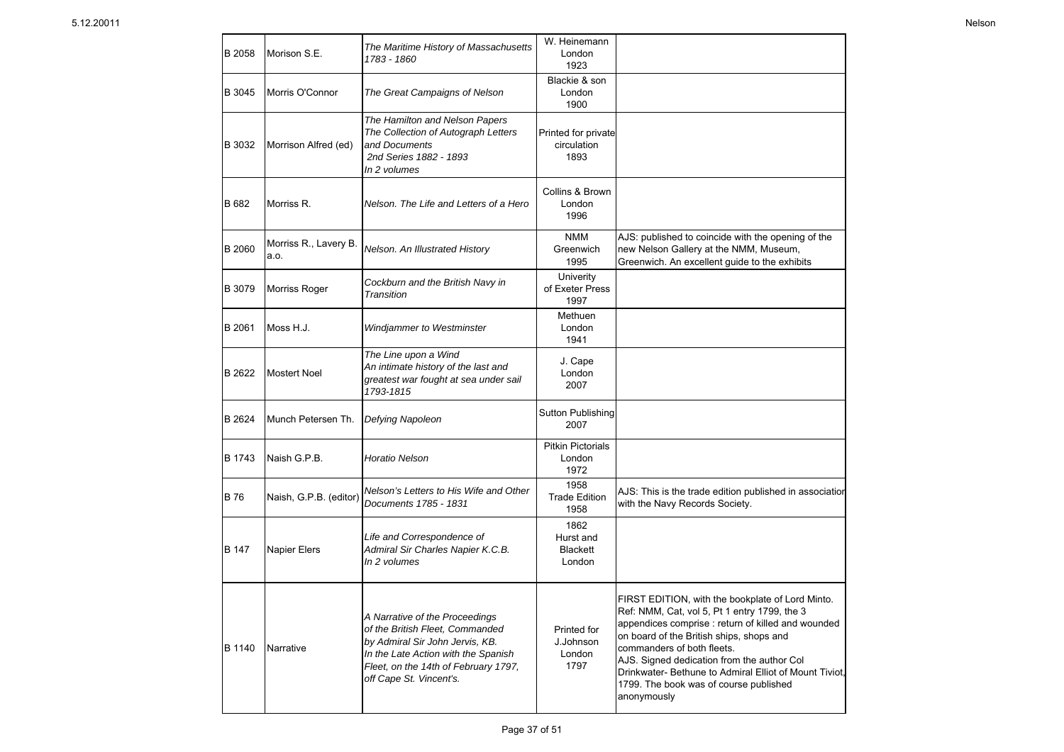| B 2058 | Morison S.E.                  | The Maritime History of Massachusetts<br>1783 - 1860                                                                                                                                                           | W. Heinemann<br>London<br>1923                 |                                                                                                                                                                                                                                                                                                                                                                                                  |
|--------|-------------------------------|----------------------------------------------------------------------------------------------------------------------------------------------------------------------------------------------------------------|------------------------------------------------|--------------------------------------------------------------------------------------------------------------------------------------------------------------------------------------------------------------------------------------------------------------------------------------------------------------------------------------------------------------------------------------------------|
| B 3045 | Morris O'Connor               | The Great Campaigns of Nelson                                                                                                                                                                                  | Blackie & son<br>London<br>1900                |                                                                                                                                                                                                                                                                                                                                                                                                  |
| B 3032 | Morrison Alfred (ed)          | The Hamilton and Nelson Papers<br>The Collection of Autograph Letters<br>and Documents<br>2nd Series 1882 - 1893<br>In 2 volumes                                                                               | Printed for private<br>circulation<br>1893     |                                                                                                                                                                                                                                                                                                                                                                                                  |
| B 682  | Morriss R.                    | Nelson. The Life and Letters of a Hero                                                                                                                                                                         | Collins & Brown<br>London<br>1996              |                                                                                                                                                                                                                                                                                                                                                                                                  |
| B 2060 | Morriss R., Lavery B.<br>a.o. | Nelson. An Illustrated History                                                                                                                                                                                 | <b>NMM</b><br>Greenwich<br>1995                | AJS: published to coincide with the opening of the<br>new Nelson Gallery at the NMM, Museum,<br>Greenwich. An excellent guide to the exhibits                                                                                                                                                                                                                                                    |
| B 3079 | Morriss Roger                 | Cockburn and the British Navy in<br>Transition                                                                                                                                                                 | Univerity<br>of Exeter Press<br>1997           |                                                                                                                                                                                                                                                                                                                                                                                                  |
| B 2061 | Moss H.J.                     | Windjammer to Westminster                                                                                                                                                                                      | Methuen<br>London<br>1941                      |                                                                                                                                                                                                                                                                                                                                                                                                  |
| B 2622 | <b>Mostert Noel</b>           | The Line upon a Wind<br>An intimate history of the last and<br>greatest war fought at sea under sail<br>1793-1815                                                                                              | J. Cape<br>London<br>2007                      |                                                                                                                                                                                                                                                                                                                                                                                                  |
| B 2624 | Munch Petersen Th.            | Defying Napoleon                                                                                                                                                                                               | Sutton Publishing<br>2007                      |                                                                                                                                                                                                                                                                                                                                                                                                  |
| B 1743 | Naish G.P.B.                  | <b>Horatio Nelson</b>                                                                                                                                                                                          | <b>Pitkin Pictorials</b><br>London<br>1972     |                                                                                                                                                                                                                                                                                                                                                                                                  |
| B 76   | Naish, G.P.B. (editor)        | Nelson's Letters to His Wife and Other<br>Documents 1785 - 1831                                                                                                                                                | 1958<br><b>Trade Edition</b><br>1958           | AJS: This is the trade edition published in association<br>with the Navy Records Society.                                                                                                                                                                                                                                                                                                        |
| B 147  | <b>Napier Elers</b>           | Life and Correspondence of<br>Admiral Sir Charles Napier K.C.B.<br>In 2 volumes                                                                                                                                | 1862<br>Hurst and<br><b>Blackett</b><br>London |                                                                                                                                                                                                                                                                                                                                                                                                  |
| B 1140 | Narrative                     | A Narrative of the Proceedings<br>of the British Fleet, Commanded<br>by Admiral Sir John Jervis, KB.<br>In the Late Action with the Spanish<br>Fleet, on the 14th of February 1797,<br>off Cape St. Vincent's. | Printed for<br>J.Johnson<br>London<br>1797     | FIRST EDITION, with the bookplate of Lord Minto.<br>Ref: NMM, Cat, vol 5, Pt 1 entry 1799, the 3<br>appendices comprise : return of killed and wounded<br>on board of the British ships, shops and<br>commanders of both fleets.<br>AJS. Signed dedication from the author Col<br>Drinkwater-Bethune to Admiral Elliot of Mount Tiviot,<br>1799. The book was of course published<br>anonymously |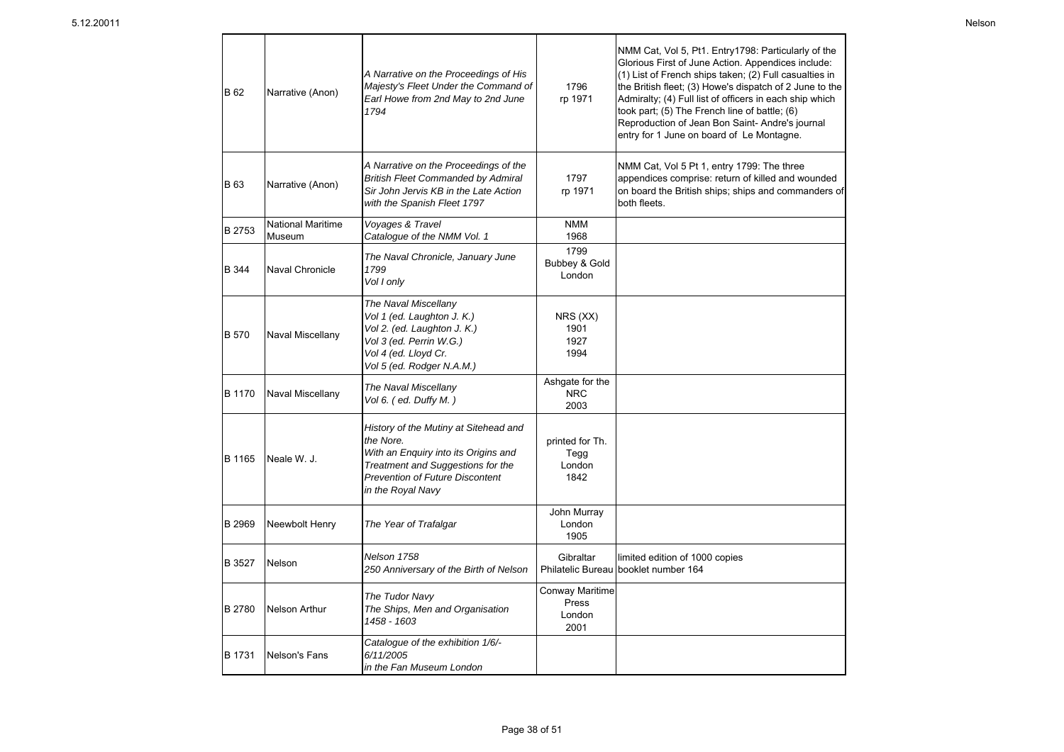| B 62          | Narrative (Anon)                   | A Narrative on the Proceedings of His<br>Majesty's Fleet Under the Command of<br>Earl Howe from 2nd May to 2nd June<br>1794                                                             | 1796<br>rp 1971                            | NMM Cat, Vol 5, Pt1. Entry1798: Particularly of the<br>Glorious First of June Action. Appendices include:<br>(1) List of French ships taken; (2) Full casualties in<br>the British fleet; (3) Howe's dispatch of 2 June to the<br>Admiralty; (4) Full list of officers in each ship which<br>took part; (5) The French line of battle; (6)<br>Reproduction of Jean Bon Saint- Andre's journal<br>entry for 1 June on board of Le Montagne. |
|---------------|------------------------------------|-----------------------------------------------------------------------------------------------------------------------------------------------------------------------------------------|--------------------------------------------|--------------------------------------------------------------------------------------------------------------------------------------------------------------------------------------------------------------------------------------------------------------------------------------------------------------------------------------------------------------------------------------------------------------------------------------------|
| <b>B</b> 63   | Narrative (Anon)                   | A Narrative on the Proceedings of the<br><b>British Fleet Commanded by Admiral</b><br>Sir John Jervis KB in the Late Action<br>with the Spanish Fleet 1797                              | 1797<br>rp 1971                            | NMM Cat, Vol 5 Pt 1, entry 1799: The three<br>appendices comprise: return of killed and wounded<br>on board the British ships; ships and commanders of<br>both fleets.                                                                                                                                                                                                                                                                     |
| B 2753        | <b>National Maritime</b><br>Museum | Voyages & Travel<br>Catalogue of the NMM Vol. 1                                                                                                                                         | <b>NMM</b><br>1968                         |                                                                                                                                                                                                                                                                                                                                                                                                                                            |
| B 344         | <b>Naval Chronicle</b>             | The Naval Chronicle, January June<br>1799<br>Vol I only                                                                                                                                 | 1799<br>Bubbey & Gold<br>London            |                                                                                                                                                                                                                                                                                                                                                                                                                                            |
| <b>B</b> 570  | Naval Miscellany                   | The Naval Miscellany<br>Vol 1 (ed. Laughton J. K.)<br>Vol 2. (ed. Laughton J. K.)<br>Vol 3 (ed. Perrin W.G.)<br>Vol 4 (ed. Lloyd Cr.<br>Vol 5 (ed. Rodger N.A.M.)                       | NRS(XX)<br>1901<br>1927<br>1994            |                                                                                                                                                                                                                                                                                                                                                                                                                                            |
| <b>B</b> 1170 | Naval Miscellany                   | The Naval Miscellany<br>Vol 6. (ed. Duffy M.)                                                                                                                                           | Ashgate for the<br><b>NRC</b><br>2003      |                                                                                                                                                                                                                                                                                                                                                                                                                                            |
| B 1165        | Neale W. J.                        | History of the Mutiny at Sitehead and<br>the Nore.<br>With an Enquiry into its Origins and<br>Treatment and Suggestions for the<br>Prevention of Future Discontent<br>in the Royal Navy | printed for Th.<br>Tegg<br>London<br>1842  |                                                                                                                                                                                                                                                                                                                                                                                                                                            |
| <b>B</b> 2969 | Neewbolt Henry                     | The Year of Trafalgar                                                                                                                                                                   | John Murray<br>London<br>1905              |                                                                                                                                                                                                                                                                                                                                                                                                                                            |
| B 3527        | Nelson                             | Nelson 1758<br>250 Anniversary of the Birth of Nelson                                                                                                                                   | Gibraltar                                  | limited edition of 1000 copies<br>Philatelic Bureau booklet number 164                                                                                                                                                                                                                                                                                                                                                                     |
| <b>B</b> 2780 | Nelson Arthur                      | The Tudor Navy<br>The Ships, Men and Organisation<br>1458 - 1603                                                                                                                        | Conway Maritime<br>Press<br>London<br>2001 |                                                                                                                                                                                                                                                                                                                                                                                                                                            |
| B 1731        | Nelson's Fans                      | Catalogue of the exhibition 1/6/-<br>6/11/2005<br>in the Fan Museum London                                                                                                              |                                            |                                                                                                                                                                                                                                                                                                                                                                                                                                            |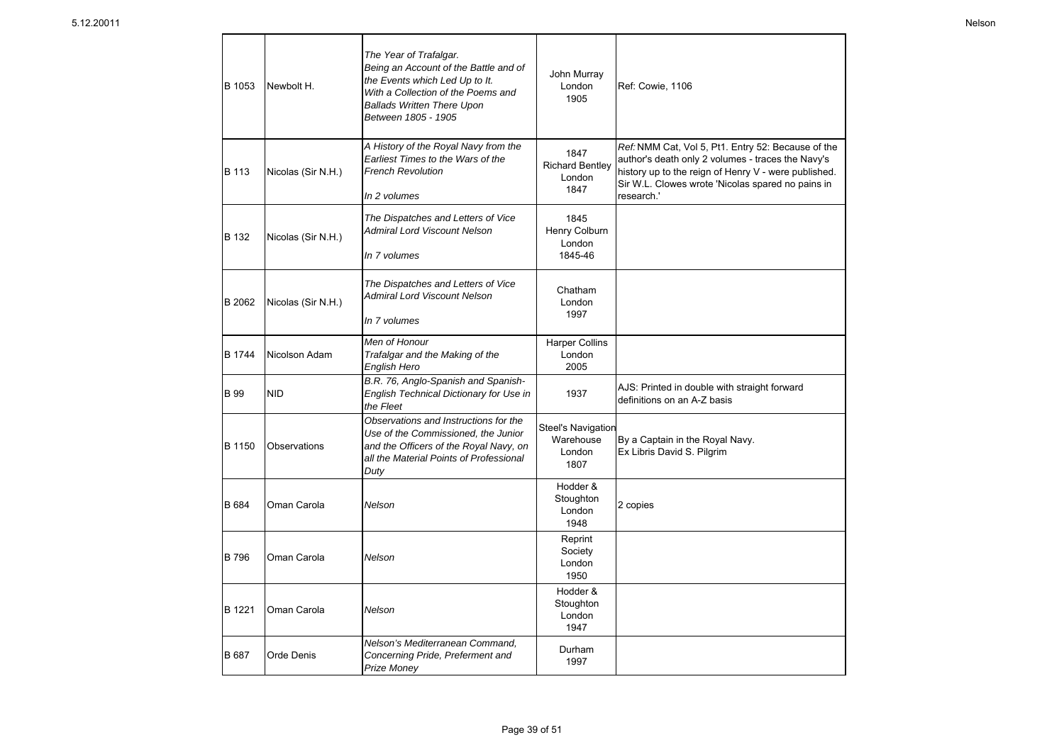| B 1053      | Newbolt H.         | The Year of Trafalgar.<br>Being an Account of the Battle and of<br>the Events which Led Up to It.<br>With a Collection of the Poems and<br><b>Ballads Written There Upon</b><br>Between 1805 - 1905 | John Murray<br>London<br>1905                     | <b>Ref: Cowie, 1106</b>                                                                                                                                                                                                            |
|-------------|--------------------|-----------------------------------------------------------------------------------------------------------------------------------------------------------------------------------------------------|---------------------------------------------------|------------------------------------------------------------------------------------------------------------------------------------------------------------------------------------------------------------------------------------|
| B 113       | Nicolas (Sir N.H.) | A History of the Royal Navy from the<br>Earliest Times to the Wars of the<br><b>French Revolution</b><br>In 2 volumes                                                                               | 1847<br><b>Richard Bentley</b><br>London<br>1847  | Ref: NMM Cat, Vol 5, Pt1. Entry 52: Because of the<br>author's death only 2 volumes - traces the Navy's<br>history up to the reign of Henry V - were published.<br>Sir W.L. Clowes wrote 'Nicolas spared no pains in<br>research." |
| B 132       | Nicolas (Sir N.H.) | The Dispatches and Letters of Vice<br>Admiral Lord Viscount Nelson<br>In 7 volumes                                                                                                                  | 1845<br>Henry Colburn<br>London<br>1845-46        |                                                                                                                                                                                                                                    |
| B 2062      | Nicolas (Sir N.H.) | The Dispatches and Letters of Vice<br><b>Admiral Lord Viscount Nelson</b><br>In 7 volumes                                                                                                           | Chatham<br>London<br>1997                         |                                                                                                                                                                                                                                    |
| B 1744      | Nicolson Adam      | Men of Honour<br>Trafalgar and the Making of the<br>English Hero                                                                                                                                    | <b>Harper Collins</b><br>London<br>2005           |                                                                                                                                                                                                                                    |
| <b>B</b> 99 | <b>NID</b>         | B.R. 76, Anglo-Spanish and Spanish-<br>English Technical Dictionary for Use in<br>the Fleet                                                                                                         | 1937                                              | AJS: Printed in double with straight forward<br>definitions on an A-Z basis                                                                                                                                                        |
| B 1150      | Observations       | Observations and Instructions for the<br>Use of the Commissioned, the Junior<br>and the Officers of the Royal Navy, on<br>all the Material Points of Professional<br>Duty                           | Steel's Navigation<br>Warehouse<br>London<br>1807 | By a Captain in the Royal Navy.<br>Ex Libris David S. Pilgrim                                                                                                                                                                      |
| B 684       | Oman Carola        | Nelson                                                                                                                                                                                              | Hodder &<br>Stoughton<br>London<br>1948           | 2 copies                                                                                                                                                                                                                           |
| <b>B796</b> | Oman Carola        | Nelson                                                                                                                                                                                              | Reprint<br>Society<br>London<br>1950              |                                                                                                                                                                                                                                    |
| B 1221      | Oman Carola        | Nelson                                                                                                                                                                                              | Hodder &<br>Stoughton<br>London<br>1947           |                                                                                                                                                                                                                                    |
| B 687       | Orde Denis         | Nelson's Mediterranean Command,<br>Concerning Pride, Preferment and                                                                                                                                 | Durham<br>1007                                    |                                                                                                                                                                                                                                    |

1997

*Prize Money*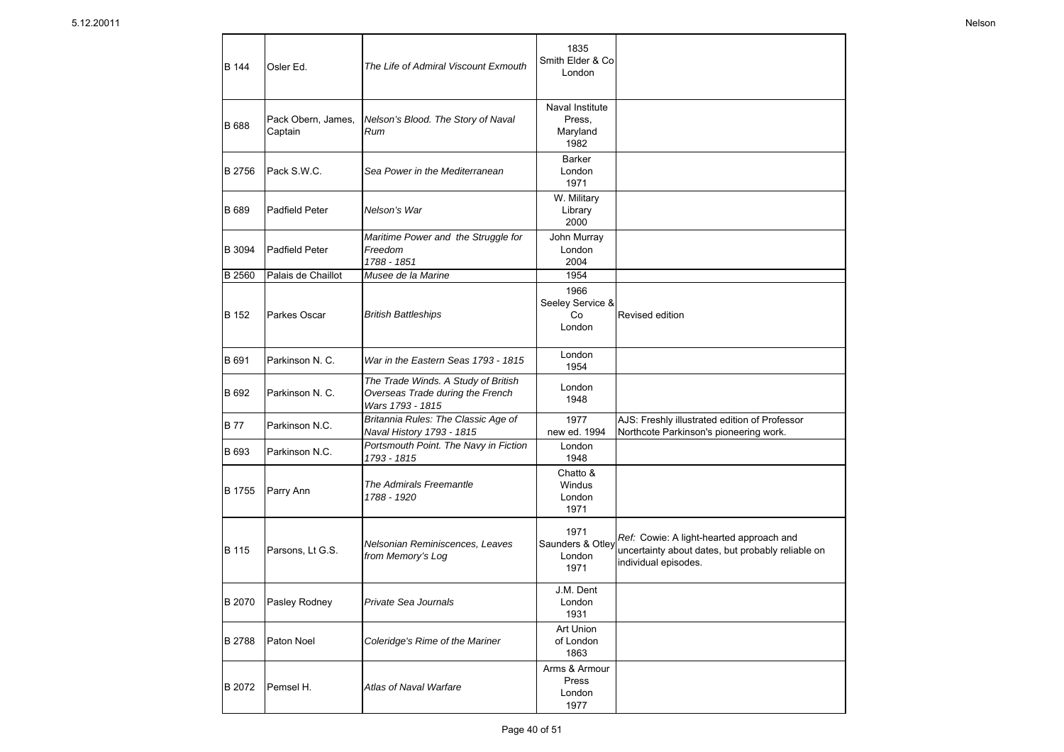| <b>B</b> 144  | Osler Ed.                     | The Life of Admiral Viscount Exmouth                                                        | 1835<br>Smith Elder & Co<br>London            |                                                                                                                       |
|---------------|-------------------------------|---------------------------------------------------------------------------------------------|-----------------------------------------------|-----------------------------------------------------------------------------------------------------------------------|
| <b>B</b> 688  | Pack Obern, James,<br>Captain | Nelson's Blood. The Story of Naval<br>Rum                                                   | Naval Institute<br>Press.<br>Maryland<br>1982 |                                                                                                                       |
| B 2756        | Pack S.W.C.                   | Sea Power in the Mediterranean                                                              | Barker<br>London<br>1971                      |                                                                                                                       |
| <b>B</b> 689  | Padfield Peter                | Nelson's War                                                                                | W. Military<br>Library<br>2000                |                                                                                                                       |
| B 3094        | Padfield Peter                | Maritime Power and the Struggle for<br>Freedom<br>1788 - 1851                               | John Murray<br>London<br>2004                 |                                                                                                                       |
| <b>B</b> 2560 | Palais de Chaillot            | Musee de la Marine                                                                          | 1954                                          |                                                                                                                       |
| B 152         | Parkes Oscar                  | <b>British Battleships</b>                                                                  | 1966<br>Seeley Service &<br>Co<br>London      | Revised edition                                                                                                       |
| B 691         | Parkinson N. C.               | War in the Eastern Seas 1793 - 1815                                                         | London<br>1954                                |                                                                                                                       |
| B 692         | Parkinson N. C.               | The Trade Winds. A Study of British<br>Overseas Trade during the French<br>Wars 1793 - 1815 | London<br>1948                                |                                                                                                                       |
| <b>B77</b>    | Parkinson N.C.                | Britannia Rules: The Classic Age of<br>Naval History 1793 - 1815                            | 1977<br>new ed. 1994                          | AJS: Freshly illustrated edition of Professor<br>Northcote Parkinson's pioneering work.                               |
| B 693         | Parkinson N.C.                | Portsmouth Point. The Navy in Fiction<br>1793 - 1815                                        | London<br>1948                                |                                                                                                                       |
| B 1755        | Parry Ann                     | The Admirals Freemantle<br>1788 - 1920                                                      | Chatto &<br>Windus<br>London<br>1971          |                                                                                                                       |
| B 115         | Parsons, Lt G.S.              | Nelsonian Reminiscences, Leaves<br>from Memory's Log                                        | 1971<br>Saunders & Otley<br>London<br>1971    | Ref: Cowie: A light-hearted approach and<br>uncertainty about dates, but probably reliable on<br>individual episodes. |
| B 2070        | Pasley Rodney                 | Private Sea Journals                                                                        | J.M. Dent<br>London<br>1931                   |                                                                                                                       |
| B 2788        | Paton Noel                    | Coleridge's Rime of the Mariner                                                             | Art Union<br>of London<br>1863                |                                                                                                                       |
| B 2072        | Pemsel H.                     | Atlas of Naval Warfare                                                                      | Arms & Armour<br>Press<br>London<br>1977      |                                                                                                                       |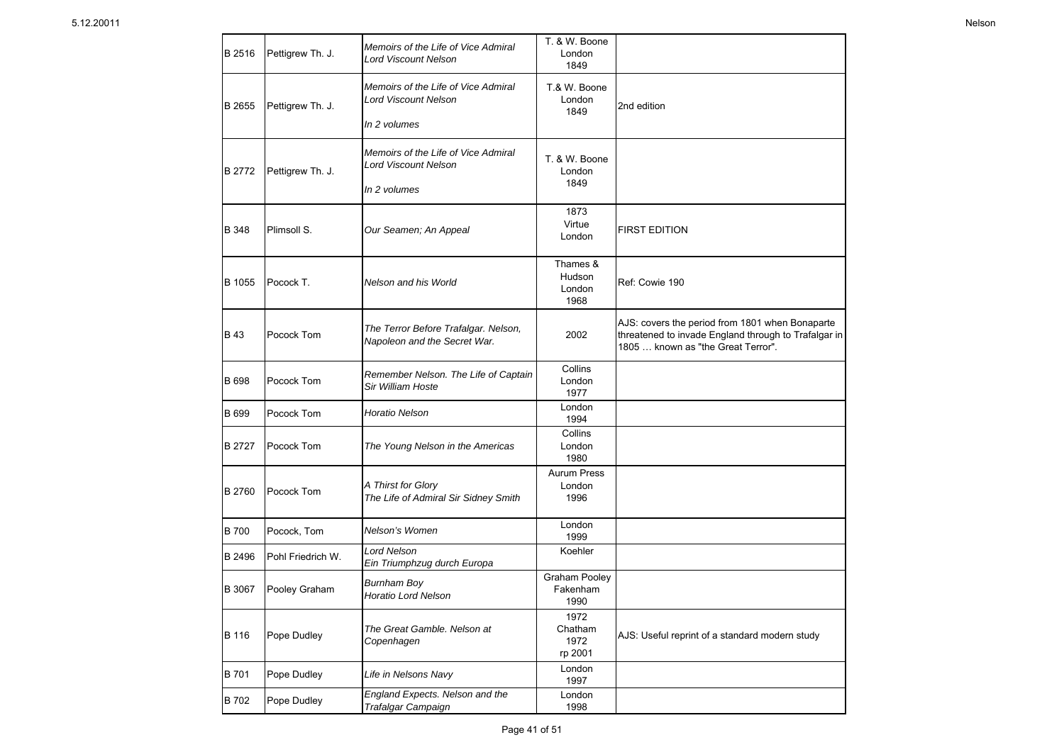| B 2516      | Pettigrew Th. J.  | Memoirs of the Life of Vice Admiral<br>Lord Viscount Nelson                        | T. & W. Boone<br>London<br>1849      |                                                                                                                                               |
|-------------|-------------------|------------------------------------------------------------------------------------|--------------------------------------|-----------------------------------------------------------------------------------------------------------------------------------------------|
| B 2655      | Pettigrew Th. J.  | Memoirs of the Life of Vice Admiral<br><b>Lord Viscount Nelson</b><br>In 2 volumes | T.& W. Boone<br>London<br>1849       | 2nd edition                                                                                                                                   |
| B 2772      | Pettigrew Th. J.  | Memoirs of the Life of Vice Admiral<br>Lord Viscount Nelson<br>In 2 volumes        | T. & W. Boone<br>London<br>1849      |                                                                                                                                               |
| B 348       | Plimsoll S.       | Our Seamen; An Appeal                                                              | 1873<br>Virtue<br>London             | <b>FIRST EDITION</b>                                                                                                                          |
| B 1055      | Pocock T.         | Nelson and his World                                                               | Thames &<br>Hudson<br>London<br>1968 | Ref: Cowie 190                                                                                                                                |
| B 43        | Pocock Tom        | The Terror Before Trafalgar. Nelson,<br>Napoleon and the Secret War.               | 2002                                 | AJS: covers the period from 1801 when Bonaparte<br>threatened to invade England through to Trafalgar in<br>1805  known as "the Great Terror". |
| B 698       | Pocock Tom        | Remember Nelson. The Life of Captain<br>Sir William Hoste                          | Collins<br>London<br>1977            |                                                                                                                                               |
| B 699       | Pocock Tom        | Horatio Nelson                                                                     | London<br>1994                       |                                                                                                                                               |
| B 2727      | Pocock Tom        | The Young Nelson in the Americas                                                   | Collins<br>London<br>1980            |                                                                                                                                               |
| B 2760      | Pocock Tom        | A Thirst for Glory<br>The Life of Admiral Sir Sidney Smith                         | <b>Aurum Press</b><br>London<br>1996 |                                                                                                                                               |
| <b>B700</b> | Pocock, Tom       | Nelson's Women                                                                     | London<br>1999                       |                                                                                                                                               |
| B 2496      | Pohl Friedrich W. | <b>Lord Nelson</b><br>Ein Triumphzug durch Europa                                  | Koehler                              |                                                                                                                                               |
| B 3067      | Pooley Graham     | Burnham Boy<br><b>Horatio Lord Nelson</b>                                          | Graham Pooley<br>Fakenham<br>1990    |                                                                                                                                               |
| B 116       | Pope Dudley       | The Great Gamble. Nelson at<br>Copenhagen                                          | 1972<br>Chatham<br>1972<br>rp 2001   | AJS: Useful reprint of a standard modern study                                                                                                |
| B 701       | Pope Dudley       | Life in Nelsons Navy                                                               | London<br>1997                       |                                                                                                                                               |
| B 702       | Pope Dudley       | England Expects. Nelson and the<br>Trafalgar Campaign                              | London<br>1998                       |                                                                                                                                               |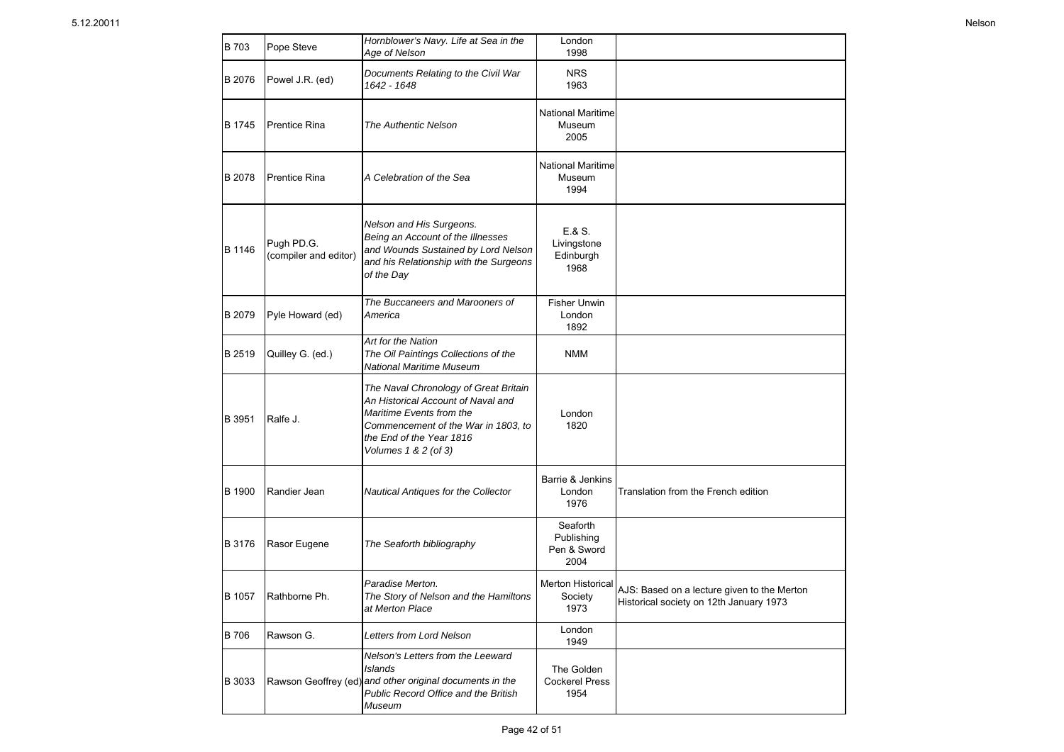| B 703       | Pope Steve                          | Hornblower's Navy. Life at Sea in the<br>Age of Nelson                                                                                                                                             | London<br>1998                                |                                                                                        |
|-------------|-------------------------------------|----------------------------------------------------------------------------------------------------------------------------------------------------------------------------------------------------|-----------------------------------------------|----------------------------------------------------------------------------------------|
| B 2076      | Powel J.R. (ed)                     | Documents Relating to the Civil War<br>1642 - 1648                                                                                                                                                 | <b>NRS</b><br>1963                            |                                                                                        |
| B 1745      | <b>Prentice Rina</b>                | <b>The Authentic Nelson</b>                                                                                                                                                                        | <b>National Maritime</b><br>Museum<br>2005    |                                                                                        |
| B 2078      | <b>Prentice Rina</b>                | A Celebration of the Sea                                                                                                                                                                           | National Maritime<br>Museum<br>1994           |                                                                                        |
| B 1146      | Pugh PD.G.<br>(compiler and editor) | Nelson and His Surgeons.<br>Being an Account of the Illnesses<br>and Wounds Sustained by Lord Nelson<br>and his Relationship with the Surgeons<br>of the Day                                       | E.8 S.<br>Livingstone<br>Edinburgh<br>1968    |                                                                                        |
| B 2079      | Pyle Howard (ed)                    | The Buccaneers and Marooners of<br>America                                                                                                                                                         | <b>Fisher Unwin</b><br>London<br>1892         |                                                                                        |
| B 2519      | Quilley G. (ed.)                    | Art for the Nation<br>The Oil Paintings Collections of the<br><b>National Maritime Museum</b>                                                                                                      | <b>NMM</b>                                    |                                                                                        |
| B 3951      | Ralfe J.                            | The Naval Chronology of Great Britain<br>An Historical Account of Naval and<br>Maritime Events from the<br>Commencement of the War in 1803, to<br>the End of the Year 1816<br>Volumes 1 & 2 (of 3) | London<br>1820                                |                                                                                        |
| B 1900      | Randier Jean                        | Nautical Antiques for the Collector                                                                                                                                                                | Barrie & Jenkins<br>London<br>1976            | Translation from the French edition                                                    |
| B 3176      | Rasor Eugene                        | The Seaforth bibliography                                                                                                                                                                          | Seaforth<br>Publishing<br>Pen & Sword<br>2004 |                                                                                        |
| B 1057      | Rathborne Ph.                       | Paradise Merton.<br>The Story of Nelson and the Hamiltons<br>at Merton Place                                                                                                                       | <b>Merton Historical</b><br>Society<br>1973   | AJS: Based on a lecture given to the Merton<br>Historical society on 12th January 1973 |
| <b>B706</b> | Rawson G.                           | Letters from Lord Nelson                                                                                                                                                                           | London<br>1949                                |                                                                                        |
| B 3033      |                                     | Nelson's Letters from the Leeward<br>Islands<br>Rawson Geoffrey (ed) and other original documents in the<br>Public Record Office and the British<br>Museum                                         | The Golden<br><b>Cockerel Press</b><br>1954   |                                                                                        |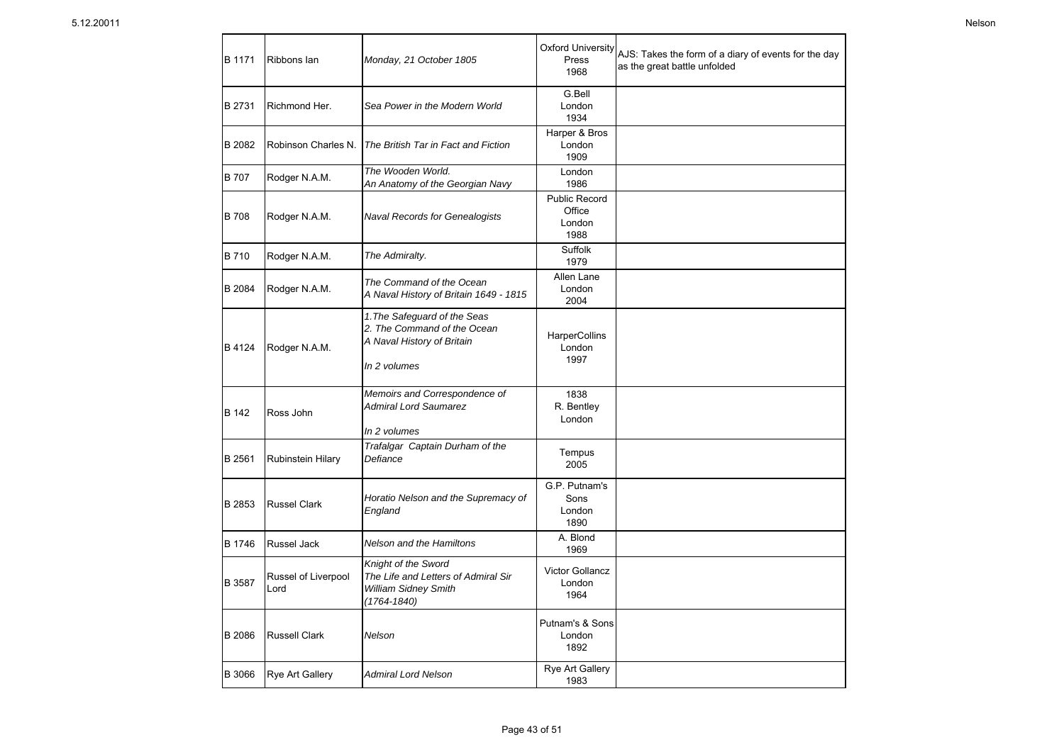| B 1171       | Ribbons lan                 | Monday, 21 October 1805                                                                                   | <b>Oxford University</b><br>Press<br>1968        | AJS: Takes the form of a diary of events for the day<br>as the great battle unfolded |
|--------------|-----------------------------|-----------------------------------------------------------------------------------------------------------|--------------------------------------------------|--------------------------------------------------------------------------------------|
| B 2731       | Richmond Her.               | Sea Power in the Modern World                                                                             | G.Bell<br>London<br>1934                         |                                                                                      |
| B 2082       | Robinson Charles N.         | The British Tar in Fact and Fiction                                                                       | Harper & Bros<br>London<br>1909                  |                                                                                      |
| <b>B</b> 707 | Rodger N.A.M.               | The Wooden World.<br>An Anatomy of the Georgian Navy                                                      | London<br>1986                                   |                                                                                      |
| <b>B</b> 708 | Rodger N.A.M.               | <b>Naval Records for Genealogists</b>                                                                     | <b>Public Record</b><br>Office<br>London<br>1988 |                                                                                      |
| <b>B710</b>  | Rodger N.A.M.               | The Admiralty.                                                                                            | Suffolk<br>1979                                  |                                                                                      |
| B 2084       | Rodger N.A.M.               | The Command of the Ocean<br>A Naval History of Britain 1649 - 1815                                        | Allen Lane<br>London<br>2004                     |                                                                                      |
| B 4124       | Rodger N.A.M.               | 1. The Safeguard of the Seas<br>2. The Command of the Ocean<br>A Naval History of Britain<br>In 2 volumes | <b>HarperCollins</b><br>London<br>1997           |                                                                                      |
| B 142        | Ross John                   | Memoirs and Correspondence of<br><b>Admiral Lord Saumarez</b><br>In 2 volumes                             | 1838<br>R. Bentley<br>London                     |                                                                                      |
| B 2561       | <b>Rubinstein Hilary</b>    | Trafalgar Captain Durham of the<br>Defiance                                                               | Tempus<br>2005                                   |                                                                                      |
| B 2853       | <b>Russel Clark</b>         | Horatio Nelson and the Supremacy of<br>England                                                            | G.P. Putnam's<br>Sons<br>London<br>1890          |                                                                                      |
| B 1746       | Russel Jack                 | Nelson and the Hamiltons                                                                                  | A. Blond<br>1969                                 |                                                                                      |
| B 3587       | Russel of Liverpool<br>Lord | Knight of the Sword<br>The Life and Letters of Admiral Sir<br>William Sidney Smith<br>(1764-1840)         | Victor Gollancz<br>London<br>1964                |                                                                                      |
| B 2086       | <b>Russell Clark</b>        | Nelson                                                                                                    | Putnam's & Sons<br>London<br>1892                |                                                                                      |
| B 3066       | Rye Art Gallery             | <b>Admiral Lord Nelson</b>                                                                                | <b>Rye Art Gallery</b><br>1983                   |                                                                                      |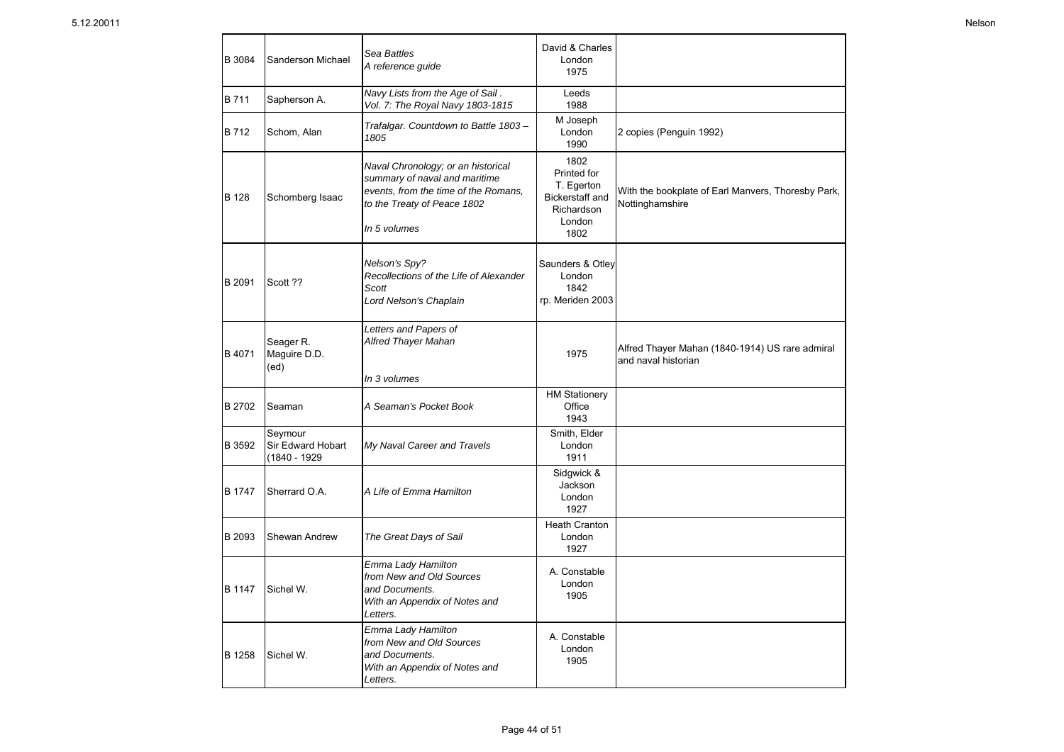| B 3084        | Sanderson Michael                            | Sea Battles<br>A reference guide                                                                                                                           | David & Charles<br>London<br>1975                                                    |                                                                        |
|---------------|----------------------------------------------|------------------------------------------------------------------------------------------------------------------------------------------------------------|--------------------------------------------------------------------------------------|------------------------------------------------------------------------|
| <b>B711</b>   | Sapherson A.                                 | Navy Lists from the Age of Sail.<br>Vol. 7: The Royal Navy 1803-1815                                                                                       | Leeds<br>1988                                                                        |                                                                        |
| B 712         | Schom, Alan                                  | Trafalgar. Countdown to Battle 1803-<br>1805                                                                                                               | M Joseph<br>London<br>1990                                                           | 2 copies (Penguin 1992)                                                |
| <b>B</b> 128  | Schomberg Isaac                              | Naval Chronology; or an historical<br>summary of naval and maritime<br>events, from the time of the Romans,<br>to the Treaty of Peace 1802<br>In 5 volumes | 1802<br>Printed for<br>T. Egerton<br>Bickerstaff and<br>Richardson<br>London<br>1802 | With the bookplate of Earl Manvers, Thoresby Park,<br>Nottinghamshire  |
| B 2091        | Scott ??                                     | Nelson's Spy?<br>Recollections of the Life of Alexander<br>Scott<br>Lord Nelson's Chaplain                                                                 | Saunders & Otley<br>London<br>1842<br>rp. Meriden 2003                               |                                                                        |
| B 4071        | Seager R.<br>Maguire D.D.<br>(ed)            | Letters and Papers of<br>Alfred Thayer Mahan<br>In 3 volumes                                                                                               | 1975                                                                                 | Alfred Thayer Mahan (1840-1914) US rare admiral<br>and naval historian |
| <b>B</b> 2702 | Seaman                                       | A Seaman's Pocket Book                                                                                                                                     | <b>HM Stationery</b><br>Office<br>1943                                               |                                                                        |
| B 3592        | Seymour<br>Sir Edward Hobart<br>(1840 - 1929 | My Naval Career and Travels                                                                                                                                | Smith, Elder<br>London<br>1911                                                       |                                                                        |
| B 1747        | Sherrard O.A.                                | A Life of Emma Hamilton                                                                                                                                    | Sidgwick &<br>Jackson<br>London<br>1927                                              |                                                                        |
| <b>B</b> 2093 | Shewan Andrew                                | The Great Days of Sail                                                                                                                                     | <b>Heath Cranton</b><br>London<br>1927                                               |                                                                        |
| <b>B</b> 1147 | Sichel W.                                    | Emma Lady Hamilton<br>from New and Old Sources<br>and Documents.<br>With an Appendix of Notes and<br>Letters.                                              | A. Constable<br>London<br>1905                                                       |                                                                        |
| B 1258        | Sichel W.                                    | Emma Lady Hamilton<br>from New and Old Sources<br>and Documents.<br>With an Appendix of Notes and<br>Letters.                                              | A. Constable<br>London<br>1905                                                       |                                                                        |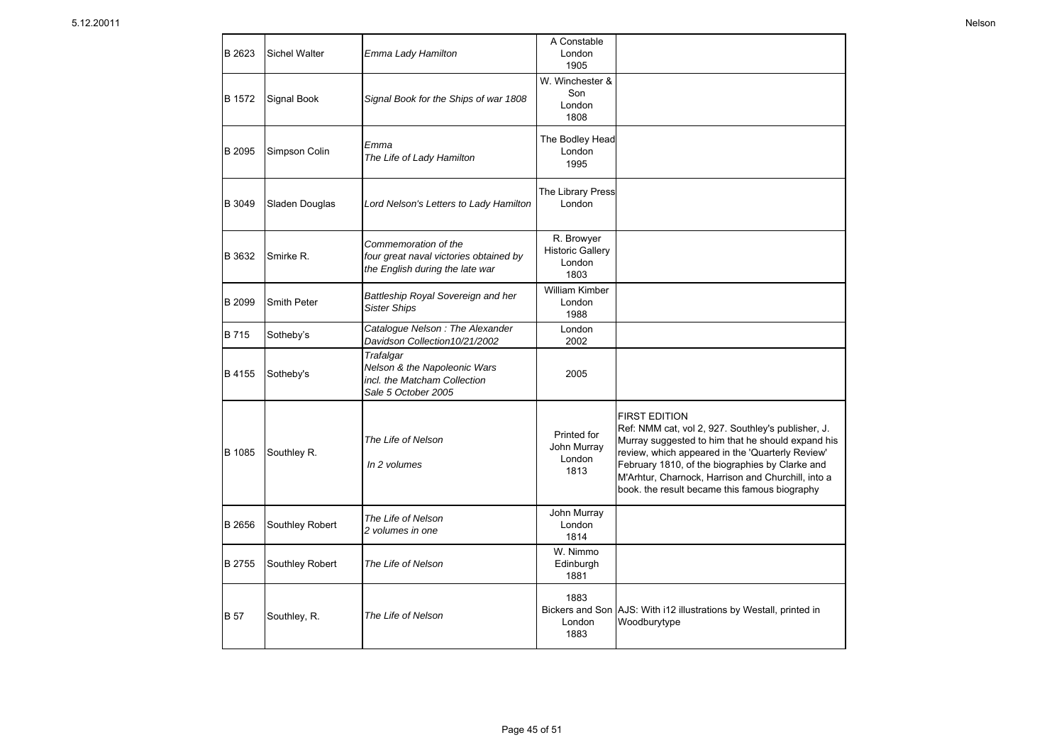| B 2623      | <b>Sichel Walter</b> | Emma Lady Hamilton                                                                                | A Constable<br>London<br>1905                           |                                                                                                                                                                                                                                                                                                                                               |
|-------------|----------------------|---------------------------------------------------------------------------------------------------|---------------------------------------------------------|-----------------------------------------------------------------------------------------------------------------------------------------------------------------------------------------------------------------------------------------------------------------------------------------------------------------------------------------------|
| B 1572      | Signal Book          | Signal Book for the Ships of war 1808                                                             | W. Winchester &<br>Son<br>London<br>1808                |                                                                                                                                                                                                                                                                                                                                               |
| B 2095      | Simpson Colin        | Emma<br>The Life of Lady Hamilton                                                                 | The Bodley Head<br>London<br>1995                       |                                                                                                                                                                                                                                                                                                                                               |
| B 3049      | Sladen Douglas       | Lord Nelson's Letters to Lady Hamilton                                                            | The Library Press<br>London                             |                                                                                                                                                                                                                                                                                                                                               |
| B 3632      | Smirke R.            | Commemoration of the<br>four great naval victories obtained by<br>the English during the late war | R. Browyer<br><b>Historic Gallery</b><br>London<br>1803 |                                                                                                                                                                                                                                                                                                                                               |
| B 2099      | Smith Peter          | Battleship Royal Sovereign and her<br><b>Sister Ships</b>                                         | <b>William Kimber</b><br>London<br>1988                 |                                                                                                                                                                                                                                                                                                                                               |
| B 715       | Sotheby's            | Catalogue Nelson: The Alexander<br>Davidson Collection 10/21/2002                                 | London<br>2002                                          |                                                                                                                                                                                                                                                                                                                                               |
| B 4155      | Sotheby's            | Trafalgar<br>Nelson & the Napoleonic Wars<br>incl. the Matcham Collection<br>Sale 5 October 2005  | 2005                                                    |                                                                                                                                                                                                                                                                                                                                               |
| B 1085      | Southley R.          | The Life of Nelson<br>In 2 volumes                                                                | Printed for<br>John Murray<br>London<br>1813            | <b>FIRST EDITION</b><br>Ref: NMM cat, vol 2, 927. Southley's publisher, J.<br>Murray suggested to him that he should expand his<br>review, which appeared in the 'Quarterly Review'<br>February 1810, of the biographies by Clarke and<br>M'Arhtur, Charnock, Harrison and Churchill, into a<br>book. the result became this famous biography |
| B 2656      | Southley Robert      | The Life of Nelson<br>2 volumes in one                                                            | John Murray<br>London<br>1814                           |                                                                                                                                                                                                                                                                                                                                               |
| B 2755      | Southley Robert      | The Life of Nelson                                                                                | W. Nimmo<br>Edinburgh<br>1881                           |                                                                                                                                                                                                                                                                                                                                               |
| <b>B</b> 57 | Southley, R.         | The Life of Nelson                                                                                | 1883<br>London<br>1883                                  | Bickers and Son AJS: With i12 illustrations by Westall, printed in<br>Woodburytype                                                                                                                                                                                                                                                            |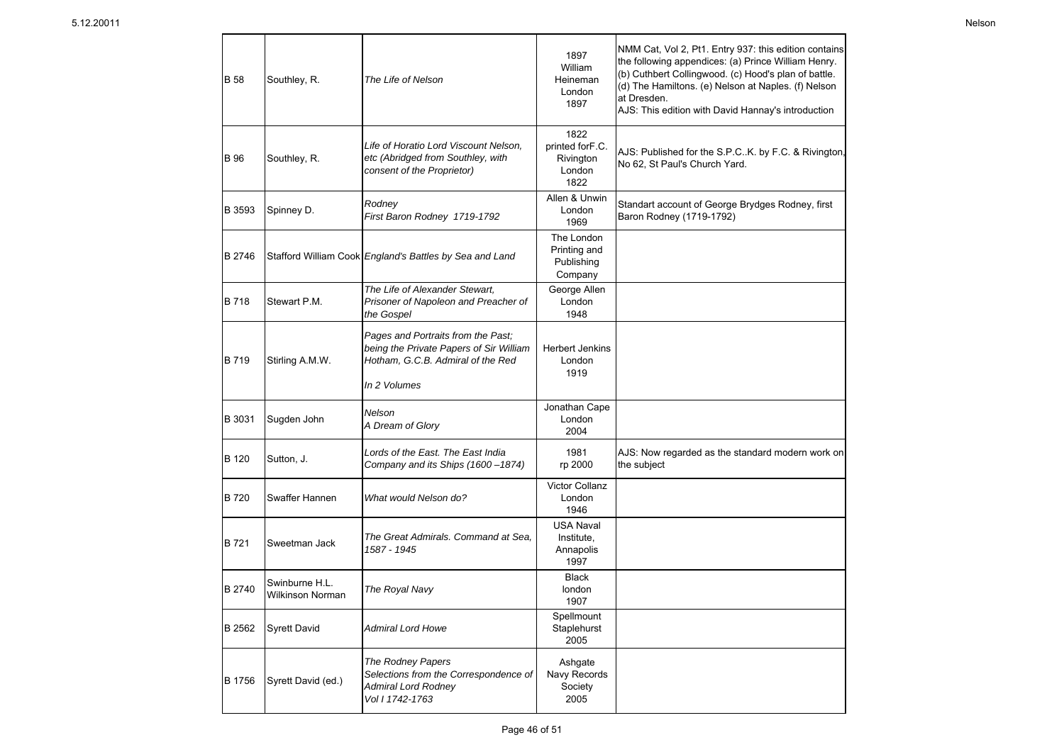| <b>B</b> 58 | Southley, R.                              | The Life of Nelson                                                                                                                 | 1897<br>William<br>Heineman<br>London<br>1897          | NMM Cat, Vol 2, Pt1. Entry 937: this edition contains<br>the following appendices: (a) Prince William Henry.<br>(b) Cuthbert Collingwood. (c) Hood's plan of battle.<br>(d) The Hamiltons. (e) Nelson at Naples. (f) Nelson<br>at Dresden.<br>AJS: This edition with David Hannay's introduction |
|-------------|-------------------------------------------|------------------------------------------------------------------------------------------------------------------------------------|--------------------------------------------------------|--------------------------------------------------------------------------------------------------------------------------------------------------------------------------------------------------------------------------------------------------------------------------------------------------|
| <b>B</b> 96 | Southley, R.                              | Life of Horatio Lord Viscount Nelson,<br>etc (Abridged from Southley, with<br>consent of the Proprietor)                           | 1822<br>printed forF.C.<br>Rivington<br>London<br>1822 | AJS: Published for the S.P.CK. by F.C. & Rivington,<br>No 62, St Paul's Church Yard.                                                                                                                                                                                                             |
| B 3593      | Spinney D.                                | Rodney<br>First Baron Rodney 1719-1792                                                                                             | Allen & Unwin<br>London<br>1969                        | Standart account of George Brydges Rodney, first<br>Baron Rodney (1719-1792)                                                                                                                                                                                                                     |
| B 2746      |                                           | Stafford William Cook England's Battles by Sea and Land                                                                            | The London<br>Printing and<br>Publishing<br>Company    |                                                                                                                                                                                                                                                                                                  |
| B 718       | Stewart P.M.                              | The Life of Alexander Stewart.<br>Prisoner of Napoleon and Preacher of<br>the Gospel                                               | George Allen<br>London<br>1948                         |                                                                                                                                                                                                                                                                                                  |
| B 719       | Stirling A.M.W.                           | Pages and Portraits from the Past:<br>being the Private Papers of Sir William<br>Hotham, G.C.B. Admiral of the Red<br>In 2 Volumes | <b>Herbert Jenkins</b><br>London<br>1919               |                                                                                                                                                                                                                                                                                                  |
| B 3031      | Sugden John                               | Nelson<br>A Dream of Glory                                                                                                         | Jonathan Cape<br>London<br>2004                        |                                                                                                                                                                                                                                                                                                  |
| B 120       | Sutton, J.                                | Lords of the East. The East India<br>Company and its Ships (1600 -1874)                                                            | 1981<br>rp 2000                                        | AJS: Now regarded as the standard modern work on<br>the subject                                                                                                                                                                                                                                  |
| B 720       | Swaffer Hannen                            | What would Nelson do?                                                                                                              | Victor Collanz<br>London<br>1946                       |                                                                                                                                                                                                                                                                                                  |
| B 721       | Sweetman Jack                             | The Great Admirals. Command at Sea.<br>1587 - 1945                                                                                 | <b>USA Naval</b><br>Institute,<br>Annapolis<br>1997    |                                                                                                                                                                                                                                                                                                  |
| B 2740      | Swinburne H.L.<br><b>Wilkinson Norman</b> | The Royal Navy                                                                                                                     | <b>Black</b><br>london<br>1907                         |                                                                                                                                                                                                                                                                                                  |
| B 2562      | <b>Syrett David</b>                       | Admiral Lord Howe                                                                                                                  | Spellmount<br>Staplehurst<br>2005                      |                                                                                                                                                                                                                                                                                                  |
| B 1756      | Syrett David (ed.)                        | The Rodney Papers<br>Selections from the Correspondence of<br><b>Admiral Lord Rodney</b><br>Vol 1 1742-1763                        | Ashqate<br>Navy Records<br>Society<br>2005             |                                                                                                                                                                                                                                                                                                  |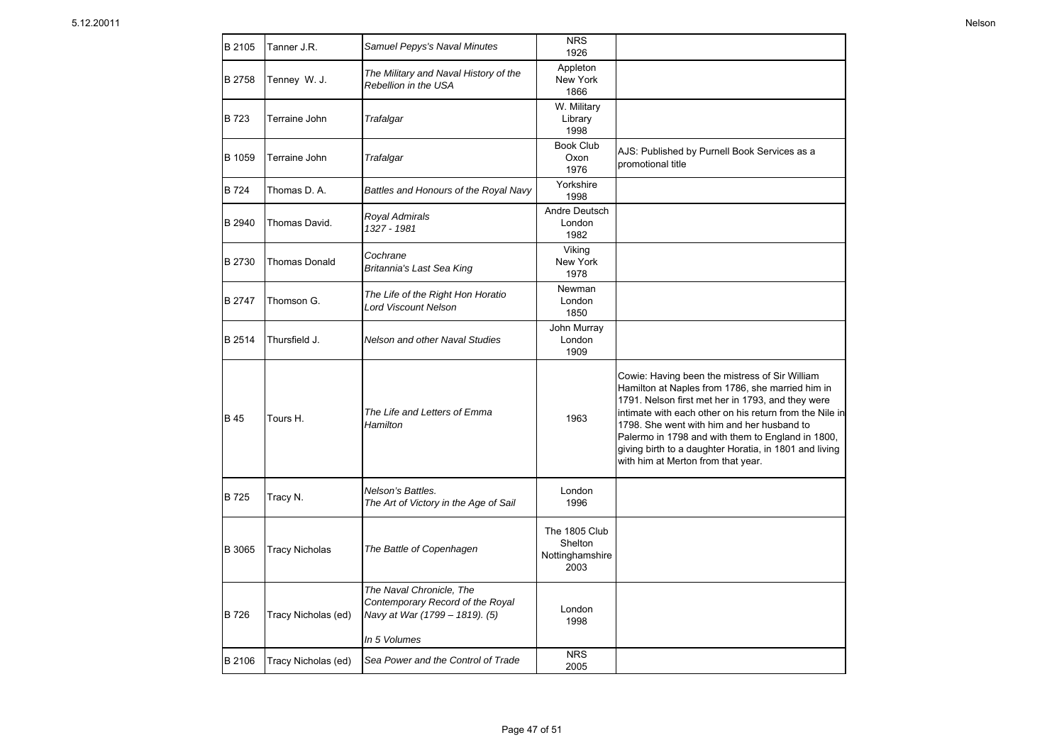| B 2105        | Tanner J.R.           | Samuel Pepys's Naval Minutes                                                                   | <b>NRS</b><br>1926                                  |                                                                                                                                                                                                                                                                                                                                                                                                                       |
|---------------|-----------------------|------------------------------------------------------------------------------------------------|-----------------------------------------------------|-----------------------------------------------------------------------------------------------------------------------------------------------------------------------------------------------------------------------------------------------------------------------------------------------------------------------------------------------------------------------------------------------------------------------|
| B 2758        | Tenney W. J.          | The Military and Naval History of the<br>Rebellion in the USA                                  | Appleton<br>New York<br>1866                        |                                                                                                                                                                                                                                                                                                                                                                                                                       |
| <b>B</b> 723  | Terraine John         | Trafalgar                                                                                      | W. Military<br>Library<br>1998                      |                                                                                                                                                                                                                                                                                                                                                                                                                       |
| B 1059        | Terraine John         | Trafalgar                                                                                      | <b>Book Club</b><br>Oxon<br>1976                    | AJS: Published by Purnell Book Services as a<br>promotional title                                                                                                                                                                                                                                                                                                                                                     |
| B 724         | Thomas D. A.          | Battles and Honours of the Royal Navy                                                          | Yorkshire<br>1998                                   |                                                                                                                                                                                                                                                                                                                                                                                                                       |
| B 2940        | Thomas David.         | Royal Admirals<br>1327 - 1981                                                                  | Andre Deutsch<br>London<br>1982                     |                                                                                                                                                                                                                                                                                                                                                                                                                       |
| B 2730        | <b>Thomas Donald</b>  | Cochrane<br>Britannia's Last Sea King                                                          | Viking<br>New York<br>1978                          |                                                                                                                                                                                                                                                                                                                                                                                                                       |
| <b>B</b> 2747 | Thomson G.            | The Life of the Right Hon Horatio<br><b>Lord Viscount Nelson</b>                               | Newman<br>London<br>1850                            |                                                                                                                                                                                                                                                                                                                                                                                                                       |
| B 2514        | Thursfield J.         | Nelson and other Naval Studies                                                                 | John Murray<br>London<br>1909                       |                                                                                                                                                                                                                                                                                                                                                                                                                       |
| <b>B</b> 45   | Tours H.              | The Life and Letters of Emma<br>Hamilton                                                       | 1963                                                | Cowie: Having been the mistress of Sir William<br>Hamilton at Naples from 1786, she married him in<br>1791. Nelson first met her in 1793, and they were<br>intimate with each other on his return from the Nile in<br>1798. She went with him and her husband to<br>Palermo in 1798 and with them to England in 1800,<br>giving birth to a daughter Horatia, in 1801 and living<br>with him at Merton from that year. |
| <b>B</b> 725  | Tracy N.              | Nelson's Battles.<br>The Art of Victory in the Age of Sail                                     | London<br>1996                                      |                                                                                                                                                                                                                                                                                                                                                                                                                       |
| B 3065        | <b>Tracy Nicholas</b> | The Battle of Copenhagen                                                                       | The 1805 Club<br>Shelton<br>Nottinghamshire<br>2003 |                                                                                                                                                                                                                                                                                                                                                                                                                       |
| B 726         | Tracy Nicholas (ed)   | The Naval Chronicle, The<br>Contemporary Record of the Royal<br>Navy at War (1799 - 1819). (5) | London<br>1998                                      |                                                                                                                                                                                                                                                                                                                                                                                                                       |
|               |                       | In 5 Volumes                                                                                   |                                                     |                                                                                                                                                                                                                                                                                                                                                                                                                       |
| B 2106        | Tracy Nicholas (ed)   | Sea Power and the Control of Trade                                                             | <b>NRS</b><br>2005                                  |                                                                                                                                                                                                                                                                                                                                                                                                                       |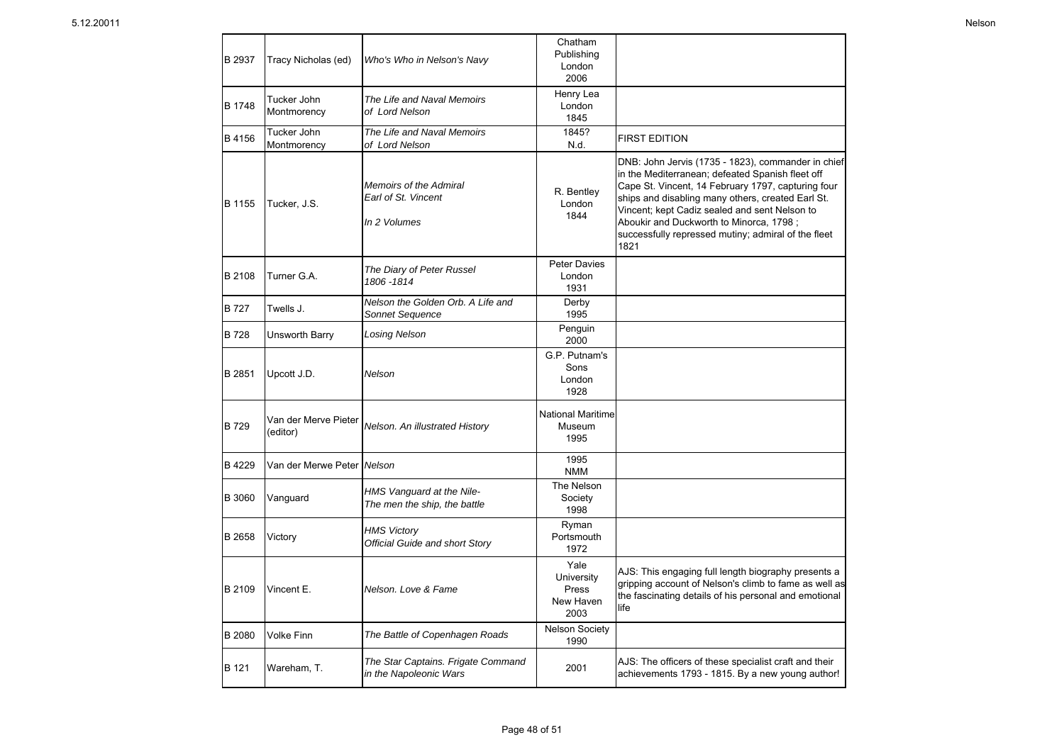| <b>B</b> 2937 | Tracy Nicholas (ed)              | Who's Who in Nelson's Navy                                    | Chatham<br>Publishing<br>London<br>2006          |                                                                                                                                                                                                                                                                                                                                                                              |
|---------------|----------------------------------|---------------------------------------------------------------|--------------------------------------------------|------------------------------------------------------------------------------------------------------------------------------------------------------------------------------------------------------------------------------------------------------------------------------------------------------------------------------------------------------------------------------|
| B 1748        | Tucker John<br>Montmorency       | The Life and Naval Memoirs<br>of Lord Nelson                  | Henry Lea<br>London<br>1845                      |                                                                                                                                                                                                                                                                                                                                                                              |
| B 4156        | Tucker John<br>Montmorency       | The Life and Naval Memoirs<br>of Lord Nelson                  | 1845?<br>N.d.                                    | <b>FIRST EDITION</b>                                                                                                                                                                                                                                                                                                                                                         |
| B 1155        | Tucker, J.S.                     | Memoirs of the Admiral<br>Earl of St. Vincent<br>In 2 Volumes | R. Bentley<br>London<br>1844                     | DNB: John Jervis (1735 - 1823), commander in chief<br>in the Mediterranean; defeated Spanish fleet off<br>Cape St. Vincent, 14 February 1797, capturing four<br>ships and disabling many others, created Earl St.<br>Vincent; kept Cadiz sealed and sent Nelson to<br>Aboukir and Duckworth to Minorca, 1798;<br>successfully repressed mutiny; admiral of the fleet<br>1821 |
| B 2108        | Turner G.A.                      | The Diary of Peter Russel<br>1806-1814                        | <b>Peter Davies</b><br>London<br>1931            |                                                                                                                                                                                                                                                                                                                                                                              |
| <b>B</b> 727  | Twells J.                        | Nelson the Golden Orb. A Life and<br><b>Sonnet Sequence</b>   | Derby<br>1995                                    |                                                                                                                                                                                                                                                                                                                                                                              |
| B 728         | Unsworth Barry                   | <b>Losing Nelson</b>                                          | Penguin<br>2000                                  |                                                                                                                                                                                                                                                                                                                                                                              |
| B 2851        | Upcott J.D.                      | Nelson                                                        | G.P. Putnam's<br>Sons<br>London<br>1928          |                                                                                                                                                                                                                                                                                                                                                                              |
| <b>B</b> 729  | Van der Merve Pieter<br>(editor) | Nelson. An illustrated History                                | <b>National Maritime</b><br>Museum<br>1995       |                                                                                                                                                                                                                                                                                                                                                                              |
| B 4229        | Van der Merwe Peter Nelson       |                                                               | 1995<br><b>NMM</b>                               |                                                                                                                                                                                                                                                                                                                                                                              |
| B 3060        | Vanguard                         | HMS Vanguard at the Nile-<br>The men the ship, the battle     | The Nelson<br>Society<br>1998                    |                                                                                                                                                                                                                                                                                                                                                                              |
| B 2658        | Victory                          | <b>HMS Victory</b><br><b>Official Guide and short Story</b>   | Ryman<br>Portsmouth<br>1972                      |                                                                                                                                                                                                                                                                                                                                                                              |
| B 2109        | Vincent E.                       | Nelson, Love & Fame                                           | Yale<br>University<br>Press<br>New Haven<br>2003 | AJS: This engaging full length biography presents a<br>gripping account of Nelson's climb to fame as well as<br>the fascinating details of his personal and emotional<br>life                                                                                                                                                                                                |
| B 2080        | <b>Volke Finn</b>                | The Battle of Copenhagen Roads                                | <b>Nelson Society</b><br>1990                    |                                                                                                                                                                                                                                                                                                                                                                              |
| B 121         | Wareham, T.                      | The Star Captains. Frigate Command<br>in the Napoleonic Wars  | 2001                                             | AJS: The officers of these specialist craft and their<br>achievements 1793 - 1815. By a new young author!                                                                                                                                                                                                                                                                    |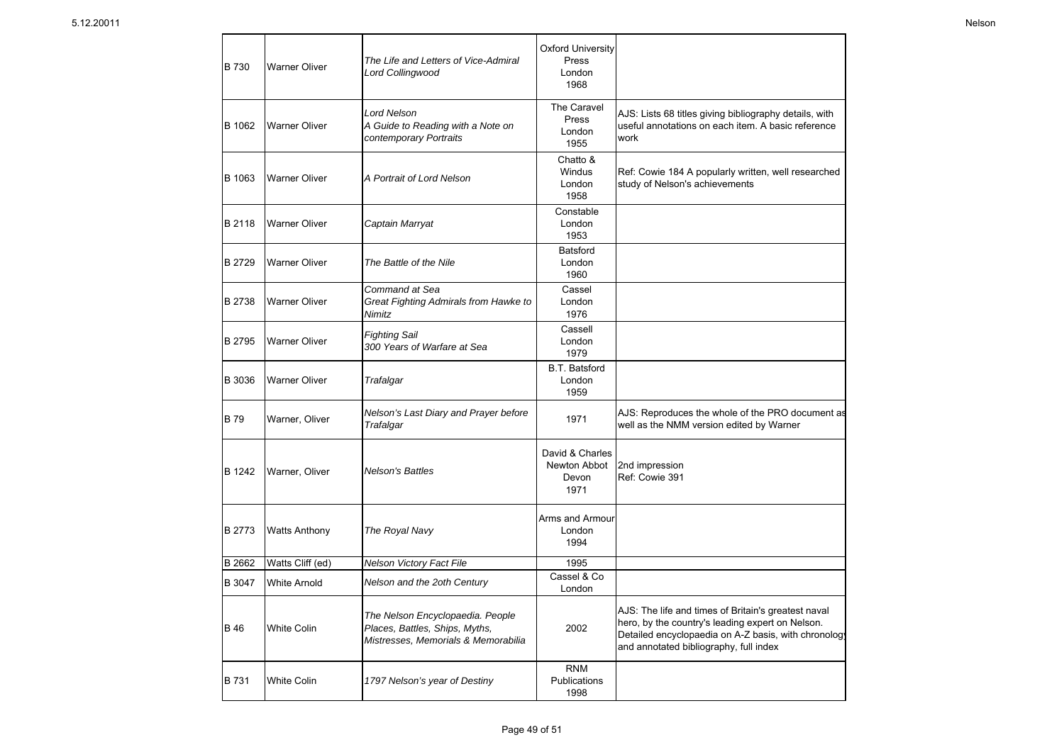| B 730       | <b>Warner Oliver</b> | The Life and Letters of Vice-Admiral<br>Lord Collingwood                                                  | <b>Oxford University</b><br>Press<br>London<br>1968 |                                                                                                                                                                                                           |
|-------------|----------------------|-----------------------------------------------------------------------------------------------------------|-----------------------------------------------------|-----------------------------------------------------------------------------------------------------------------------------------------------------------------------------------------------------------|
| B 1062      | <b>Warner Oliver</b> | <b>Lord Nelson</b><br>A Guide to Reading with a Note on<br>contemporary Portraits                         | The Caravel<br>Press<br>London<br>1955              | AJS: Lists 68 titles giving bibliography details, with<br>useful annotations on each item. A basic reference<br>work                                                                                      |
| B 1063      | <b>Warner Oliver</b> | A Portrait of Lord Nelson                                                                                 | Chatto &<br>Windus<br>London<br>1958                | Ref: Cowie 184 A popularly written, well researched<br>study of Nelson's achievements                                                                                                                     |
| B 2118      | <b>Warner Oliver</b> | Captain Marryat                                                                                           | Constable<br>London<br>1953                         |                                                                                                                                                                                                           |
| B 2729      | <b>Warner Oliver</b> | The Battle of the Nile                                                                                    | <b>Batsford</b><br>London<br>1960                   |                                                                                                                                                                                                           |
| B 2738      | <b>Warner Oliver</b> | Command at Sea<br>Great Fighting Admirals from Hawke to<br>Nimitz                                         | Cassel<br>London<br>1976                            |                                                                                                                                                                                                           |
| B 2795      | <b>Warner Oliver</b> | <b>Fighting Sail</b><br>300 Years of Warfare at Sea                                                       | Cassell<br>London<br>1979                           |                                                                                                                                                                                                           |
| B 3036      | <b>Warner Oliver</b> | Trafalgar                                                                                                 | <b>B.T. Batsford</b><br>London<br>1959              |                                                                                                                                                                                                           |
| <b>B79</b>  | Warner, Oliver       | Nelson's Last Diary and Prayer before<br>Trafalgar                                                        | 1971                                                | AJS: Reproduces the whole of the PRO document as<br>well as the NMM version edited by Warner                                                                                                              |
| B 1242      | Warner, Oliver       | <b>Nelson's Battles</b>                                                                                   | David & Charles<br>Newton Abbot<br>Devon<br>1971    | 2nd impression<br>Ref: Cowie 391                                                                                                                                                                          |
| B 2773      | <b>Watts Anthony</b> | The Royal Navy                                                                                            | Arms and Armour<br>London<br>1994                   |                                                                                                                                                                                                           |
| B 2662      | Watts Cliff (ed)     | Nelson Victory Fact File                                                                                  | 1995                                                |                                                                                                                                                                                                           |
| B 3047      | <b>White Arnold</b>  | Nelson and the 2oth Century                                                                               | Cassel & Co<br>London                               |                                                                                                                                                                                                           |
| <b>B</b> 46 | <b>White Colin</b>   | The Nelson Encyclopaedia. People<br>Places, Battles, Ships, Myths,<br>Mistresses, Memorials & Memorabilia | 2002                                                | AJS: The life and times of Britain's greatest naval<br>hero, by the country's leading expert on Nelson.<br>Detailed encyclopaedia on A-Z basis, with chronology<br>and annotated bibliography, full index |
| B 731       | <b>White Colin</b>   | 1797 Nelson's year of Destiny                                                                             | <b>RNM</b><br><b>Publications</b><br>1998           |                                                                                                                                                                                                           |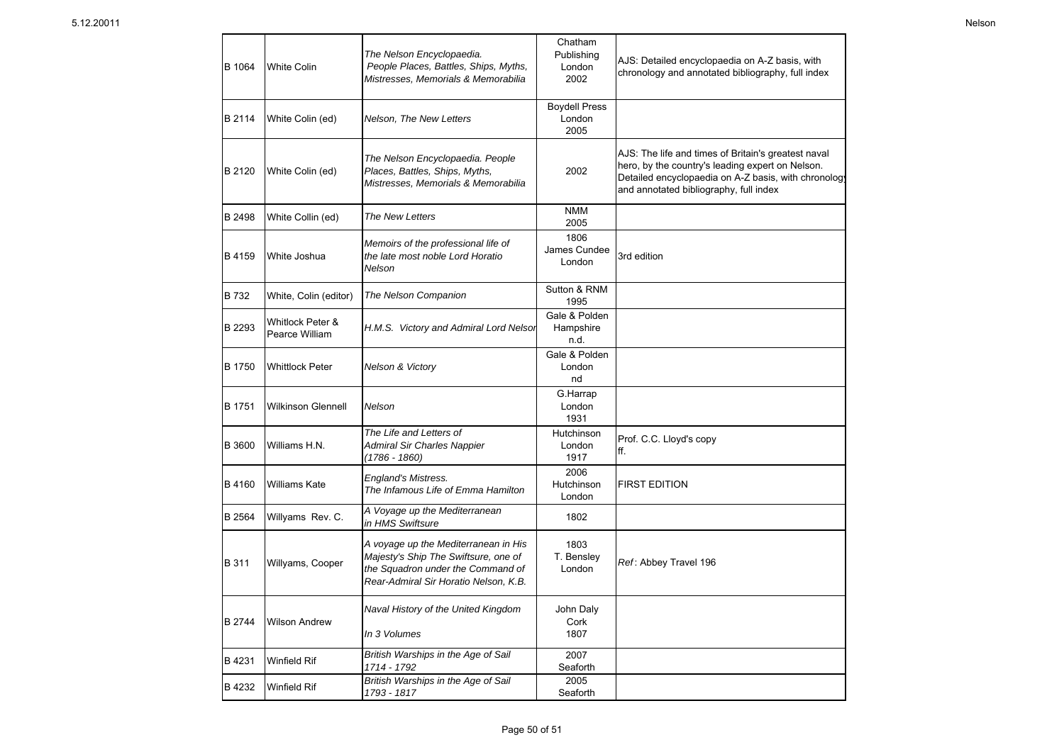| B 1064 | <b>White Colin</b>                 | The Nelson Encyclopaedia.<br>People Places, Battles, Ships, Myths,<br>Mistresses, Memorials & Memorabilia                                                  | Chatham<br>Publishing<br>London<br>2002 | AJS: Detailed encyclopaedia on A-Z basis, with<br>chronology and annotated bibliography, full index                                                                                                       |
|--------|------------------------------------|------------------------------------------------------------------------------------------------------------------------------------------------------------|-----------------------------------------|-----------------------------------------------------------------------------------------------------------------------------------------------------------------------------------------------------------|
| B 2114 | White Colin (ed)                   | Nelson, The New Letters                                                                                                                                    | <b>Boydell Press</b><br>London<br>2005  |                                                                                                                                                                                                           |
| B 2120 | White Colin (ed)                   | The Nelson Encyclopaedia. People<br>Places, Battles, Ships, Myths,<br>Mistresses, Memorials & Memorabilia                                                  | 2002                                    | AJS: The life and times of Britain's greatest naval<br>hero, by the country's leading expert on Nelson.<br>Detailed encyclopaedia on A-Z basis, with chronology<br>and annotated bibliography, full index |
| B 2498 | White Collin (ed)                  | The New Letters                                                                                                                                            | <b>NMM</b><br>2005                      |                                                                                                                                                                                                           |
| B 4159 | White Joshua                       | Memoirs of the professional life of<br>the late most noble Lord Horatio<br>Nelson                                                                          | 1806<br>James Cundee<br>London          | 3rd edition                                                                                                                                                                                               |
| B 732  | White, Colin (editor)              | The Nelson Companion                                                                                                                                       | Sutton & RNM<br>1995                    |                                                                                                                                                                                                           |
| B 2293 | Whitlock Peter &<br>Pearce William | H.M.S. Victory and Admiral Lord Nelsor                                                                                                                     | Gale & Polden<br>Hampshire<br>n.d.      |                                                                                                                                                                                                           |
| B 1750 | <b>Whittlock Peter</b>             | <b>Nelson &amp; Victory</b>                                                                                                                                | Gale & Polden<br>London<br>nd           |                                                                                                                                                                                                           |
| B 1751 | <b>Wilkinson Glennell</b>          | <b>Nelson</b>                                                                                                                                              | G.Harrap<br>London<br>1931              |                                                                                                                                                                                                           |
| B 3600 | Williams H.N.                      | The Life and Letters of<br><b>Admiral Sir Charles Nappier</b><br>(1786 - 1860)                                                                             | Hutchinson<br>London<br>1917            | Prof. C.C. Lloyd's copy<br>ff.                                                                                                                                                                            |
| B 4160 | Williams Kate                      | <b>England's Mistress.</b><br>The Infamous Life of Emma Hamilton                                                                                           | 2006<br>Hutchinson<br>London            | <b>FIRST EDITION</b>                                                                                                                                                                                      |
| B 2564 | Willyams Rev. C.                   | A Voyage up the Mediterranean<br>in HMS Swiftsure                                                                                                          | 1802                                    |                                                                                                                                                                                                           |
| B 311  | Willyams, Cooper                   | A voyage up the Mediterranean in His<br>Majesty's Ship The Swiftsure, one of<br>the Squadron under the Command of<br>Rear-Admiral Sir Horatio Nelson, K.B. | 1803<br>T. Bensley<br>London            | Ref: Abbey Travel 196                                                                                                                                                                                     |
| B 2744 | <b>Wilson Andrew</b>               | Naval History of the United Kingdom<br>In 3 Volumes                                                                                                        | John Daly<br>Cork<br>1807               |                                                                                                                                                                                                           |
| B 4231 | <b>Winfield Rif</b>                | British Warships in the Age of Sail<br>1714 - 1792                                                                                                         | 2007<br>Seaforth                        |                                                                                                                                                                                                           |
| B 4232 | <b>Winfield Rif</b>                | British Warships in the Age of Sail<br>1793 - 1817                                                                                                         | 2005<br>Seaforth                        |                                                                                                                                                                                                           |